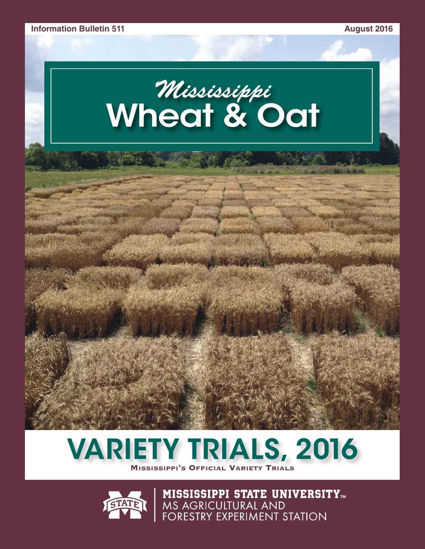# *Mississippi* **Wheat & Oat**





**MISSISSIPPI STATE UNIVERSITY<sub>tm</sub>**<br>MS Agricultural and<br>Forestry Experiment Station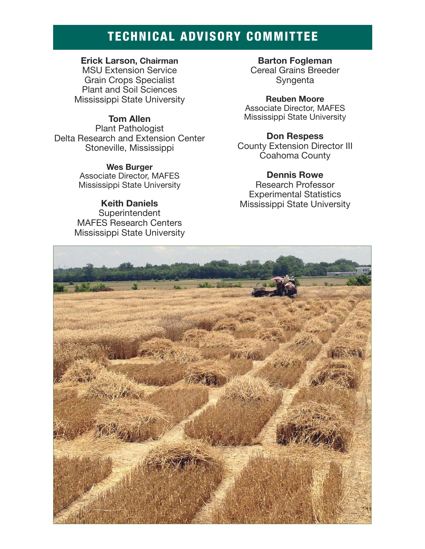## **TECHNICAL ADVISORY COMMITTEE**

#### **Erick Larson, Chairman**

MSU Extension Service Grain Crops Specialist Plant and Soil Sciences Mississippi State University

#### **Tom Allen**

Plant Pathologist Delta Research and Extension Center Stoneville, Mississippi

> **Wes Burger** Associate Director, MAFES Mississippi State University

#### **Keith Daniels Superintendent** MAFES Research Centers Mississippi State University

**Barton Fogleman**  Cereal Grains Breeder Syngenta

**Reuben Moore** Associate Director, MAFES Mississippi State University

**Don Respess** County Extension Director III Coahoma County

#### **Dennis Rowe**

Research Professor Experimental Statistics Mississippi State University

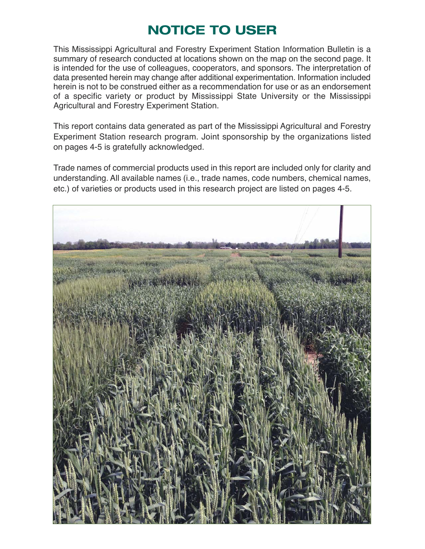## **NOTICE TO USER**

This Mississippi Agricultural and Forestry Experiment Station Information Bulletin is a summary of research conducted at locations shown on the map on the second page. It is intended for the use of colleagues, cooperators, and sponsors. The interpretation of data presented herein may change after additional experimentation. Information included herein is not to be construed either as a recommendation for use or as an endorsement of a specific variety or product by Mississippi State University or the Mississippi Agricultural and Forestry Experiment Station.

This report contains data generated as part of the Mississippi Agricultural and Forestry Experiment Station research program. Joint sponsorship by the organizations listed on pages 4-5 is gratefully acknowledged.

Trade names of commercial products used in this report are included only for clarity and understanding. All available names (i.e., trade names, code numbers, chemical names, etc.) of varieties or products used in this research project are listed on pages 4-5.

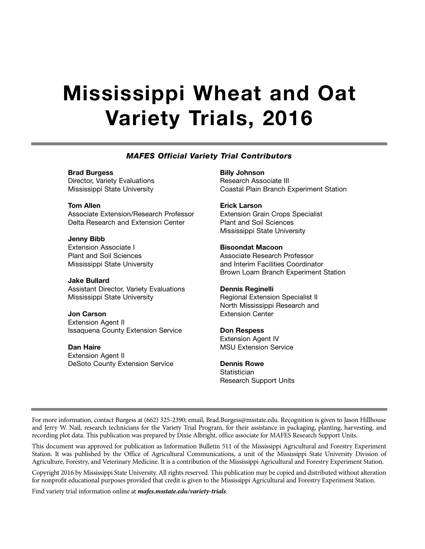# **Mississippi Wheat and Oat Variety Trials, 2016**

#### *MAFES Official Variety Trial Contributors*

**Brad Burgess** Director, Variety Evaluations Mississippi State University

**Tom Allen** Associate Extension/Research Professor Delta Research and Extension Center

**Jenny Bibb** Extension Associate I Plant and Soil Sciences Mississippi State University

**Jake Bullard** Assistant Director, Variety Evaluations Mississippi State University

**Jon Carson** Extension Agent II Issaquena County Extension Service

**Dan Haire** Extension Agent II DeSoto County Extension Service **Billy Johnson** Research Associate III Coastal Plain Branch Experiment Station

**Erick Larson** Extension Grain Crops Specialist Plant and Soil Sciences Mississippi State University

**Bisoondat Macoon** Associate Research Professor and Interim Facilities Coordinator Brown Loam Branch Experiment Station

**Dennis Reginelli** Regional Extension Specialist II North Mississippi Research and Extension Center

**Don Respess** Extension Agent IV MSU Extension Service

**Dennis Rowe Statistician** Research Support Units

For more information, contact Burgess at (662) 325-2390; email, Brad.Burgess@msstate.edu. Recognition is given to Jason Hillhouse and Jerry W. Nail, research technicians for the Variety Trial Program, for their assistance in packaging, planting, harvesting, and recording plot data. This publication was prepared by Dixie Albright, office associate for MAFES Research Support Units.

This document was approved for publication as Information Bulletin 511 of the Mississippi Agricultural and Forestry Experiment Station. It was published by the Office of Agricultural Communications, a unit of the Mississippi State University Division of Agriculture, Forestry, and Veterinary Medicine. It is a contribution of the Mississippi Agricultural and Forestry Experiment Station.

Copyright 2016 by Mississippi State University. All rights reserved. This publication may be copied and distributed without alteration for nonprofit educational purposes provided that credit is given to the Mississippi Agricultural and Forestry Experiment Station.

Find variety trial information online at *mafes.msstate.edu/variety-trials*.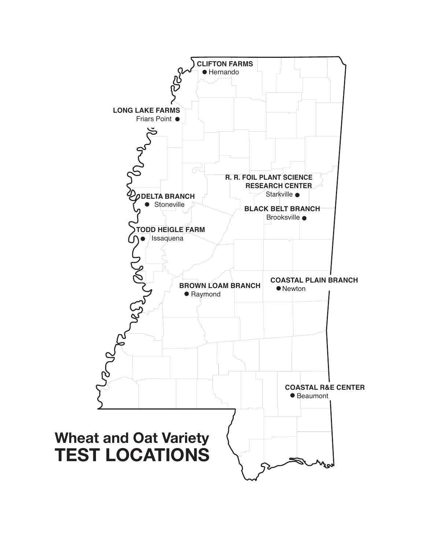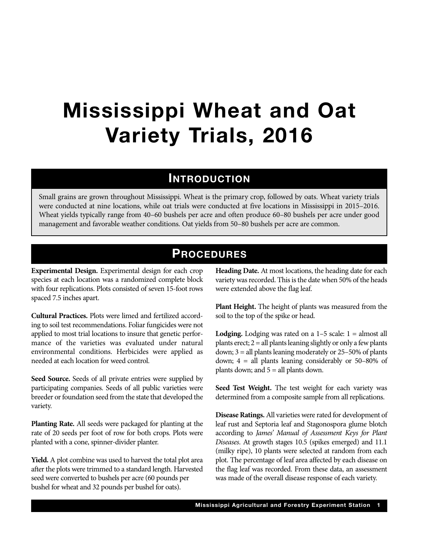# **Mississippi Wheat and Oat Variety Trials, 2016**

### **INTRODUCTION**

Small grains are grown throughout Mississippi. Wheat is the primary crop, followed by oats. Wheat variety trials were conducted at nine locations, while oat trials were conducted at five locations in Mississippi in 2015–2016. Wheat yields typically range from 40–60 bushels per acre and often produce 60–80 bushels per acre under good management and favorable weather conditions. Oat yields from 50–80 bushels per acre are common.

### **PROCEDURES**

**Experimental Design.** Experimental design for each crop species at each location was a randomized complete block with four replications. Plots consisted of seven 15-foot rows spaced 7.5 inches apart.

**Cultural Practices.** Plots were limed and fertilized according to soil test recommendations. Foliar fungicides were not applied to most trial locations to insure that genetic performance of the varieties was evaluated under natural environmental conditions. Herbicides were applied as needed at each location for weed control.

**Seed Source.** Seeds of all private entries were supplied by participating companies. Seeds of all public varieties were breeder or foundation seed from the state that developed the variety.

**Planting Rate.** All seeds were packaged for planting at the rate of 20 seeds per foot of row for both crops. Plots were planted with a cone, spinner-divider planter.

**Yield.** A plot combine was used to harvest the total plot area after the plots were trimmed to a standard length. Harvested seed were converted to bushels per acre (60 pounds per bushel for wheat and 32 pounds per bushel for oats).

**Heading Date.** At most locations, the heading date for each variety was recorded. This is the date when 50% of the heads were extended above the flag leaf.

**Plant Height.** The height of plants was measured from the soil to the top of the spike or head.

**Lodging.** Lodging was rated on a  $1-5$  scale:  $1 =$  almost all plants erect;  $2 =$  all plants leaning slightly or only a few plants down; 3 = all plants leaning moderately or 25–50% of plants down; 4 = all plants leaning considerably or 50–80% of plants down; and 5 = all plants down.

**Seed Test Weight.** The test weight for each variety was determined from a composite sample from all replications.

**Disease Ratings.**All varieties were rated for development of leaf rust and Septoria leaf and Stagonospora glume blotch according to *James' Manual of Assessment Keys for Plant Diseases*. At growth stages 10.5 (spikes emerged) and 11.1 (milky ripe), 10 plants were selected at random from each plot. The percentage of leaf area affected by each disease on the flag leaf was recorded. From these data, an assessment was made of the overall disease response of each variety.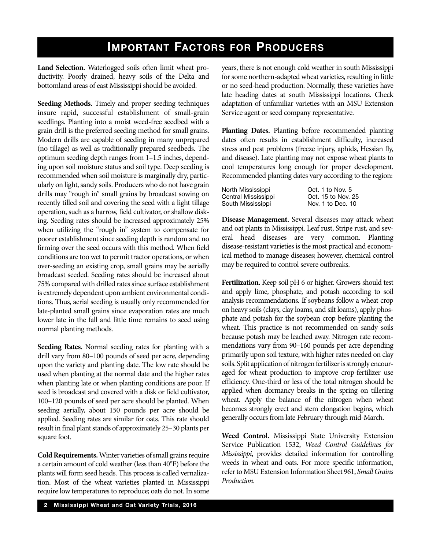## **IMPORTANT FACTORS FOR PRODUCERS**

**Land Selection.** Waterlogged soils often limit wheat productivity. Poorly drained, heavy soils of the Delta and bottomland areas of east Mississippi should be avoided.

**Seeding Methods.** Timely and proper seeding techniques insure rapid, successful establishment of small-grain seedlings. Planting into a moist weed-free seedbed with a grain drill is the preferred seeding method for small grains. Modern drills are capable of seeding in many unprepared (no tillage) as well as traditionally prepared seedbeds. The optimum seeding depth ranges from 1–1.5 inches, depending upon soil moisture status and soil type. Deep seeding is recommended when soil moisture is marginally dry, particularly on light, sandy soils. Producers who do not have grain drills may "rough in" small grains by broadcast sowing on recently tilled soil and covering the seed with a light tillage operation, such as a harrow, field cultivator, or shallow disking. Seeding rates should be increased approximately 25% when utilizing the "rough in" system to compensate for poorer establishment since seeding depth is random and no firming over the seed occurs with this method. When field conditions are too wet to permit tractor operations, or when over-seeding an existing crop, small grains may be aerially broadcast seeded. Seeding rates should be increased about 75% compared with drilled rates since surface establishment is extremely dependent upon ambient environmental conditions. Thus, aerial seeding is usually only recommended for late-planted small grains since evaporation rates are much lower late in the fall and little time remains to seed using normal planting methods.

**Seeding Rates.** Normal seeding rates for planting with a drill vary from 80–100 pounds of seed per acre, depending upon the variety and planting date. The low rate should be used when planting at the normal date and the higher rates when planting late or when planting conditions are poor. If seed is broadcast and covered with a disk or field cultivator, 100–120 pounds of seed per acre should be planted. When seeding aerially, about 150 pounds per acre should be applied. Seeding rates are similar for oats. This rate should result in final plant stands of approximately 25–30 plants per square foot.

**Cold Requirements.**Winter varieties of small grains require a certain amount of cold weather (less than 40°F) before the plants will form seed heads. This process is called vernalization. Most of the wheat varieties planted in Mississippi require low temperatures to reproduce; oats do not. In some years, there is not enough cold weather in south Mississippi for some northern-adapted wheat varieties, resulting in little or no seed-head production. Normally, these varieties have late heading dates at south Mississippi locations. Check adaptation of unfamiliar varieties with an MSU Extension Service agent or seed company representative.

**Planting Dates.** Planting before recommended planting dates often results in establishment difficulty, increased stress and pest problems (freeze injury, aphids, Hessian fly, and disease). Late planting may not expose wheat plants to cool temperatures long enough for proper development. Recommended planting dates vary according to the region:

| North Mississippi   | Oct. 1 to Nov. 5   |
|---------------------|--------------------|
| Central Mississippi | Oct. 15 to Nov. 25 |
| South Mississippi   | Nov. 1 to Dec. 10  |

**Disease Management.** Several diseases may attack wheat and oat plants in Mississippi. Leaf rust, Stripe rust, and several head diseases are very common. Planting disease-resistant varieties is the most practical and economical method to manage diseases; however, chemical control may be required to control severe outbreaks.

**Fertilization.** Keep soil pH 6 or higher. Growers should test and apply lime, phosphate, and potash according to soil analysis recommendations. If soybeans follow a wheat crop on heavy soils (clays, clay loams, and silt loams), apply phosphate and potash for the soybean crop before planting the wheat. This practice is not recommended on sandy soils because potash may be leached away. Nitrogen rate recommendations vary from 90–160 pounds per acre depending primarily upon soil texture, with higher rates needed on clay soils. Split application of nitrogen fertilizer is strongly encouraged for wheat production to improve crop-fertilizer use efficiency. One-third or less of the total nitrogen should be applied when dormancy breaks in the spring on tillering wheat. Apply the balance of the nitrogen when wheat becomes strongly erect and stem elongation begins, which generally occurs from late February through mid-March.

**Weed Control.** Mississippi State University Extension Service Publication 1532, *Weed Control Guidelines for Mississippi*, provides detailed information for controlling weeds in wheat and oats. For more specific information, refer to MSU Extension Information Sheet 961, *Small Grains Production*.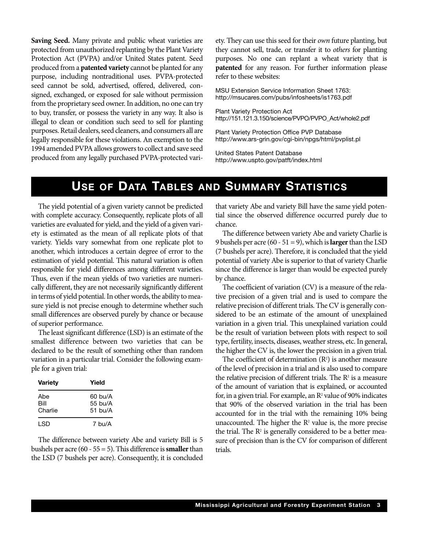**Saving Seed.** Many private and public wheat varieties are protected from unauthorized replanting by the Plant Variety Protection Act (PVPA) and/or United States patent. Seed produced from a **patented variety** cannot be planted for any purpose, including nontraditional uses. PVPA-protected seed cannot be sold, advertised, offered, delivered, consigned, exchanged, or exposed for sale without permission from the proprietary seed owner. In addition, no one can try to buy, transfer, or possess the variety in any way. It also is illegal to clean or condition such seed to sell for planting purposes. Retail dealers, seed cleaners, and consumers all are legally responsible for these violations. An exemption to the 1994 amended PVPA allows growers to collect and save seed produced from any legally purchased PVPA-protected variety. They can use this seed for their *own* future planting, but they cannot sell, trade, or transfer it to *others* for planting purposes. No one can replant a wheat variety that is **patented** for any reason. For further information please refer to these websites:

MSU Extension Service Information Sheet 1763: http://msucares.com/pubs/infosheets/is1763.pdf

Plant Variety Protection Act http://151.121.3.150/science/PVPO/PVPO\_Act/whole2.pdf

Plant Variety Protection Office PVP Database http://www.ars-grin.gov/cgi-bin/npgs/html/pvplist.pl

United States Patent Database http://www.uspto.gov/patft/index.html

### **USE OF DATA TABLES AND SUMMARY STATISTICS**

The yield potential of a given variety cannot be predicted with complete accuracy. Consequently, replicate plots of all varieties are evaluated for yield, and the yield of a given variety is estimated as the mean of all replicate plots of that variety. Yields vary somewhat from one replicate plot to another, which introduces a certain degree of error to the estimation of yield potential. This natural variation is often responsible for yield differences among different varieties. Thus, even if the mean yields of two varieties are numerically different, they are not necessarily significantly different in terms of yield potential. In other words, the ability to measure yield is not precise enough to determine whether such small differences are observed purely by chance or because of superior performance.

The least significant difference (LSD) is an estimate of the smallest difference between two varieties that can be declared to be the result of something other than random variation in a particular trial. Consider the following example for a given trial:

| Variety                | Yield                             |
|------------------------|-----------------------------------|
| Abe<br>Bill<br>Charlie | 60 bu/A<br>$55$ bu/A<br>$51$ bu/A |
| I SD                   | 7 bu/A                            |

The difference between variety Abe and variety Bill is 5 bushels per acre (60 - 55 = 5). This difference is **smaller** than the LSD (7 bushels per acre). Consequently, it is concluded

that variety Abe and variety Bill have the same yield potential since the observed difference occurred purely due to chance.

The difference between variety Abe and variety Charlie is 9 bushels per acre (60 - 51 = 9), which is **larger** than the LSD (7 bushels per acre). Therefore, it is concluded that the yield potential of variety Abe is superior to that of variety Charlie since the difference is larger than would be expected purely by chance.

The coefficient of variation (CV) is a measure of the relative precision of a given trial and is used to compare the relative precision of different trials. The CV is generally considered to be an estimate of the amount of unexplained variation in a given trial. This unexplained variation could be the result of variation between plots with respect to soil type, fertility, insects, diseases, weather stress, etc. In general, the higher the CV is, the lower the precision in a given trial.

The coefficient of determination  $(R^2)$  is another measure of the level of precision in a trial and is also used to compare the relative precision of different trials. The  $R<sup>2</sup>$  is a measure of the amount of variation that is explained, or accounted for, in a given trial. For example, an  $\mathbb{R}^2$  value of 90% indicates that 90% of the observed variation in the trial has been accounted for in the trial with the remaining 10% being unaccounted. The higher the  $R<sup>2</sup>$  value is, the more precise the trial. The  $R<sup>2</sup>$  is generally considered to be a better measure of precision than is the CV for comparison of different trials.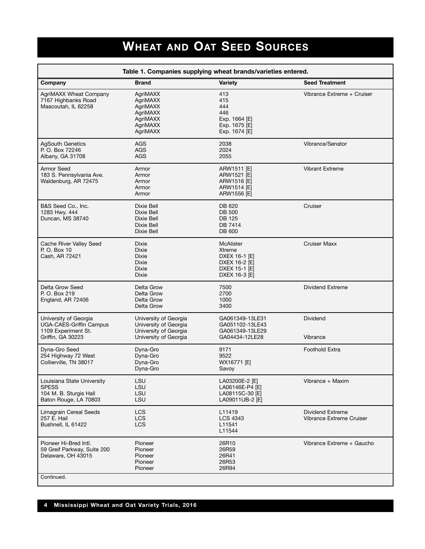## **WHEAT AND OAT SEED SOURCES**

|                                                                                                     |                                                                                                  | Table 1. Companies supplying wheat brands/varieties entered.                                   |                                              |
|-----------------------------------------------------------------------------------------------------|--------------------------------------------------------------------------------------------------|------------------------------------------------------------------------------------------------|----------------------------------------------|
| Company                                                                                             | <b>Brand</b>                                                                                     | Variety                                                                                        | <b>Seed Treatment</b>                        |
| <b>AgriMAXX Wheat Company</b><br>7167 Highbanks Road<br>Mascoutah, IL 62258                         | AgriMAXX<br>AgriMAXX<br>AgriMAXX<br>AgriMAXX<br>AgriMAXX<br>AgriMAXX<br>AgriMAXX                 | 413<br>415<br>444<br>446<br>Exp. 1664 [E]<br>Exp. 1675 [E]<br>Exp. 1674 [E]                    | Vibrance Extreme + Cruiser                   |
| <b>AgSouth Genetics</b><br>P. O. Box 72246<br>Albany, GA 31708                                      | AGS<br>AGS<br>AGS                                                                                | 2038<br>2024<br>2055                                                                           | Vibrance/Senator                             |
| Armor Seed<br>183 S. Pennsylvania Ave.<br>Waldenburg, AR 72475                                      | Armor<br>Armor<br>Armor<br>Armor<br>Armor                                                        | ARW1511 [E]<br>ARW1521 [E]<br>ARW1516 [E]<br>ARW1514 [E]<br>ARW1556 [E]                        | <b>Vibrant Extreme</b>                       |
| B&S Seed Co., Inc.<br>1283 Hwy. 444<br>Duncan, MS 38740                                             | Dixie Bell<br>Dixie Bell<br>Dixie Bell<br>Dixie Bell<br>Dixie Bell                               | DB 620<br><b>DB 500</b><br><b>DB 125</b><br>DB 7414<br><b>DB 600</b>                           | Cruiser                                      |
| Cache River Valley Seed<br>P. O. Box 10<br>Cash, AR 72421                                           | Dixie<br><b>Dixie</b><br><b>Dixie</b><br><b>Dixie</b><br><b>Dixie</b><br><b>Dixie</b>            | <b>McAlister</b><br>Xtreme<br>DXEX 16-1 [E]<br>DXEX 16-2 [E]<br>DXEX 15-1 [E]<br>DXEX 16-3 [E] | <b>Cruiser Maxx</b>                          |
| Delta Grow Seed<br>P. O. Box 219<br>England, AR 72406                                               | Delta Grow<br>Delta Grow<br>Delta Grow<br>Delta Grow                                             | 7500<br>2700<br>1000<br>3400                                                                   | Dividend Extreme                             |
| University of Georgia<br><b>UGA-CAES-Griffin Campus</b><br>1109 Experiment St.<br>Griffin, GA 30223 | University of Georgia<br>University of Georgia<br>University of Georgia<br>University of Georgia | GA061349-13LE31<br>GA051102-13LE43<br>GA061349-13LE29<br>GA04434-12LE28                        | <b>Dividend</b><br>Vibrance                  |
| Dyna-Gro Seed<br>254 Highway 72 West<br>Collierville, TN 38017                                      | Dyna-Gro<br>Dyna-Gro<br>Dyna-Gro<br>Dyna-Gro                                                     | 9171<br>9522<br>WX16771 [E]<br>Savoy                                                           | <b>Foothold Extra</b>                        |
| Louisiana State University<br><b>SPESS</b><br>104 M. B. Sturgis Hall<br>Baton Rouge, LA 70803       | LSU<br>LSU<br>LSU<br>LSU                                                                         | LA03200E-2 [E]<br>LA06146E-P4 [E]<br>LA08115C-30 [E]<br>LA09011UB-2 [E]                        | Vibrance + Maxim                             |
| <b>Limagrain Cereal Seeds</b><br>257 E. Hail<br>Bushnell, IL 61422                                  | <b>LCS</b><br><b>LCS</b><br><b>LCS</b>                                                           | L11419<br><b>LCS 4343</b><br>L11541<br>L11544                                                  | Dividend Extreme<br>Vibrance Extreme Cruiser |
| Pioneer Hi-Bred Intl.<br>59 Greif Parkway, Suite 200<br>Delaware, OH 43015                          | Pioneer<br>Pioneer<br>Pioneer<br>Pioneer<br>Pioneer                                              | 26R10<br>26R59<br>26R41<br>26R53<br>26R94                                                      | Vibrance Extreme + Gaucho                    |
| Continued.                                                                                          |                                                                                                  |                                                                                                |                                              |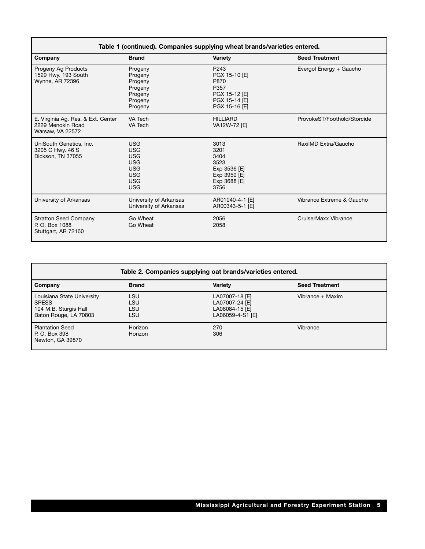|                                                                             |                                                                                                              | Table 1 (continued). Companies supplying wheat brands/varieties entered.                             |                             |
|-----------------------------------------------------------------------------|--------------------------------------------------------------------------------------------------------------|------------------------------------------------------------------------------------------------------|-----------------------------|
| Company                                                                     | <b>Brand</b>                                                                                                 | <b>Variety</b>                                                                                       | <b>Seed Treatment</b>       |
| Progeny Ag Products<br>1529 Hwy. 193 South<br>Wynne, AR 72396               | Progeny<br>Progeny<br>Progeny<br>Progeny<br>Progeny<br>Progeny<br>Progeny                                    | P <sub>243</sub><br>PGX 15-10 [E]<br>P870<br>P357<br>PGX 15-12 [E]<br>PGX 15-14 [E]<br>PGX 15-16 [E] | Evergol Energy + Gaucho     |
| E. Virginia Ag. Res. & Ext. Center<br>2229 Menokin Road<br>Warsaw, VA 22572 | VA Tech<br>VA Tech                                                                                           | <b>HILLIARD</b><br>VA12W-72 [E]                                                                      | ProvokeST/Foothold/Storcide |
| UniSouth Genetics, Inc.<br>3205 C Hwy. 46 S<br>Dickson, TN 37055            | <b>USG</b><br><b>USG</b><br><b>USG</b><br><b>USG</b><br><b>USG</b><br><b>USG</b><br><b>USG</b><br><b>USG</b> | 3013<br>3201<br>3404<br>3523<br>Exp 3536 [E]<br>Exp 3959 [E]<br>Exp 3688 [E]<br>3756                 | RaxilMD Extra/Gaucho        |
| University of Arkansas                                                      | University of Arkansas<br>University of Arkansas                                                             | AR01040-4-1 [E]<br>AR00343-5-1 [E]                                                                   | Vibrance Extreme & Gaucho   |
| <b>Stratton Seed Company</b><br>P. O. Box 1088<br>Stuttgart, AR 72160       | Go Wheat<br>Go Wheat                                                                                         | 2056<br>2058                                                                                         | CruiserMaxx Vibrance        |

|                                                                                         | Table 2. Companies supplying oat brands/varieties entered. |                                                                        |                       |  |  |  |  |
|-----------------------------------------------------------------------------------------|------------------------------------------------------------|------------------------------------------------------------------------|-----------------------|--|--|--|--|
| Company                                                                                 | <b>Brand</b>                                               | <b>Variety</b>                                                         | <b>Seed Treatment</b> |  |  |  |  |
| Louisiana State University<br>l SPESS<br>104 M.B. Sturgis Hall<br>Baton Rouge, LA 70803 | <b>LSU</b><br>LSU<br>LSU<br>LSU                            | LA07007-18 [E]<br>LA07007-24 [E]<br>LA08084-15 [E]<br>LA06059-4-S1 [E] | Vibrance + Maxim      |  |  |  |  |
| Plantation Seed<br>P. O. Box 398<br>Newton, GA 39870                                    | Horizon<br>Horizon                                         | 270<br>306                                                             | Vibrance              |  |  |  |  |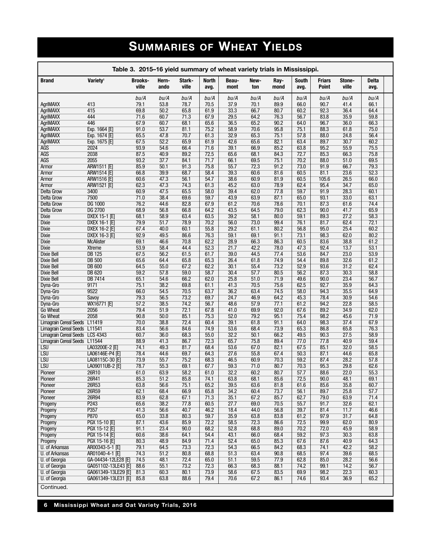## **SUMMARIES OF WHEAT YIELDS**

|                                                     | Table 3. 2015–16 yield summary of wheat variety trials in Mississippi. |         |               |                 |                      |               |              |              |                      |                        |                 |               |  |
|-----------------------------------------------------|------------------------------------------------------------------------|---------|---------------|-----------------|----------------------|---------------|--------------|--------------|----------------------|------------------------|-----------------|---------------|--|
| Variety <sup>1</sup><br><b>Brand</b>                | ville                                                                  | Brooks- | Hern-<br>ando | Stark-<br>ville | <b>North</b><br>avg. | Beau-<br>mont | New-<br>ton  | Ray-<br>mond | <b>South</b><br>avg. | Friars<br><b>Point</b> | Stone-<br>ville | Delta<br>avg. |  |
|                                                     |                                                                        | bu/A    | bu/A          | bu/A            | bu/A                 | bu/A          | bu/A         | bu/A         | bu/A                 | bu/A                   | bu/A            | bu/A          |  |
| 413<br>AgriMAXX                                     | 79.1                                                                   |         | 53.8          | 78.7            | 70.5                 | 37.9          | 70.1         | 89.9         | 66.0                 | 90.7                   | 41.4            | 66.1          |  |
| 415<br><b>AgriMAXX</b>                              |                                                                        | 69.8    | 50.2          | 65.8            | 61.9                 | 33.3          | 66.7         | 80.7         | 60.2                 | 92.3                   | 36.4            | 64.4          |  |
| <b>AgriMAXX</b><br>444                              | 71.6                                                                   |         | 60.7          | 71.3            | 67.9                 | 29.5          | 64.2         | 76.3         | 56.7                 | 83.8                   | 35.9            | 59.8          |  |
| <b>AgriMAXX</b><br>446<br><b>AgriMAXX</b>           | 91.0<br>Exp. 1664 [E]                                                  | 67.9    | 60.7<br>53.7  | 68.1<br>81.1    | 65.6<br>75.2         | 36.5<br>58.9  | 65.2<br>70.6 | 90.2<br>95.8 | 64.0<br>75.1         | 96.7<br>88.3           | 36.0<br>61.8    | 66.3<br>75.0  |  |
| <b>AgriMAXX</b>                                     | Exp. 1674 [E]                                                          | 65.5    | 47.8          | 70.7            | 61.3                 | 32.9          | 65.3         | 75.1         | 57.8                 | 88.0                   | 24.8            | 56.4          |  |
| AgriMAXX                                            | 67.5<br>Exp. 1675 [E]                                                  |         | 52.2          | 65.9            | 61.9                 | 42.6          | 65.6         | 82.1         | 63.4                 | 89.7                   | 30.7            | 60.2          |  |
| <b>AGS</b><br>2024                                  |                                                                        | 93.9    | 54.6          | 66.4            | 71.6                 | 39.1          | 66.9         | 85.2         | 63.8                 | 95.2                   | 55.9            | 75.5          |  |
| <b>AGS</b><br>2038                                  |                                                                        | 87.5    | 40.9          | 89.2            | 72.5                 | 65.6          | 68.1         | 84.3         | 72.7                 | 85.3                   | 66.3            | 75.8          |  |
| 2055<br>AGS                                         |                                                                        | 93.2    | 37.7          | 84.1            | 71.7                 | 66.1          | 69.5         | 75.1         | 70.2                 | 88.0                   | 51.0            | 69.5          |  |
| Armor                                               | 85.9<br>ARW1511 [E]                                                    |         | 50.1          | 91.3            | 75.8                 | 55.7          | 72.3         | 91.2         | 73.0                 | 91.9                   | 66.7            | 79.3          |  |
| Armor                                               | <b>ARW1514 [E]</b>                                                     | 66.8    | 39.9          | 68.7            | 58.4                 | 39.3          | 60.6         | 81.6         | 60.5                 | 81.1                   | 23.6            | 52.3          |  |
| Armor                                               | 60.6<br>ARW1516 [E]<br><b>ARW1521 [E]</b>                              | 62.3    | 47.3<br>47.3  | 56.1<br>74.3    | 54.7<br>61.3         | 38.6<br>45.2  | 60.9<br>63.0 | 81.9<br>78.9 | 60.5<br>62.4         | 105.6<br>95.4          | 26.5<br>34.7    | 66.0<br>65.0  |  |
| Armor<br>3400<br>Delta Grow                         |                                                                        | 60.9    | 47.5          | 65.5            | 58.0                 | 39.4          | 62.0         | 77.8         | 59.7                 | 91.9                   | 28.3            | 60.1          |  |
| 7500<br><b>Delta Grow</b>                           |                                                                        | 71.0    | 38.4          | 69.6            | 59.7                 | 43.9          | 63.9         | 87.1         | 65.0                 | 93.1                   | 33.0            | 63.1          |  |
| DG 1000<br>Delta Grow                               | 76.2                                                                   |         | 44.6          | 82.8            | 67.9                 | 61.2          | 70.6         | 78.6         | 70.1                 | 87.3                   | 61.6            | 74.4          |  |
| <b>DG 2700</b><br><b>Delta Grow</b>                 |                                                                        | 68.9    | 56.8          | 66.8            | 64.2                 | 43.5          | 64.5         | 79.0         | 62.3                 | 90.0                   | 41.7            | 65.9          |  |
| Dixie                                               | 68.1<br>DXEX 15-1 [E]                                                  |         | 58.9          | 63.4            | 63.5                 | 39.2          | 58.1         | 80.0         | 59.1                 | 89.3                   | 27.2            | 58.3          |  |
| Dixie                                               | DXEX 16-1 [E]                                                          | 79.9    | 51.7          | 78.9            | 70.2                 | 56.0          | 73.0         | 99.4         | 76.1                 | 81.7                   | 62.4            | 72.1          |  |
| Dixie                                               | DXEX 16-2 [E]<br>67.4                                                  |         | 40.0          | 60.1            | 55.8                 | 29.2          | 61.1         | 80.2         | 56.8                 | 95.0                   | 25.4            | 60.2          |  |
| Dixie                                               | DXEX 16-3 [E]                                                          | 92.9    | 49.5          | 86.6            | 76.3                 | 59.1          | 69.1         | 91.1         | 73.1                 | 98.3                   | 62.0            | 80.2          |  |
| <b>McAlister</b><br>Dixie<br><b>Xtreme</b><br>Dixie | 69.1                                                                   | 53.9    | 46.6<br>58.4  | 70.8<br>44.4    | 62.2<br>52.3         | 28.9<br>21.7  | 66.3<br>42.2 | 86.3<br>78.0 | 60.5<br>47.3         | 83.6<br>92.4           | 38.8<br>13.7    | 61.2<br>53.1  |  |
| <b>DB 125</b><br>Dixie Bell                         |                                                                        | 67.5    | 56.2          | 61.5            | 61.7                 | 39.0          | 44.5         | 77.4         | 53.6                 | 84.7                   | 23.0            | 53.9          |  |
| <b>DB 500</b><br><b>Dixie Bell</b>                  |                                                                        | 65.6    | 64.4          | 65.8            | 65.3                 | 26.4          | 61.8         | 74.9         | 54.4                 | 89.8                   | 32.6            | 61.2          |  |
| <b>Dixie Bell</b><br><b>DB 600</b>                  |                                                                        | 64.5    | 55.0          | 67.2            | 62.2                 | 30.1          | 55.4         | 73.2         | 52.9                 | 93.6                   | 31.2            | 62.4          |  |
| <b>DB 620</b><br><b>Dixie Bell</b>                  |                                                                        | 59.2    | 57.8          | 59.0            | 58.7                 | 30.4          | 57.7         | 80.5         | 56.2                 | 87.3                   | 30.3            | 58.8          |  |
| <b>Dixie Bell</b><br><b>DB 7414</b>                 | 65.1                                                                   |         | 54.6          | 66.2            | 62.0                 | 25.8          | 51.0         | 71.9         | 49.6                 | 90.0                   | 23.4            | 56.7          |  |
| 9171<br>Dyna-Gro                                    | 75.1                                                                   |         | 38.2          | 69.8            | 61.1                 | 41.3          | 70.5         | 75.6         | 62.5                 | 92.7                   | 35.9            | 64.3          |  |
| 9522<br>Dyna-Gro                                    | 66.0                                                                   |         | 54.5          | 70.5            | 63.7                 | 36.2          | 63.4         | 74.5         | 58.0                 | 94.3                   | 35.5            | 64.9          |  |
| Dyna-Gro<br>Savoy<br>Dyna-Gro                       | WX16771 [E]<br>57.2                                                    | 79.3    | 56.5<br>38.5  | 73.2<br>74.2    | 69.7<br>56.7         | 24.7<br>48.6  | 46.9<br>57.9 | 64.2<br>77.1 | 45.3<br>61.2         | 78.4<br>94.2           | 30.9<br>22.8    | 54.6<br>58.5  |  |
| <b>Go Wheat</b><br>2056                             |                                                                        | 79.4    | 51.9          | 72.1            | 67.8                 | 41.0          | 69.9         | 92.0         | 67.6                 | 89.2                   | 34.9            | 62.0          |  |
| 2058<br>Go Wheat                                    |                                                                        | 90.8    | 50.0          | 85.1            | 75.3                 | 52.0          | 79.2         | 95.1         | 75.4                 | 98.2                   | 45.6            | 71.9          |  |
| Limagrain Cereal Seeds L11419                       |                                                                        | 70.0    | 38.8          | 72.4            | 60.4                 | 39.1          | 61.8         | 91.1         | 64.0                 | 98.3                   | 37.4            | 67.9          |  |
| Limagrain Cereal Seeds L11541                       | 83.4                                                                   |         | 56.6          | 84.6            | 74.9                 | 53.6          | 68.4         | 73.9         | 65.3                 | 86.8                   | 65.8            | 76.3          |  |
| Limagrain Cereal Seeds LCS 4343                     |                                                                        | 60.7    | 36.0          | 68.3            | 55.0                 | 32.2          | 50.1         | 66.2         | 49.5                 | 90.3                   | 27.5            | 58.9          |  |
| Limagrain Cereal Seeds L11544                       | 88.9                                                                   |         | 41.3          | 86.7            | 72.3                 | 65.7          | 75.8         | 89.4         | 77.0                 | 77.8                   | 40.9            | 59.4          |  |
| LSU<br><b>LSU</b>                                   | LA03200E-2 [E]<br>74.1<br>LA06146E-P4 [E]<br>78.4                      |         | 49.3<br>44.6  | 81.7<br>69.7    | 68.4<br>64.3         | 53.6<br>27.6  | 67.0<br>55.8 | 82.1<br>67.4 | 67.5<br>50.3         | 85.1<br>87.1           | 32.0<br>44.6    | 58.5<br>65.8  |  |
| LSU                                                 | LA08115C-30 [E]                                                        | 73.9    | 55.7          | 75.2            | 68.3                 | 46.5          | 60.9         | 70.3         | 59.2                 | 87.4                   | 28.2            | 57.8          |  |
| <b>LSU</b>                                          | 78.7<br>LA09011UB-2 [E]                                                |         | 55.3          | 69.1            | 67.7                 | 59.3          | 71.0         | 80.7         | 70.3                 | 95.3                   | 29.8            | 62.6          |  |
| Pioneer<br>26R10                                    | 61.0                                                                   |         | 63.9          | 58.2            | 61.0                 | 32.2          | 60.2         | 80.7         | 57.7                 | 88.6                   | 22.0            | 55.3          |  |
| Pioneer<br>26R41                                    | 85.3                                                                   |         | 51.2          | 85.8            | 74.1                 | 63.8          | 68.1         | 85.6         | 72.5                 | 90.0                   | 48.1            | 69.1          |  |
| Pioneer<br>26R53                                    |                                                                        | 63.8    | 56.6          | 75.1            | 65.2                 | 39.5          | 63.6         | 81.8         | 61.6                 | 85.6                   | 35.8            | 60.7          |  |
| 26R59<br>Pioneer                                    | 62.1                                                                   |         | 68.4          | 66.9            | 65.8                 | 34.2          | 60.4         | 73.7         | 56.1                 | 89.7                   | 25.8            | 57.7          |  |
| Pioneer<br>26R94                                    |                                                                        | 83.9    | 62.8          | 67.1            | 71.3                 | 35.1          | 67.2         | 85.7         | 62.7                 | 79.0                   | 63.9            | 71.4          |  |
| P243<br>Progeny<br>P357<br>Progeny                  | 65.6                                                                   | 41.3    | 38.2<br>56.6  | 77.8<br>40.7    | 60.5<br>46.2         | 27.7<br>18.4  | 69.0<br>44.0 | 70.5<br>56.8 | 55.7<br>39.7         | 91.7<br>81.4           | 32.6<br>11.7    | 62.1<br>46.6  |  |
| P870<br>Progeny                                     |                                                                        | 65.0    | 33.8          | 80.3            | 59.7                 | 35.9          | 63.8         | 83.8         | 61.2                 | 97.9                   | 31.7            | 64.8          |  |
| Progeny                                             | PGX 15-10 [E]<br>87.1                                                  |         | 43.6          | 85.9            | 72.2                 | 58.5          | 72.3         | 86.6         | 72.5                 | 99.9                   | 62.0            | 80.9          |  |
| Progeny                                             | PGX 15-12 [E]<br>91.1                                                  |         | 23.4          | 90.0            | 68.2                 | 52.8          | 68.8         | 89.0         | 70.2                 | 72.0                   | 45.9            | 58.9          |  |
| Progeny                                             | PGX 15-14 [E]<br>60.6                                                  |         | 38.6          | 64.1            | 54.4                 | 43.1          | 66.0         | 68.4         | 59.2                 | 97.3                   | 30.3            | 63.8          |  |
| Progeny                                             | <b>PGX 15-16 [E]</b><br>80.3                                           |         | 48.9          | 84.9            | 71.4                 | 52.4          | 65.0         | 85.3         | 67.6                 | 87.6                   | 40.9            | 64.3          |  |
| U. of Arkansas                                      | AR00343-5-1 [E]<br>79.1                                                |         | 64.5          | 73.3            | 72.3                 | 54.3          | 66.5         | 84.2         | 68.3                 | 74.1                   | 42.2            | 58.2          |  |
| U. of Arkansas                                      | AR01040-4-1 [E]<br>74.3                                                |         | 51.2          | 80.8            | 68.8                 | 51.3          | 63.4         | 90.8         | 68.5                 | 97.4                   | 39.6            | 68.5          |  |
| U. of Georgia<br>U. of Georgia                      | GA-04434-12LE28 [E]<br>74.5                                            |         | 48.1<br>55.1  | 72.4<br>73.2    | 65.0<br>72.3         | 51.1<br>66.3  | 59.5<br>68.3 | 77.9<br>88.1 | 62.8<br>74.2         | 85.0<br>99.1           | 28.2            | 56.6<br>56.7  |  |
|                                                     |                                                                        |         |               |                 |                      |               |              |              |                      |                        | 14.2            |               |  |
|                                                     | GA051102-13LE43 [E]<br>88.6                                            |         |               |                 |                      |               |              |              |                      |                        |                 |               |  |
| U. of Georgia<br>U. of Georgia                      | GA061349-13LE29 [E]<br>81.3<br>GA061349-13LE31 [E]<br>85.8             |         | 60.3<br>63.8  | 80.1<br>88.6    | 73.9<br>79.4         | 58.6<br>70.6  | 67.5<br>67.2 | 83.5<br>86.1 | 69.9<br>74.6         | 98.2<br>93.4           | 22.3<br>36.9    | 60.3<br>65.2  |  |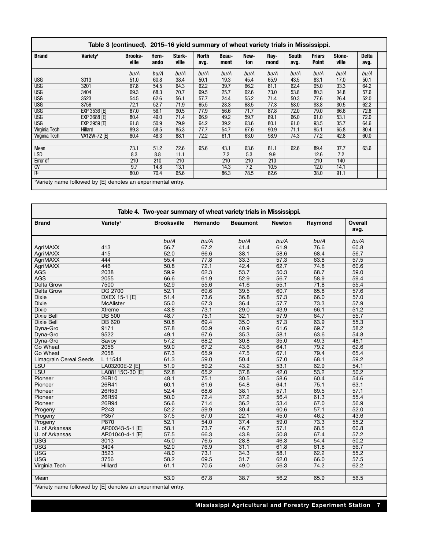|                      |                                                             | Table 3 (continued). 2015–16 yield summary of wheat variety trials in Mississippi. |               |                 |                      |               |             |              |                      |                               |                 |                      |  |
|----------------------|-------------------------------------------------------------|------------------------------------------------------------------------------------|---------------|-----------------|----------------------|---------------|-------------|--------------|----------------------|-------------------------------|-----------------|----------------------|--|
| <b>Brand</b>         | Variety <sup>1</sup>                                        | <b>Brooks-</b><br>ville                                                            | Hern-<br>ando | Stark-<br>ville | <b>North</b><br>avg. | Beau-<br>mont | New-<br>ton | Ray-<br>mond | <b>South</b><br>avg. | <b>Friars</b><br><b>Point</b> | Stone-<br>ville | <b>Delta</b><br>avg. |  |
|                      |                                                             | bu/A                                                                               | bu/A          | bu/A            | bu/A                 | bu/A          | bu/A        | bu/A         | bu/A                 | bu/A                          | bu/A            | bu/A                 |  |
| <b>USG</b>           | 3013                                                        | 51.0                                                                               | 60.8          | 38.4            | 50.1                 | 19.3          | 45.4        | 65.9         | 43.5                 | 83.1                          | 17.0            | 50.1                 |  |
| <b>USG</b>           | 3201                                                        | 67.8                                                                               | 54.5          | 64.3            | 62.2                 | 39.7          | 66.2        | 81.1         | 62.4                 | 95.0                          | 33.3            | 64.2                 |  |
| <b>USG</b>           | 3404                                                        | 69.3                                                                               | 68.3          | 70.7            | 69.5                 | 25.7          | 62.6        | 73.0         | 53.8                 | 80.3                          | 34.8            | 57.6                 |  |
| <b>USG</b>           | 3523                                                        | 54.5                                                                               | 62.6          | 56.1            | 57.7                 | 24.4          | 55.2        | 71.4         | 50.3                 | 77.6                          | 26.4            | 52.0                 |  |
| <b>USG</b>           | 3756                                                        | 72.1                                                                               | 52.7          | 71.9            | 65.5                 | 28.3          | 68.5        | 77.3         | 58.0                 | 93.8                          | 30.5            | 62.2                 |  |
| <b>USG</b>           | <b>EXP 3536 [E]</b>                                         | 87.0                                                                               | 56.1          | 90.5            | 77.9                 | 56.6          | 71.7        | 87.8         | 72.0                 | 79.0                          | 66.6            | 72.8                 |  |
| <b>USG</b>           | <b>EXP 3688 [E]</b>                                         | 80.4                                                                               | 49.0          | 71.4            | 66.9                 | 49.2          | 59.7        | 89.1         | 66.0                 | 91.0                          | 53.1            | 72.0                 |  |
| <b>USG</b>           | <b>EXP 3959 [E]</b>                                         | 61.8                                                                               | 50.9          | 79.9            | 64.2                 | 39.2          | 63.6        | 80.1         | 61.0                 | 93.5                          | 35.7            | 64.6                 |  |
| <b>Virginia Tech</b> | Hillard                                                     | 89.3                                                                               | 58.5          | 85.3            | 77.7                 | 54.7          | 67.6        | 90.9         | 71.1                 | 95.1                          | 65.8            | 80.4                 |  |
| Virginia Tech        | VA12W-72 [E]                                                | 80.4                                                                               | 48.3          | 88.1            | 72.2                 | 61.1          | 63.0        | 98.9         | 74.3                 | 77.2                          | 42.8            | 60.0                 |  |
|                      |                                                             |                                                                                    |               |                 |                      |               |             |              |                      |                               |                 |                      |  |
| Mean                 |                                                             | 73.1                                                                               | 51.2          | 72.6            | 65.6                 | 43.1          | 63.6        | 81.1         | 62.6                 | 89.4                          | 37.7            | 63.6                 |  |
| <b>LSD</b>           |                                                             | 8.3                                                                                | 8.8           | 11.1            |                      | 7.2           | 5.3         | 9.9          |                      | 12.6                          | 7.2             |                      |  |
| Error df             |                                                             | 210                                                                                | 210           | 210             |                      | 210           | 210         | 210          |                      | 210                           | 140             |                      |  |
| CV                   |                                                             | 9.7                                                                                | 14.8          | 13.1            |                      | 14.3          | 7.2         | 10.5         |                      | 12.0                          | 14.1            |                      |  |
| $R^2$                |                                                             | 80.0                                                                               | 70.4          | 65.6            |                      | 86.3          | 78.5        | 62.6         |                      | 38.0                          | 91.1            |                      |  |
|                      | Variety name followed by [E] denotes an experimental entry. |                                                                                    |               |                 |                      |               |             |              |                      |                               |                 |                      |  |

|                                                                          |                      | Table 4. Two-year summary of wheat variety trials in Mississippi. |          |                 |               |         |                        |
|--------------------------------------------------------------------------|----------------------|-------------------------------------------------------------------|----------|-----------------|---------------|---------|------------------------|
| <b>Brand</b>                                                             | Variety <sup>1</sup> | <b>Brooksville</b>                                                | Hernando | <b>Beaumont</b> | <b>Newton</b> | Raymond | <b>Overall</b><br>avg. |
|                                                                          |                      | bu/A                                                              | bu/A     | bu/A            | bu/A          | bu/A    | bu/A                   |
| AgriMAXX                                                                 | 413                  | 56.7                                                              | 67.2     | 41.4            | 61.9          | 76.6    | 60.8                   |
| <b>AgriMAXX</b>                                                          | 415                  | 52.0                                                              | 66.6     | 38.1            | 58.6          | 68.4    | 56.7                   |
| <b>AgriMAXX</b>                                                          | 444                  | 55.4                                                              | 77.8     | 33.3            | 57.3          | 63.8    | 57.5                   |
| <b>AgriMAXX</b>                                                          | 446                  | 50.8                                                              | 72.1     | 42.4            | 62.7          | 74.8    | 60.6                   |
| <b>AGS</b>                                                               | 2038                 | 59.9                                                              | 62.3     | 53.7            | 50.3          | 68.7    | 59.0                   |
| <b>AGS</b>                                                               | 2055                 | 66.6                                                              | 61.9     | 52.9            | 56.7          | 58.9    | 59.4                   |
| <b>Delta Grow</b>                                                        | 7500                 | 52.9                                                              | 55.6     | 41.6            | 55.1          | 71.8    | 55.4                   |
| <b>Delta Grow</b>                                                        | <b>DG 2700</b>       | 52.1                                                              | 69.6     | 39.5            | 60.7          | 65.8    | 57.6                   |
| <b>Dixie</b>                                                             | <b>DXEX 15-1 [E]</b> | 51.4                                                              | 73.6     | 36.8            | 57.3          | 66.0    | 57.0                   |
| <b>Dixie</b>                                                             | <b>McAlister</b>     | 55.0                                                              | 67.3     | 36.4            | 57.7          | 73.3    | 57.9                   |
| <b>Dixie</b>                                                             | <b>Xtreme</b>        | 43.8                                                              | 73.1     | 29.0            | 43.9          | 66.1    | 51.2                   |
| <b>Dixie Bell</b>                                                        | <b>DB 500</b>        | 48.7                                                              | 75.1     | 32.1            | 57.9          | 64.7    | 55.7                   |
| <b>Dixie Bell</b>                                                        | <b>DB 620</b>        | 50.8                                                              | 69.4     | 35.0            | 57.3          | 63.9    | 55.3                   |
| Dyna-Gro                                                                 | 9171                 | 57.8                                                              | 60.9     | 40.9            | 61.6          | 69.7    | 58.2                   |
| Dyna-Gro                                                                 | 9522                 | 49.1                                                              | 67.6     | 35.3            | 58.1          | 63.6    | 54.8                   |
| Dvna-Gro                                                                 | Savoy                | 57.2                                                              | 68.2     | 30.8            | 35.0          | 49.3    | 48.1                   |
| <b>Go Wheat</b>                                                          | 2056                 | 59.0                                                              | 67.2     | 43.6            | 64.1          | 79.2    | 62.6                   |
| <b>Go Wheat</b>                                                          | 2058                 | 67.3                                                              | 65.9     | 47.5            | 67.1          | 79.4    | 65.4                   |
| <b>Limagrain Cereal Seeds</b>                                            | L 11544              | 61.3                                                              | 59.0     | 50.4            | 57.0          | 68.1    | 59.2                   |
| <b>LSU</b>                                                               | LA03200E-2 [E]       | 51.9                                                              | 59.2     | 43.2            | 53.1          | 62.9    | 54.1                   |
| <b>LSU</b>                                                               | LA08115C-30 [E]      | 52.8                                                              | 65.2     | 37.8            | 42.0          | 53.2    | 50.2                   |
| Pioneer                                                                  | 26R10                | 48.1                                                              | 75.1     | 30.5            | 58.6          | 60.4    | 54.6                   |
| Pioneer                                                                  | 26R41                | 60.1                                                              | 61.6     | 54.8            | 64.1          | 75.1    | 63.1                   |
| Pioneer                                                                  | 26R53                | 52.4                                                              | 68.6     | 38.1            | 57.1          | 69.5    | 57.1                   |
| Pioneer                                                                  | 26R59                | 50.0                                                              | 72.4     | 37.2            | 56.4          | 61.3    | 55.4                   |
| Pioneer                                                                  | 26R94                | 56.6                                                              | 71.4     | 36.2            | 53.4          | 67.0    | 56.9                   |
| Progeny                                                                  | P <sub>243</sub>     | 52.2                                                              | 59.9     | 30.4            | 60.6          | 57.1    | 52.0                   |
| Progeny                                                                  | P357                 | 37.5                                                              | 67.0     | 22.1            | 45.0          | 46.2    | 43.6                   |
| Progeny                                                                  | P870                 | 52.1                                                              | 54.0     | 37.4            | 59.0          | 73.3    | 55.2                   |
| U. of Arkansas                                                           | AR00343-5-1 [E]      | 58.1                                                              | 73.7     | 46.7            | 57.1          | 68.5    | 60.8                   |
| U. of Arkansas                                                           | AR01040-4-1 [E]      | 57.5                                                              | 66.3     | 43.8            | 50.8          | 67.4    | 57.2                   |
| <b>USG</b>                                                               | 3013                 | 45.0                                                              | 76.5     | 28.8            | 46.3          | 54.4    | 50.2                   |
| <b>USG</b>                                                               | 3404                 | 52.0                                                              | 76.9     | 31.1            | 61.8          | 61.8    | 56.7                   |
| <b>USG</b>                                                               | 3523                 | 48.0                                                              | 73.1     | 34.3            | 58.1          | 62.2    | 55.2                   |
| <b>USG</b>                                                               | 3756                 | 58.2                                                              | 69.5     | 31.7            | 62.0          | 66.0    | 57.5                   |
| Virginia Tech                                                            | <b>Hillard</b>       | 61.1                                                              | 70.5     | 49.0            | 56.3          | 74.2    | 62.2                   |
| Mean                                                                     |                      | 53.9                                                              | 67.8     | 38.7            | 56.2          | 65.9    | 56.5                   |
| <sup>1</sup> Variety name followed by [E] denotes an experimental entry. |                      |                                                                   |          |                 |               |         |                        |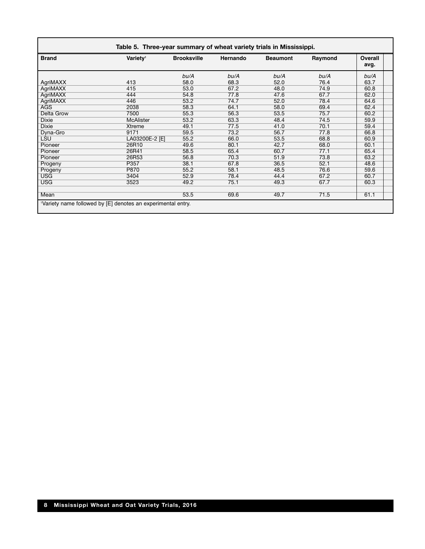| <b>Brand</b>      | Variety <sup>1</sup> | <b>Brooksville</b> | Hernando | <b>Beaumont</b> | Raymond | Overall<br>avg. |
|-------------------|----------------------|--------------------|----------|-----------------|---------|-----------------|
|                   |                      | bu/A               | bu/A     | bu/A            | bu/A    | bu/A            |
| AgriMAXX          | 413                  | 58.0               | 68.3     | 52.0            | 76.4    | 63.7            |
| AgriMAXX          | 415                  | 53.0               | 67.2     | 48.0            | 74.9    | 60.8            |
| AgriMAXX          | 444                  | 54.8               | 77.8     | 47.6            | 67.7    | 62.0            |
| AgriMAXX          | 446                  | 53.2               | 74.7     | 52.0            | 78.4    | 64.6            |
| <b>AGS</b>        | 2038                 | 58.3               | 64.1     | 58.0            | 69.4    | 62.4            |
| <b>Delta Grow</b> | 7500                 | 55.3               | 56.3     | 53.5            | 75.7    | 60.2            |
| <b>Dixie</b>      | McAlister            | 53.2               | 63.3     | 48.4            | 74.5    | 59.9            |
| <b>Dixie</b>      | Xtreme               | 49.1               | 77.5     | 41.0            | 70.1    | 59.4            |
| Dyna-Gro          | 9171                 | 59.5               | 73.2     | 56.7            | 77.8    | 66.8            |
| <b>LSU</b>        | LA03200E-2 [E]       | 55.2               | 66.0     | 53.5            | 68.8    | 60.9            |
| Pioneer           | 26R10                | 49.6               | 80.1     | 42.7            | 68.0    | 60.1            |
| Pioneer           | 26R41                | 58.5               | 65.4     | 60.7            | 77.1    | 65.4            |
| Pioneer           | 26R53                | 56.8               | 70.3     | 51.9            | 73.8    | 63.2            |
| Progeny           | P357                 | 38.1               | 67.8     | 36.5            | 52.1    | 48.6            |
| Progeny           | P870                 | 55.2               | 58.1     | 48.5            | 76.6    | 59.6            |
| <b>USG</b>        | 3404                 | 52.9               | 78.4     | 44.4            | 67.2    | 60.7            |
| <b>USG</b>        | 3523                 | 49.2               | 75.1     | 49.3            | 67.7    | 60.3            |
| Mean              |                      | 53.5               | 69.6     | 49.7            | 71.5    | 61.1            |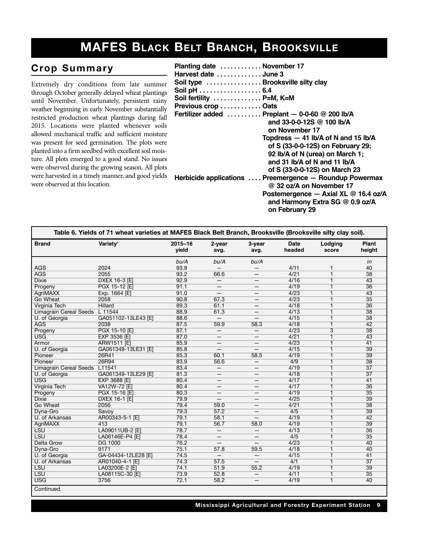## **MAFES BLACK BELT BRANCH, BROOKSVILLE**

#### $Crop$  Summary

Extremely dry conditions from late summer through October generally delayed wheat plantings until November. Unfortunately, persistent rainy weather beginning in early November substantially restricted production wheat plantings during fall 2015. Locations were planted whenever soils allowed mechanical traffic and sufficient moisture was present for seed germination. The plots were planted into a firm seedbed with excellent soil moisture. All plots emerged to a good stand. No issues were observed during the growing season. All plots were harvested in a timely manner, and good yields were observed at this location.

| Planting date  November 17                              |
|---------------------------------------------------------|
| Harvest date  June 3                                    |
| Soil type  Brooksville silty clay                       |
| Soil pH 6.4                                             |
| Soil fertility  P=M, K=M                                |
| Previous crop  Oats                                     |
| Fertilizer added  Preplant - 0-0-60 @ 200 lb/A          |
| and 33-0-0-12S $@$ 100 lb/A                             |
| on November 17                                          |
| Topdress $-41$ lb/A of N and 15 lb/A                    |
| of S (33-0-0-12S) on February 29;                       |
| 92 lb/A of N (urea) on March 1;                         |
| and 31 $\frac{1}{2}$ b/A of N and 11 $\frac{1}{2}$      |
| of S (33-0-0-12S) on March 23                           |
| Herbicide applications  Preemergence - Roundup Powermax |
| @ 32 oz/A on November 17                                |
| Postemergence $-$ Axial XL $@$ 16.4 oz/A                |
| and Harmony Extra SG @ 0.9 oz/A                         |

**on February 29**

|                               | Table 6. Yields of 71 wheat varieties at MAFES Black Belt Branch, Brooksville (Brooksville silty clay soil). |                      |                          |                          |                       |                  |                        |
|-------------------------------|--------------------------------------------------------------------------------------------------------------|----------------------|--------------------------|--------------------------|-----------------------|------------------|------------------------|
| <b>Brand</b>                  | Variety <sup>1</sup>                                                                                         | $2015 - 16$<br>yield | 2-year<br>avg.           | 3-year<br>avg.           | <b>Date</b><br>headed | Lodging<br>score | <b>Plant</b><br>height |
|                               |                                                                                                              | bu/A                 | bu/A                     | bu/A                     |                       |                  | in                     |
| <b>AGS</b>                    | 2024                                                                                                         | 93.9                 | $\overline{\phantom{0}}$ |                          | 4/11                  | 1                | 40                     |
| <b>AGS</b>                    | 2055                                                                                                         | 93.2                 | 66.6                     | —                        | 4/21                  | $\mathbf{1}$     | 38                     |
| <b>Dixie</b>                  | <b>DXEX 16-3 [E]</b>                                                                                         | 92.9                 | $\overline{\phantom{0}}$ |                          | 4/16                  | $\overline{1}$   | $\overline{43}$        |
| Progeny                       | PGX 15-12 [E]                                                                                                | 91.1                 | —                        | $\overline{\phantom{m}}$ | 4/19                  | $\overline{1}$   | $\overline{36}$        |
| <b>AgriMAXX</b>               | Exp. 1664 [E]                                                                                                | 91.0                 | —                        | —                        | 4/23                  | $\overline{1}$   | 43                     |
| Go Wheat                      | 2058                                                                                                         | 90.8                 | 67.3                     | $\qquad \qquad -$        | 4/23                  | $\overline{1}$   | 35                     |
| Virginia Tech                 | <b>Hillard</b>                                                                                               | 89.3                 | 61.1                     | د                        | 4/18                  | $\overline{1}$   | $\overline{36}$        |
| <b>Limagrain Cereal Seeds</b> | $L$ 11544                                                                                                    | 88.9                 | 61.3                     | $\overline{\phantom{m}}$ | 4/13                  | $\overline{1}$   | 38                     |
| U. of Georgia                 | GA051102-13LE43 [E]                                                                                          | 88.6                 | $-$                      |                          | 4/15                  | 1                | $\overline{38}$        |
| <b>AGS</b>                    | 2038                                                                                                         | 87.5                 | 59.9                     | 58.3                     | 4/18                  | $\mathbf{1}$     | 42                     |
| Progeny                       | PGX 15-10 [E]                                                                                                | 87.1                 | $-$                      | $-$                      | 4/23                  | $\overline{3}$   | $\overline{38}$        |
| <b>USG</b>                    | <b>EXP 3536 [E]</b>                                                                                          | 87.0                 | —                        | $\overline{\phantom{m}}$ | 4/21                  | $\overline{1}$   | 43                     |
| Armor                         | <b>ARW1511 [E]</b>                                                                                           | 85.9                 |                          |                          | 4/23                  | $\overline{1}$   | 41                     |
| U. of Georgia                 | GA061349-13LE31 [E]                                                                                          | 85.8                 |                          |                          | 4/15                  | $\overline{1}$   | 39                     |
| Pioneer                       | 26R41                                                                                                        | 85.3                 | 60.1                     | 58.5                     | 4/19                  | $\overline{1}$   | 39                     |
| Pioneer                       | 26R94                                                                                                        | 83.9                 | 56.6                     | $\overline{\phantom{m}}$ | 4/9                   | 1                | $\overline{38}$        |
| <b>Limagrain Cereal Seeds</b> | L <sub>11541</sub>                                                                                           | 83.4                 | $\qquad \qquad -$        | —                        | 4/19                  | 1                | $\overline{37}$        |
| U. of Georgia                 | GA061349-13LE29 [E]                                                                                          | 81.3                 | —                        | —                        | 4/18                  | 1                | $\overline{37}$        |
| <b>USG</b>                    | <b>EXP 3688 [E]</b>                                                                                          | 80.4                 | —                        | —                        | 4/17                  | $\overline{1}$   | 41                     |
| <b>Virginia Tech</b>          | VA12W-72 [E]                                                                                                 | 80.4                 | $\qquad \qquad$          | —                        | 4/17                  | 1                | $\overline{36}$        |
| Progeny                       | PGX 15-16 [E]                                                                                                | 80.3                 | —                        | —                        | 4/19                  | $\overline{1}$   | 35                     |
| <b>Dixie</b>                  | DXEX 16-1 [E]                                                                                                | 79.9                 |                          |                          | 4/25                  | 1                | 39                     |
| Go Wheat                      | 2056                                                                                                         | 79.4                 | 59.0                     | $\overline{\phantom{0}}$ | 4/21                  | 1                | $\overline{38}$        |
| Dyna-Gro                      | Savoy                                                                                                        | 79.3                 | 57.2                     | —                        | 4/5                   | 1                | $\overline{39}$        |
| U. of Arkansas                | AR00343-5-1 [E]                                                                                              | 79.1                 | 58.1                     | $\overline{\phantom{0}}$ | 4/19                  | $\overline{1}$   | 42                     |
| <b>AgriMAXX</b>               | 413                                                                                                          | 79.1                 | 56.7                     | 58.0                     | 4/19                  | $\overline{1}$   | $\overline{39}$        |
| <b>LSU</b>                    | LA09011UB-2 [E]                                                                                              | 78.7                 | $-$                      | $\qquad \qquad -$        | 4/13                  | $\overline{1}$   | $\overline{36}$        |
| <b>LSU</b>                    | LA06146E-P4 [E]                                                                                              | 78.4                 | —                        |                          | 4/5                   | $\overline{1}$   | $\overline{35}$        |
| <b>Delta Grow</b>             | <b>DG 1000</b>                                                                                               | 76.2                 | $\overline{\phantom{0}}$ | $\overline{\phantom{0}}$ | 4/23                  | $\overline{1}$   | 40                     |
| Dyna-Gro                      | 9171                                                                                                         | 75.1                 | 57.8                     | 59.5                     | 4/18                  | $\overline{1}$   | 40                     |
| U. of Georgia                 | GA-04434-12LE28 [E]                                                                                          | 74.5                 | $\qquad \qquad -$        | $\overline{\phantom{m}}$ | 4/15                  | $\overline{1}$   | 41                     |
| U. of Arkansas                | AR01040-4-1 [E]                                                                                              | 74.3                 | 57.5                     | $\equiv$                 | 4/1                   | $\overline{1}$   | $\overline{37}$        |
| <b>LSU</b>                    | LA03200E-2 [E]                                                                                               | 74.1                 | 51.9                     | 55.2                     | 4/19                  | $\overline{1}$   | 39                     |
| <b>LSU</b>                    | LA08115C-30 [E]                                                                                              | 73.9                 | 52.8                     | $\overline{\phantom{m}}$ | 4/11                  | $\overline{1}$   | 35                     |
| <b>USG</b>                    | 3756                                                                                                         | 72.1                 | 58.2                     | $\qquad \qquad -$        | 4/19                  | $\overline{1}$   | 40                     |
| Continued.                    |                                                                                                              |                      |                          |                          |                       |                  |                        |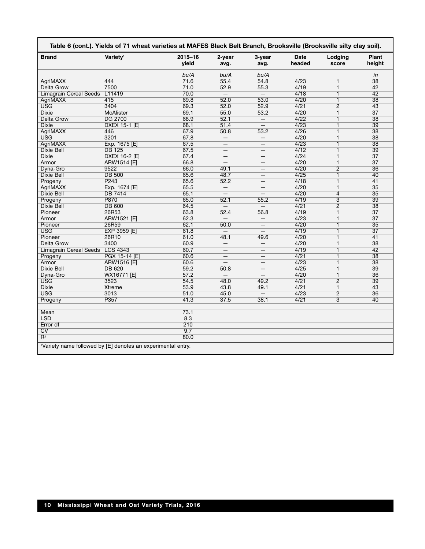| <b>Brand</b>                  | Variety <sup>1</sup> | $2015 - 16$<br>vield | 2-year<br>avg.           | 3-year<br>avg.           | Date<br>headed | Lodging<br>score | <b>Plant</b><br>height |
|-------------------------------|----------------------|----------------------|--------------------------|--------------------------|----------------|------------------|------------------------|
|                               |                      | bu/A                 | bu/A                     | bu/A                     |                |                  | in                     |
| AgriMAXX                      | 444                  | 71.6                 | 55.4                     | 54.8                     | 4/23           | $\mathbf{1}$     | 38                     |
| Delta Grow                    | 7500                 | 71.0                 | 52.9                     | 55.3                     | 4/19           | $\overline{1}$   | $\overline{42}$        |
| <b>Limagrain Cereal Seeds</b> | L11419               | 70.0                 | $\qquad \qquad -$        | $-$                      | 4/18           | 1                | 42                     |
| <b>AgriMAXX</b>               | 415                  | 69.8                 | 52.0                     | 53.0                     | 4/20           | $\mathbf{1}$     | 38                     |
| <b>USG</b>                    | 3404                 | 69.3                 | 52.0                     | 52.9                     | 4/21           | $\overline{2}$   | $\overline{43}$        |
| <b>Dixie</b>                  | <b>McAlister</b>     | 69.1                 | 55.0                     | 53.2                     | 4/20           | 1                | $\overline{37}$        |
| <b>Delta Grow</b>             | <b>DG 2700</b>       | 68.9                 | 52.1                     |                          | 4/22           | $\overline{1}$   | $\overline{38}$        |
| <b>Dixie</b>                  | <b>DXEX 15-1 [E]</b> | 68.1                 | 51.4                     | $\qquad \qquad -$        | 4/23           | $\overline{1}$   | $\overline{39}$        |
| <b>AgriMAXX</b>               | 446                  | 67.9                 | 50.8                     | 53.2                     | 4/26           | $\overline{1}$   | $\overline{38}$        |
| <b>USG</b>                    | 3201                 | 67.8                 | $\qquad \qquad -$        | $\qquad \qquad -$        | 4/20           | $\overline{1}$   | $\overline{38}$        |
| <b>AgriMAXX</b>               | Exp. 1675 [E]        | 67.5                 |                          |                          | 4/23           | $\overline{1}$   | $\overline{38}$        |
| <b>Dixie Bell</b>             | <b>DB 125</b>        | 67.5                 | $\qquad \qquad -$        | $\qquad \qquad -$        | 4/12           | $\overline{1}$   | $\overline{39}$        |
| <b>Dixie</b>                  | DXEX 16-2 [E]        | 67.4                 |                          |                          | 4/24           | 1                | $\overline{37}$        |
| Armor                         | ARW1514 [E]          | 66.8                 |                          | $\qquad \qquad -$        | 4/20           | $\overline{1}$   | $\overline{37}$        |
| Dyna-Gro                      | 9522                 | 66.0                 | 49.1                     |                          | 4/20           | $\overline{2}$   | 36                     |
| <b>Dixie Bell</b>             | <b>DB 500</b>        | 65.6                 | 48.7                     | $\qquad \qquad -$        | 4/25           | 1                | 40                     |
| Progeny                       | P <sub>243</sub>     | 65.6                 | 52.2                     | $\qquad \qquad -$        | 4/18           | $\overline{1}$   | 41                     |
| <b>AgriMAXX</b>               | Exp. 1674 [E]        | 65.5                 | $\overline{\phantom{m}}$ | $\qquad \qquad -$        | 4/20           | $\overline{1}$   | $\overline{35}$        |
| <b>Dixie Bell</b>             | <b>DB 7414</b>       | 65.1                 |                          |                          | 4/20           | $\overline{4}$   | $\overline{35}$        |
| Progeny                       | <b>P870</b>          | 65.0                 | 52.1                     | 55.2                     | 4/19           | $\overline{3}$   | 39                     |
| <b>Dixie Bell</b>             | <b>DB 600</b>        | 64.5                 | $\overline{\phantom{0}}$ |                          | 4/21           | $\overline{2}$   | $\overline{38}$        |
| Pioneer                       | 26R53                | 63.8                 | 52.4                     | 56.8                     | 4/19           | 1                | $\overline{37}$        |
| Armor                         | <b>ARW1521 [E]</b>   | 62.3                 |                          |                          | 4/23           | 1                | $\overline{37}$        |
| Pioneer                       | 26R59                | 62.1                 | 50.0                     |                          | 4/20           | 1                | 35                     |
| <b>USG</b>                    | EXP 3959 [E]         | 61.8                 |                          |                          | 4/19           | 1                | $\overline{37}$        |
| Pioneer                       | 26R10                | 61.0                 | 48.1                     | 49.6                     | 4/20           | 1                | 41                     |
| Delta Grow                    | 3400                 | 60.9                 | $\equiv$                 | $\overline{\phantom{0}}$ | 4/20           | 1                | $\overline{38}$        |
| <b>Limagrain Cereal Seeds</b> | <b>LCS 4343</b>      | 60.7                 | $\overline{\phantom{0}}$ | $\qquad \qquad -$        | 4/19           | 1                | 42                     |
| Progeny                       | PGX 15-14 [E]        | 60.6                 | $\equiv$                 |                          | 4/21           | 1                | $\overline{38}$        |
| Armor                         | ARW1516 [E]          | 60.6                 | $\overline{\phantom{m}}$ | $\qquad \qquad -$        | 4/23           | 1                | $\overline{38}$        |
| <b>Dixie Bell</b>             | <b>DB 620</b>        | 59.2                 | 50.8                     | $\overline{\phantom{0}}$ | 4/25           | 1                | $\overline{39}$        |
| Dyna-Gro                      | WX16771 [E]          | 57.2                 | $\overline{\phantom{m}}$ | $\qquad \qquad -$        | 4/20           | $\mathbf{1}$     | 36                     |
| <b>USG</b>                    | 3523                 | 54.5                 | 48.0                     | 49.2                     | 4/21           | $\overline{2}$   | $\overline{39}$        |
| <b>Dixie</b>                  | <b>Xtreme</b>        | 53.9                 | 43.8                     | 49.1                     | 4/21           | $\mathbf{1}$     | $\overline{43}$        |
| <b>USG</b>                    | 3013                 | 51.0                 | 45.0                     | $\qquad \qquad -$        | 4/23           | $\overline{2}$   | $\overline{36}$        |
|                               | P357                 | 41.3                 | 37.5                     | 38.1                     | 4/21           | $\overline{3}$   | 40                     |
| Progeny                       |                      |                      |                          |                          |                |                  |                        |
| Mean                          |                      | 73.1                 |                          |                          |                |                  |                        |
| <b>LSD</b>                    |                      | 8.3                  |                          |                          |                |                  |                        |
| Error df                      |                      | 210                  |                          |                          |                |                  |                        |
| $\overline{\text{CV}}$        |                      | 9.7                  |                          |                          |                |                  |                        |
| $\overline{\mathsf{R}^2}$     |                      | 80.0                 |                          |                          |                |                  |                        |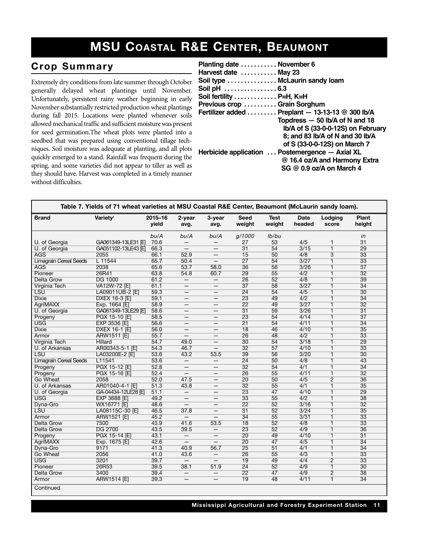## **MSU COASTAL R&E CENTER, BEAUMONT**

#### $Crop$  Summary

Extremely dry conditions from late summer through October generally delayed wheat plantings until November. Unfortunately, persistent rainy weather beginning in early November substantially restricted production wheat plantings during fall 2015. Locations were planted whenever soils allowed mechanical traffic and sufficient moisture was present for seed germination.The wheat plots were planted into a seedbed that was prepared using conventional tillage techniques. Soil moisture was adequate at planting, and all plots quickly emerged to a stand. Rainfall was frequent during the spring, and some varieties did not appear to tiller as well as they should have. Harvest was completed in a timely manner without difficulties.

| Planting date  November 6<br>Harvest date  May 23<br>Soil type  McLaurin sandy loam<br>Soil pH  6.3 |                                                                                                                                                               |
|-----------------------------------------------------------------------------------------------------|---------------------------------------------------------------------------------------------------------------------------------------------------------------|
| Soil fertility  P=H, K=H                                                                            |                                                                                                                                                               |
| Previous crop  Grain Sorghum                                                                        |                                                                                                                                                               |
|                                                                                                     | Fertilizer added  Preplant $-$ 13-13-13 @ 300 lb/A<br>Topdress - 50 lb/A of N and 18<br>Ib/A of S (33-0-0-12S) on February<br>8; and 83 lb/A of N and 30 lb/A |
|                                                                                                     | of S (33-0-0-12S) on March 7                                                                                                                                  |
|                                                                                                     | Herbicide application  Postemergence - Axial XL<br>@ 16.4 oz/A and Harmony Extra<br>SG @ 0.9 oz/A on March 4                                                  |

| <b>Brand</b>                  | Variety <sup>1</sup> | 2015-16<br>vield | 2-year<br>avg.           | 3-year<br>avg.           | <b>Seed</b><br>weight | <b>Test</b><br>weight | <b>Date</b><br>headed | Lodging<br>score | Plant<br>height |
|-------------------------------|----------------------|------------------|--------------------------|--------------------------|-----------------------|-----------------------|-----------------------|------------------|-----------------|
|                               |                      | bu/A             | bu/A                     | bu/A                     | g/1000                | lb/bu                 |                       |                  | in              |
| U. of Georgia                 | GA061349-13LE31 [E]  | 70.6             |                          |                          | 27                    | 53                    | 4/5                   | $\mathbf{1}$     | 31              |
| U. of Georgia                 | GA051102-13LE43 IEI  | 66.3             | $\qquad \qquad -$        | $\overline{\phantom{m}}$ | $\overline{31}$       | 54                    | 3/15                  | $\overline{1}$   | 29              |
| <b>AGS</b>                    | 2055                 | 66.1             | 52.9                     | $\overline{\phantom{m}}$ | $\overline{15}$       | 50                    | 4/8                   | $\overline{3}$   | $\overline{33}$ |
| <b>Limagrain Cereal Seeds</b> | $L$ 11544            | 65.7             | 50.4                     | $\overline{\phantom{m}}$ | $\overline{27}$       | 54                    | 3/27                  | $\overline{1}$   | $\overline{33}$ |
| <b>AGS</b>                    | 2038                 | 65.6             | 53.7                     | 58.0                     | 36                    | 56                    | 3/26                  | $\overline{1}$   | $\overline{37}$ |
| Pioneer                       | 26R41                | 63.8             | 54.8                     | 60.7                     | 29                    | $\overline{55}$       | 4/2                   | $\overline{1}$   | $\overline{32}$ |
| <b>Delta Grow</b>             | <b>DG 1000</b>       | 61.2             | $\overline{\phantom{m}}$ | $\overline{\phantom{m}}$ | 26                    | 52                    | 4/8                   | $\overline{1}$   | 39              |
| Virginia Tech                 | VA12W-72 [E]         | 61.1             | $\qquad \qquad -$        | $\qquad \qquad -$        | $\overline{37}$       | 58                    | 3/27                  | $\overline{1}$   | $\overline{34}$ |
| <b>LSU</b>                    | LA09011UB-2 [E]      | 59.3             | —                        |                          | $\overline{24}$       | 54                    | 4/5                   | $\overline{1}$   | $\overline{30}$ |
| <b>Dixie</b>                  | <b>DXEX 16-3 [E]</b> | 59.1             | $\qquad \qquad -$        | $\overline{\phantom{0}}$ | 23                    | 49                    | 4/2                   | $\overline{1}$   | $\overline{34}$ |
| <b>AgriMAXX</b>               | Exp. 1664 [E]        | 58.9             |                          |                          | $\overline{22}$       | 49                    | 3/27                  | $\overline{1}$   | $\overline{32}$ |
| U. of Georgia                 | GA061349-13LE29 [E]  | 58.6             | $\qquad \qquad -$        | $\overline{\phantom{m}}$ | $\overline{31}$       | 59                    | 3/26                  | $\overline{1}$   | $\overline{31}$ |
| Progeny                       | PGX 15-10 [E]        | 58.5             |                          | $\overline{\phantom{0}}$ | 23                    | 54                    | 4/14                  | $\overline{1}$   | $\overline{37}$ |
| <b>USG</b>                    | EXP 3536 [E]         | 56.6             | $\overline{\phantom{0}}$ | $\overline{\phantom{0}}$ | $\overline{21}$       | 54                    | 4/11                  | $\overline{1}$   | 34              |
| <b>Dixie</b>                  | DXEX 16-1 [E]        | 56.0             | -                        | $\qquad \qquad -$        | $\overline{18}$       | 46                    | 4/10                  | $\overline{1}$   | $\overline{35}$ |
| Armor                         | <b>ARW1511 [E]</b>   | 55.7             | $\overline{\phantom{0}}$ | $\overline{\phantom{m}}$ | 26                    | 48                    | 4/2                   | $\overline{1}$   | $\overline{33}$ |
| Virginia Tech                 | <b>Hillard</b>       | 54.7             | 49.0                     | $\overline{\phantom{m}}$ | 30                    | 54                    | 3/18                  | $\overline{1}$   | 29              |
| U. of Arkansas                | AR00343-5-1 [E]      | 54.3             | 46.7                     | $\overline{\phantom{0}}$ | $\overline{32}$       | 57                    | 4/10                  | $\overline{1}$   | $\overline{33}$ |
| <b>LSU</b>                    | LA03200E-2 [E]       | 53.6             | 43.2                     | 53.5                     | 39                    | 56                    | 3/20                  | $\overline{1}$   | $\overline{30}$ |
| <b>Limagrain Cereal Seeds</b> | L11541               | 53.6             | $\overline{\phantom{m}}$ | $\overline{\phantom{m}}$ | $\overline{24}$       | 50                    | 4/8                   | $\overline{1}$   | 43              |
| Progeny                       | PGX 15-12 [E]        | 52.8             | $\qquad \qquad -$        | $\overline{\phantom{m}}$ | 32                    | 54                    | 4/1                   | $\overline{1}$   | $\overline{34}$ |
| Progeny                       | PGX 15-16 [E]        | 52.4             | $-$                      | $\overline{\phantom{m}}$ | 26                    | 55                    | 4/11                  | $\overline{1}$   | $\overline{32}$ |
| Go Wheat                      | 2058                 | 52.0             | 47.5                     | $\qquad \qquad -$        | 20                    | 50                    | 4/5                   | $\overline{2}$   | $\overline{36}$ |
| U. of Arkansas                | AR01040-4-1 [E]      | 51.3             | 43.8                     |                          | $\overline{32}$       | 55                    | 4/1                   | $\overline{1}$   | $\overline{35}$ |
| U. of Georgia                 | GA-04434-12LE28 IEI  | 51.1             | $\overline{\phantom{m}}$ | $\qquad \qquad -$        | 23                    | 47                    | 4/10                  | $\overline{1}$   | 29              |
| <b>USG</b>                    | <b>EXP 3688 [E]</b>  | 49.2             | $\qquad \qquad -$        | $\overline{\phantom{0}}$ | $\overline{33}$       | 55                    | 4/2                   | $\overline{1}$   | 38              |
| Dyna-Gro                      | <b>WX16771 [E]</b>   | 48.6             | $\overline{\phantom{m}}$ | $\overline{\phantom{m}}$ | $\overline{22}$       | 52                    | 3/16                  | $\overline{1}$   | $\overline{32}$ |
| <b>LSU</b>                    | LA08115C-30 [E]      | 46.5             | 37.8                     |                          | $\overline{31}$       | 52                    | 3/24                  | $\overline{1}$   | 35              |
| Armor                         | <b>ARW1521 [E]</b>   | 45.2             |                          | $\qquad \qquad -$        | $\overline{34}$       | 55                    | 3/31                  | $\overline{1}$   | $\overline{33}$ |
| Delta Grow                    | 7500                 | 43.9             | 41.6                     | 53.5                     | 18                    | 52                    | 4/8                   | $\overline{1}$   | $\overline{33}$ |
| <b>Delta Grow</b>             | <b>DG 2700</b>       | 43.5             | 39.5                     | $\qquad \qquad -$        | 23                    | 52                    | 4/9                   | $\overline{1}$   | 36              |
| Progeny                       | PGX 15-14 [E]        | 43.1             | $\overline{\phantom{m}}$ | $\qquad \qquad -$        | $\overline{20}$       | 49                    | 4/10                  | $\overline{1}$   | $\overline{31}$ |
| <b>AgriMAXX</b>               | Exp. 1675 [E]        | 42.6             | $\overline{\phantom{m}}$ | $\overline{\phantom{0}}$ | $\overline{20}$       | 47                    | 4/5                   | $\overline{1}$   | $\overline{34}$ |
| Dyna-Gro                      | 9171                 | 41.3             | 40.9                     | 56.7                     | $\overline{25}$       | 51                    | 4/1                   | $\overline{1}$   | $\overline{34}$ |
| Go Wheat                      | 2056                 | 41.0             | 43.6                     | $\overline{\phantom{m}}$ | 26                    | 55                    | 4/3                   | $\overline{1}$   | 33              |
| <b>USG</b>                    | 3201                 | 39.7             | $-$                      | $\qquad \qquad -$        | $\overline{19}$       | 49                    | 4/4                   | $\overline{2}$   | $\overline{33}$ |
| Pioneer                       | 26R53                | 39.5             | 38.1                     | 51.9                     | $\overline{24}$       | 52                    | 4/9                   | $\overline{1}$   | 30              |
| <b>Delta Grow</b>             | 3400                 | 39.4             | $\overline{\phantom{m}}$ | $\qquad \qquad -$        | $\overline{22}$       | 47                    | 4/9                   | $\overline{2}$   | 38              |
| Armor                         | <b>ARW1514 [E]</b>   | 39.3             | $\overline{\phantom{0}}$ | $\overline{\phantom{0}}$ | $\overline{19}$       | 48                    | 4/11                  | $\overline{1}$   | $\overline{34}$ |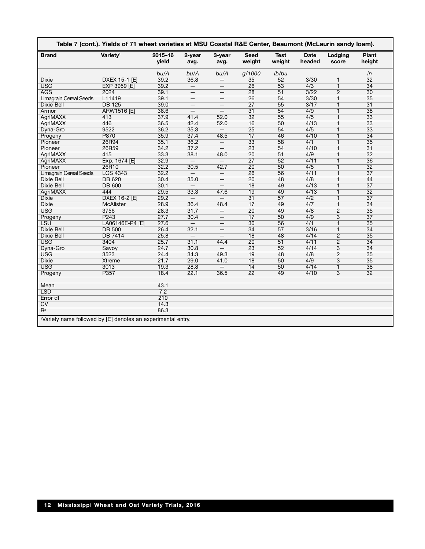|                                                              | Table 7 (cont.). Yields of 71 wheat varieties at MSU Coastal R&E Center, Beaumont (McLaurin sandy loam). |                  |                          |                          |                       |                       |                       |                  |                        |
|--------------------------------------------------------------|----------------------------------------------------------------------------------------------------------|------------------|--------------------------|--------------------------|-----------------------|-----------------------|-----------------------|------------------|------------------------|
| <b>Brand</b>                                                 | Variety <sup>1</sup>                                                                                     | 2015-16<br>yield | 2-year<br>avg.           | 3-year<br>avg.           | <b>Seed</b><br>weight | <b>Test</b><br>weight | <b>Date</b><br>headed | Lodging<br>score | <b>Plant</b><br>height |
|                                                              |                                                                                                          | bu/A             | bu/A                     | bu/A                     | g/1000                | lb/bu                 |                       |                  | in                     |
| Dixie                                                        | DXEX 15-1 [E]                                                                                            | 39.2             | 36.8                     |                          | 35                    | 52                    | 3/30                  | $\mathbf{1}$     | 32                     |
| <b>USG</b>                                                   | <b>EXP 3959 [E]</b>                                                                                      | 39.2             | $\overline{\phantom{m}}$ | $\qquad \qquad -$        | 26                    | $\overline{53}$       | 4/3                   | $\overline{1}$   | $\overline{34}$        |
| <b>AGS</b>                                                   | 2024                                                                                                     | 39.1             | —                        | —                        | 28                    | 51                    | 3/22                  | $\overline{2}$   | 30                     |
| <b>Limagrain Cereal Seeds</b>                                | L11419                                                                                                   | 39.1             | $\overline{\phantom{0}}$ |                          | $\overline{26}$       | 54                    | 3/30                  | $\overline{1}$   | $\overline{35}$        |
| <b>Dixie Bell</b>                                            | <b>DB 125</b>                                                                                            | 39.0             | $\qquad \qquad -$        | —                        | 27                    | 55                    | 3/17                  | $\overline{1}$   | 31                     |
| Armor                                                        | ARW1516 [E]                                                                                              | 38.6             | $\overline{\phantom{0}}$ | $-$                      | $\overline{31}$       | 54                    | 4/9                   | $\overline{1}$   | 38                     |
| <b>AgriMAXX</b>                                              | 413                                                                                                      | 37.9             | 41.4                     | 52.0                     | $\overline{32}$       | 55                    | 4/5                   | $\overline{1}$   | 33                     |
| <b>AgriMAXX</b>                                              | 446                                                                                                      | 36.5             | 42.4                     | 52.0                     | $\overline{16}$       | 50                    | 4/13                  | $\overline{1}$   | $\overline{33}$        |
| Dyna-Gro                                                     | 9522                                                                                                     | 36.2             | 35.3                     | $-$                      | $\overline{25}$       | 54                    | 4/5                   | $\overline{1}$   | 33                     |
| Progeny                                                      | P870                                                                                                     | 35.9             | 37.4                     | 48.5                     | $\overline{17}$       | 46                    | 4/10                  | $\overline{1}$   | $\overline{34}$        |
| Pioneer                                                      | 26R94                                                                                                    | 35.1             | 36.2                     | $\qquad \qquad -$        | $\overline{33}$       | 58                    | 4/1                   | $\overline{1}$   | $\overline{35}$        |
| Pioneer                                                      | 26R59                                                                                                    | 34.2             | 37.2                     |                          | 23                    | 54                    | 4/10                  | $\overline{1}$   | $\overline{31}$        |
| <b>AgriMAXX</b>                                              | 415                                                                                                      | 33.3             | 38.1                     | 48.0                     | $\overline{20}$       | 51                    | 4/9                   | $\overline{1}$   | 32                     |
| <b>AgriMAXX</b>                                              | Exp. 1674 [E]                                                                                            | 32.9             | $\equiv$                 | $-$                      | $\overline{27}$       | 52                    | 4/11                  | $\overline{1}$   | 36                     |
| Pioneer                                                      | 26R10                                                                                                    | 32.2             | 30.5                     | 42.7                     | $\overline{20}$       | 50                    | 4/5                   | $\overline{1}$   | $\overline{32}$        |
| <b>Limagrain Cereal Seeds</b>                                | <b>LCS 4343</b>                                                                                          | 32.2             |                          | $\qquad \qquad -$        | 26                    | 56                    | 4/11                  | $\overline{1}$   | $\overline{37}$        |
| <b>Dixie Bell</b>                                            | <b>DB 620</b>                                                                                            | 30.4             | 35.0                     | $\qquad \qquad -$        | $\overline{20}$       | 48                    | 4/8                   | $\overline{1}$   | 44                     |
| <b>Dixie Bell</b>                                            | <b>DB 600</b>                                                                                            | 30.1             | $\overline{\phantom{0}}$ | $\qquad \qquad -$        | $\overline{18}$       | 49                    | 4/13                  | $\overline{1}$   | $\overline{37}$        |
| <b>AgriMAXX</b>                                              | 444                                                                                                      | 29.5             | 33.3                     | 47.6                     | $\overline{19}$       | 49                    | 4/13                  | $\overline{1}$   | 32                     |
| Dixie                                                        | DXEX 16-2 [E]                                                                                            | 29.2             |                          |                          | $\overline{31}$       | 57                    | 4/2                   | $\overline{1}$   | $\overline{37}$        |
| <b>Dixie</b>                                                 | <b>McAlister</b>                                                                                         | 28.9             | 36.4                     | 48.4                     | $\overline{17}$       | 49                    | 4/7                   | $\overline{1}$   | $\overline{34}$        |
| <b>USG</b>                                                   | 3756                                                                                                     | 28.3             | 31.7                     | $-$                      | $\overline{20}$       | 49                    | 4/8                   | $\overline{2}$   | 35                     |
| Progeny                                                      | P <sub>243</sub>                                                                                         | 27.7             | 30.4                     | $\overline{\phantom{0}}$ | 17                    | 50                    | 4/9                   | $\overline{3}$   | $\overline{37}$        |
| LSU                                                          | LA06146E-P4 [E]                                                                                          | 27.6             | $\overline{\phantom{0}}$ | $\qquad \qquad -$        | 30                    | 56                    | 4/1                   | $\overline{1}$   | 35                     |
| <b>Dixie Bell</b>                                            | <b>DB 500</b>                                                                                            | 26.4             | 32.1                     | $\qquad \qquad -$        | 34                    | 57                    | 3/16                  | $\overline{1}$   | $\overline{34}$        |
| <b>Dixie Bell</b>                                            | <b>DB 7414</b>                                                                                           | 25.8             | $\equiv$                 |                          | $\overline{18}$       | 48                    | 4/14                  | $\overline{2}$   | $\overline{35}$        |
| <b>USG</b>                                                   | 3404                                                                                                     | 25.7             | 31.1                     | 44.4                     | 20                    | $\overline{51}$       | 4/11                  | $\overline{2}$   | 34                     |
| Dyna-Gro                                                     | Savoy                                                                                                    | 24.7             | 30.8                     | $-$                      | 23                    | 52                    | 4/14                  | $\overline{3}$   | 34                     |
| <b>USG</b>                                                   | 3523                                                                                                     | 24.4             | 34.3                     | 49.3                     | 19                    | 48                    | 4/8                   | $\overline{2}$   | $\overline{35}$        |
| <b>Dixie</b>                                                 | <b>Xtreme</b>                                                                                            | 21.7             | 29.0                     | 41.0                     | $\overline{18}$       | 50                    | 4/9                   | $\overline{3}$   | 35                     |
| <b>USG</b>                                                   | 3013                                                                                                     | 19.3             | 28.8                     |                          | $\overline{14}$       | 50                    | 4/14                  | $\overline{1}$   | 38                     |
| Progeny                                                      | P357                                                                                                     | 18.4             | 22.1                     | 36.5                     | $\overline{22}$       | 49                    | 4/10                  | $\overline{3}$   | 32                     |
|                                                              |                                                                                                          |                  |                          |                          |                       |                       |                       |                  |                        |
| Mean                                                         |                                                                                                          | 43.1             |                          |                          |                       |                       |                       |                  |                        |
| <b>LSD</b>                                                   |                                                                                                          | 7.2              |                          |                          |                       |                       |                       |                  |                        |
| Error df                                                     |                                                                                                          | 210              |                          |                          |                       |                       |                       |                  |                        |
| CV                                                           |                                                                                                          | 14.3             |                          |                          |                       |                       |                       |                  |                        |
| $R^2$                                                        |                                                                                                          | 86.3             |                          |                          |                       |                       |                       |                  |                        |
|                                                              |                                                                                                          |                  |                          |                          |                       |                       |                       |                  |                        |
| 'Variety name followed by [E] denotes an experimental entry. |                                                                                                          |                  |                          |                          |                       |                       |                       |                  |                        |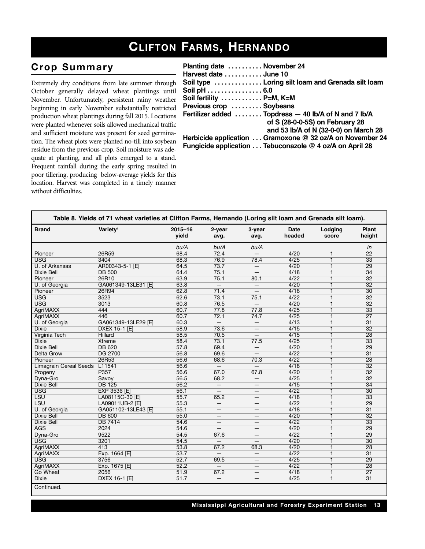## **CLIFTON FARMS, HERNANDO**

#### $Crop$  Summary

Extremely dry conditions from late summer through October generally delayed wheat plantings until November. Unfortunately, persistent rainy weather beginning in early November substantially restricted production wheat plantings during fall 2015. Locations were planted whenever soils allowed mechanical traffic and sufficient moisture was present for seed germination. The wheat plots were planted no-till into soybean residue from the previous crop. Soil moisture was adequate at planting, and all plots emerged to a stand. Frequent rainfall during the early spring resulted in poor tillering, producing below-average yields for this location. Harvest was completed in a timely manner without difficulties.

| Planting date  November 24 |                                                           |
|----------------------------|-----------------------------------------------------------|
| Harvest date  June 10      |                                                           |
|                            | Soil type  Loring silt loam and Grenada silt loam         |
| Soil pH 6.0                |                                                           |
| Soil fertility  P=M, K=M   |                                                           |
| Previous crop  Soybeans    |                                                           |
|                            | Fertilizer added  Topdress - 40 lb/A of N and 7 lb/A      |
|                            | of S (28-0-0-5S) on February 28                           |
|                            | and 53 lb/A of N (32-0-0) on March 28                     |
|                            | Herbicide application  Gramoxone @ 32 oz/A on November 24 |
|                            | Fungicide application  Tebuconazole @ 4 oz/A on April 28  |
|                            |                                                           |

| <b>Brand</b>                  | Variety <sup>1</sup> | $2015 - 16$<br>vield | 2-year<br>avg.           | 3-year<br>avg.           | <b>Date</b><br>headed | Lodging<br>score | <b>Plant</b><br>height |
|-------------------------------|----------------------|----------------------|--------------------------|--------------------------|-----------------------|------------------|------------------------|
|                               |                      | bu/A                 | bu/A                     | bu/A                     |                       |                  | in                     |
| Pioneer                       | 26R59                | 68.4                 | 72.4                     |                          | 4/20                  | 1                | 22                     |
| <b>USG</b>                    | 3404                 | 68.3                 | 76.9                     | 78.4                     | 4/25                  | $\overline{1}$   | $\overline{33}$        |
| U. of Arkansas                | AR00343-5-1 [E]      | 64.5                 | 73.7                     | $-$                      | 4/20                  | $\overline{1}$   | 29                     |
| <b>Dixie Bell</b>             | <b>DB 500</b>        | 64.4                 | 75.1                     | $-$                      | 4/18                  | 1                | $\overline{34}$        |
| Pioneer                       | 26R10                | 63.9                 | 75.1                     | 80.1                     | 4/22                  | $\mathbf{1}$     | $\overline{32}$        |
| U. of Georgia                 | GA061349-13LE31 [E]  | 63.8                 | $-$                      | $-$                      | 4/20                  | $\overline{1}$   | $\overline{32}$        |
| Pioneer                       | 26R94                | 62.8                 | 71.4                     | $\qquad \qquad -$        | 4/18                  | 1                | $\overline{30}$        |
| <b>USG</b>                    | 3523                 | 62.6                 | 73.1                     | 75.1                     | 4/22                  | $\overline{1}$   | $\overline{32}$        |
| <b>USG</b>                    | 3013                 | 60.8                 | 76.5                     | $-$                      | 4/20                  | $\overline{1}$   | $\overline{32}$        |
| <b>AgriMAXX</b>               | 444                  | 60.7                 | 77.8                     | 77.8                     | 4/25                  | 1                | $\overline{33}$        |
| <b>AgriMAXX</b>               | 446                  | 60.7                 | 72.1                     | 74.7                     | 4/25                  | $\overline{1}$   | $\overline{27}$        |
| U. of Georgia                 | GA061349-13LE29 [E]  | 60.3                 | $-$                      | $\overline{\phantom{0}}$ | 4/13                  | $\overline{1}$   | $\overline{31}$        |
| <b>Dixie</b>                  | <b>DXEX 15-1 [E]</b> | 58.9                 | 73.6                     | —                        | 4/15                  | 1                | $\overline{32}$        |
| Virginia Tech                 | Hillard              | 58.5                 | 70.5                     | $\qquad \qquad -$        | 4/15                  | $\overline{1}$   | $\overline{28}$        |
| <b>Dixie</b>                  | <b>Xtreme</b>        | 58.4                 | 73.1                     | 77.5                     | 4/25                  | $\overline{1}$   | $\overline{33}$        |
| <b>Dixie Bell</b>             | <b>DB 620</b>        | 57.8                 | 69.4                     | $\qquad \qquad -$        | 4/20                  | 1                | 29                     |
| Delta Grow                    | <b>DG 2700</b>       | 56.8                 | 69.6                     | $-$                      | 4/22                  | $\overline{1}$   | $\overline{31}$        |
| Pioneer                       | 26R53                | 56.6                 | 68.6                     | 70.3                     | 4/22                  | $\overline{1}$   | 28                     |
| <b>Limagrain Cereal Seeds</b> | L11541               | 56.6                 | $\overline{\phantom{m}}$ | $-$                      | 4/18                  | 1                | $\overline{32}$        |
| Progeny                       | P357                 | 56.6                 | 67.0                     | 67.8                     | 4/20                  | $\overline{1}$   | $\overline{32}$        |
| Dyna-Gro                      | Savoy                | 56.5                 | 68.2                     | $-$                      | 4/25                  | $\overline{1}$   | $\overline{32}$        |
| <b>Dixie Bell</b>             | <b>DB 125</b>        | 56.2                 | $\overline{\phantom{0}}$ | $\qquad \qquad -$        | 4/15                  | 1                | $\overline{34}$        |
| <b>USG</b>                    | <b>EXP 3536 [E]</b>  | 56.1                 | $\qquad \qquad -$        | —                        | 4/22                  | $\overline{1}$   | $\overline{30}$        |
| <b>LSU</b>                    | LA08115C-30 [E]      | 55.7                 | 65.2                     | $\overline{\phantom{0}}$ | 4/18                  | $\overline{1}$   | $\overline{33}$        |
| <b>LSU</b>                    | LA09011UB-2 [E]      | 55.3                 | $\overline{\phantom{m}}$ | $\qquad \qquad$          | 4/22                  | 1                | 29                     |
| U. of Georgia                 | GA051102-13LE43 [E]  | 55.1                 | $\overline{\phantom{m}}$ | —                        | 4/18                  | $\overline{1}$   | $\overline{31}$        |
| <b>Dixie Bell</b>             | <b>DB 600</b>        | 55.0                 |                          | —                        | 4/20                  | $\overline{1}$   | $\overline{32}$        |
| <b>Dixie Bell</b>             | <b>DB 7414</b>       | 54.6                 | $\overline{\phantom{m}}$ | —                        | 4/22                  | 1                | $\overline{33}$        |
| <b>AGS</b>                    | 2024                 | 54.6                 |                          | $\qquad \qquad$          | 4/20                  | $\overline{1}$   | 29                     |
| Dyna-Gro                      | 9522                 | 54.5                 | 67.6                     | $\overline{\phantom{0}}$ | 4/22                  | $\overline{1}$   | 29                     |
| <b>USG</b>                    | 3201                 | 54.5                 |                          |                          | 4/20                  | 1                | $\overline{30}$        |
|                               | 413                  |                      | 67.2                     |                          | 4/20                  | $\overline{1}$   | $\overline{28}$        |
| <b>AgriMAXX</b>               |                      | 53.8<br>53.7         | $\qquad \qquad -$        | 68.3                     | 4/22                  | $\overline{1}$   | $\overline{31}$        |
| <b>AgriMAXX</b><br><b>USG</b> | Exp. 1664 [E]        |                      |                          | $\overline{\phantom{0}}$ |                       |                  | $\overline{29}$        |
|                               | 3756                 | 52.7                 | 69.5                     | $\qquad \qquad -$        | 4/25                  | 1                |                        |
| <b>AgriMAXX</b>               | Exp. 1675 [E]        | 52.2                 | $-$                      | $\qquad \qquad$          | 4/22                  | $\overline{1}$   | 28                     |
| Go Wheat                      | 2056                 | 51.9                 | 67.2                     | —                        | 4/18                  | $\overline{1}$   | $\overline{27}$        |
| <b>Dixie</b>                  | <b>DXEX 16-1 [E]</b> | 51.7                 | $\qquad \qquad -$        | —                        | 4/25                  | $\mathbf{1}$     | $\overline{31}$        |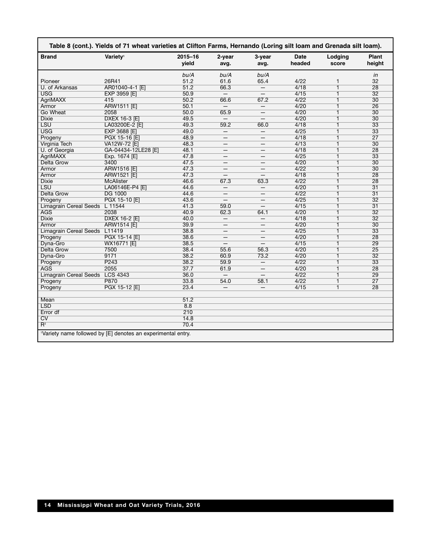| <b>Brand</b>                   | Variety <sup>1</sup> | $2015 - 16$<br>vield | 2-year<br>avg.           | 3-year<br>avg.           | Date<br>headed | Lodging<br>score | <b>Plant</b><br>height |
|--------------------------------|----------------------|----------------------|--------------------------|--------------------------|----------------|------------------|------------------------|
|                                |                      | bu/A                 | bu/A                     | bu/A                     |                |                  | in                     |
| Pioneer                        | 26R41                | 51.2                 | 61.6                     | 65.4                     | 4/22           | 1                | 32                     |
| U. of Arkansas                 | AR01040-4-1 [E]      | 51.2                 | 66.3                     | $\qquad \qquad -$        | 4/18           | $\overline{1}$   | 28                     |
| <b>USG</b>                     | <b>EXP 3959 [E]</b>  | 50.9                 | $\overline{\phantom{0}}$ | $\overline{\phantom{m}}$ | 4/15           | 1                | $\overline{32}$        |
| <b>AgriMAXX</b>                | 415                  | 50.2                 | 66.6                     | 67.2                     | 4/22           | 1                | $\overline{30}$        |
| Armor                          | <b>ARW1511 [E]</b>   | 50.1                 | $-$                      | $-$                      | 4/20           | $\mathbf{1}$     | 26                     |
| Go Wheat                       | 2058                 | 50.0                 | 65.9                     | —                        | 4/20           | 1                | 30                     |
| <b>Dixie</b>                   | DXEX 16-3 [E]        | 49.5                 | $=$                      |                          | 4/20           | $\overline{1}$   | $\overline{30}$        |
| <b>LSU</b>                     | LA03200E-2 [E]       | 49.3                 | 59.2                     | 66.0                     | 4/18           | 1                | 33                     |
| <b>USG</b>                     | <b>EXP 3688 [E]</b>  | 49.0                 |                          | $\overline{\phantom{0}}$ | 4/25           | 1                | $\overline{33}$        |
| Progeny                        | PGX 15-16 [E]        | 48.9                 | $\overline{\phantom{m}}$ | $\overline{\phantom{0}}$ | 4/18           | 1                | $\overline{27}$        |
| Virginia Tech                  | VA12W-72 [E]         | 48.3                 | $\equiv$                 |                          | 4/13           | 1                | $\overline{30}$        |
| U. of Georgia                  | GA-04434-12LE28 [E]  | 48.1                 | $\qquad \qquad -$        | —                        | 4/18           | 1                | 28                     |
| <b>AgriMAXX</b>                | Exp. 1674 [E]        | 47.8                 | —                        |                          | 4/25           | $\overline{1}$   | $\overline{33}$        |
| <b>Delta Grow</b>              | 3400                 | 47.5                 | $\qquad \qquad -$        | $\overline{\phantom{0}}$ | 4/20           | $\mathbf{1}$     | 30                     |
| Armor                          | ARW1516 [E]          | 47.3                 | $\overline{\phantom{0}}$ | $\overline{\phantom{0}}$ | 4/22           | $\overline{1}$   | 30                     |
| Armor                          | <b>ARW1521 [E]</b>   | 47.3                 | $\qquad \qquad -$        | $-$                      | 4/18           | 1                | $\overline{28}$        |
| <b>Dixie</b>                   | <b>McAlister</b>     | 46.6                 | 67.3                     | 63.3                     | 4/22           | 1                | 28                     |
| <b>LSU</b>                     | LA06146E-P4 [E]      | 44.6                 | $\overline{\phantom{0}}$ | $-$                      | 4/20           | 1                | $\overline{31}$        |
| <b>Delta Grow</b>              | <b>DG 1000</b>       | 44.6                 | —                        | —                        | 4/22           | $\overline{1}$   | $\overline{31}$        |
| Progeny                        | PGX 15-10 [E]        | 43.6                 | $\overline{\phantom{0}}$ |                          | 4/25           | 1                | $\overline{32}$        |
| Limagrain Cereal Seeds L 11544 |                      | 41.3                 | 59.0                     | $\qquad \qquad -$        | 4/15           | 1                | $\overline{31}$        |
| <b>AGS</b>                     | 2038                 | 40.9                 | 62.3                     | 64.1                     | 4/20           | 1                | $\overline{32}$        |
| <b>Dixie</b>                   | DXEX 16-2 [E]        | 40.0                 | $\overline{\phantom{m}}$ | $\overline{\phantom{0}}$ | 4/18           | 1                | $\overline{32}$        |
| Armor                          | <b>ARW1514 [E]</b>   | 39.9                 | —                        |                          | 4/20           | 1                | 30                     |
| Limagrain Cereal Seeds L11419  |                      | 38.8                 | $\overline{\phantom{m}}$ | —                        | 4/25           | $\overline{1}$   | $\overline{33}$        |
| Progeny                        | PGX 15-14 [E]        | 38.6                 |                          |                          | 4/20           | 1                | $\overline{28}$        |
| Dyna-Gro                       | WX16771 [E]          | 38.5                 | $\qquad \qquad -$        | $-$                      | 4/15           | $\overline{1}$   | $\overline{29}$        |
| Delta Grow                     | 7500                 | 38.4                 | 55.6                     | 56.3                     | 4/20           | 1                | 25                     |
| Dyna-Gro                       | 9171                 | 38.2                 | 60.9                     | 73.2                     | 4/20           | 1                | $\overline{32}$        |
| Progeny                        | P <sub>243</sub>     | 38.2                 | 59.9                     | $-$                      | 4/22           | 1                | 33                     |
| <b>AGS</b>                     | 2055                 | 37.7                 | 61.9                     | $\qquad \qquad -$        | 4/20           | 1                | 28                     |
| <b>Limagrain Cereal Seeds</b>  | <b>LCS 4343</b>      | 36.0                 | $-$                      | $-$                      | 4/22           | 1                | 29                     |
| Progeny                        | P870                 | 33.8                 | 54.0                     | 58.1                     | 4/22           | $\overline{1}$   | $\overline{27}$        |
| Progeny                        | PGX 15-12 [E]        | 23.4                 | $\overline{\phantom{m}}$ | $\overline{\phantom{0}}$ | 4/15           | 1                | 28                     |
| Mean                           |                      | 51.2                 |                          |                          |                |                  |                        |
| <b>LSD</b>                     |                      | 8.8                  |                          |                          |                |                  |                        |
| Error df                       |                      | 210                  |                          |                          |                |                  |                        |
| CV                             |                      | 14.8                 |                          |                          |                |                  |                        |
| $R^2$                          |                      | 70.4                 |                          |                          |                |                  |                        |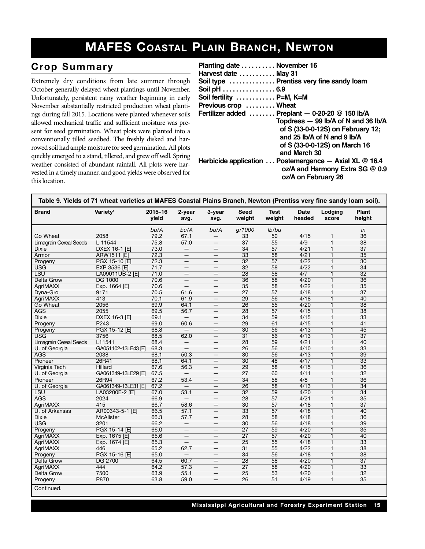## **MAFES COASTAL PLAIN BRANCH, NEWTON**

#### $Crop$  Summary

Extremely dry conditions from late summer through October generally delayed wheat plantings until November. Unfortunately, persistent rainy weather beginning in early November substantially restricted production wheat plantings during fall 2015. Locations were planted whenever soils allowed mechanical traffic and sufficient moisture was present for seed germination. Wheat plots were planted into a conventionally tilled seedbed. The freshly disked and harrowed soil had ample moisture for seed germination. All plots quickly emerged to a stand, tillered, and grew off well. Spring weather consisted of abundant rainfall. All plots were harvested in a timely manner, and good yields were observed for this location.

| Planting date November 16<br>Harvest date  May 31<br>Soil pH 6.9<br>Soil fertility  P=M, K=M<br>Previous crop  Wheat | Soil type  Prentiss very fine sandy loam<br>Fertilizer added  Preplant - 0-20-20 @ 150 lb/A<br>Topdress - 99 lb/A of N and 36 lb/A<br>of S (33-0-0-12S) on February 12;<br>and 25 $\mathsf{lb}/\mathsf{A}$ of N and 9 $\mathsf{lb}/\mathsf{A}$ |
|----------------------------------------------------------------------------------------------------------------------|------------------------------------------------------------------------------------------------------------------------------------------------------------------------------------------------------------------------------------------------|
|                                                                                                                      | of S (33-0-0-12S) on March 16                                                                                                                                                                                                                  |
|                                                                                                                      | and March 30                                                                                                                                                                                                                                   |
|                                                                                                                      | Herbicide application $\ldots$ Postemergence $-$ Axial XL @ 16.4<br>oz/A and Harmony Extra SG @ 0.9<br>oz/A on February 26                                                                                                                     |

| Table 9. Yields of 71 wheat varieties at MAFES Coastal Plains Branch, Newton (Prentiss very fine sandy loam soil). |                      |                  |                          |                          |                       |                       |                       |                  |                 |  |
|--------------------------------------------------------------------------------------------------------------------|----------------------|------------------|--------------------------|--------------------------|-----------------------|-----------------------|-----------------------|------------------|-----------------|--|
| <b>Brand</b>                                                                                                       | Variety <sup>1</sup> | 2015-16<br>yield | 2-year<br>avg.           | 3-year<br>avg.           | <b>Seed</b><br>weight | <b>Test</b><br>weight | <b>Date</b><br>headed | Lodging<br>score | Plant<br>height |  |
|                                                                                                                    |                      | bu/A             | bu/A                     | bu/A                     | g/1000                | lb/bu                 |                       |                  | in              |  |
| Go Wheat                                                                                                           | 2058                 | 79.2             | 67.1                     | -                        | 33                    | 50                    | 4/15                  | $\mathbf{1}$     | 36              |  |
| <b>Limagrain Cereal Seeds</b>                                                                                      | L 11544              | 75.8             | 57.0                     |                          | $\overline{37}$       | 55                    | $\overline{4/9}$      | $\overline{1}$   | 38              |  |
| Dixie                                                                                                              | DXEX 16-1 [E]        | 73.0             | $\qquad \qquad -$        | $\qquad \qquad -$        | 34                    | 57                    | 4/21                  | $\mathbf{1}$     | $\overline{37}$ |  |
| Armor                                                                                                              | <b>ARW1511 [E]</b>   | 72.3             | $\qquad \qquad -$        |                          | $\overline{33}$       | $\overline{58}$       | 4/21                  | $\overline{1}$   | $\overline{35}$ |  |
| Progeny                                                                                                            | PGX 15-10 [E]        | 72.3             | $\overline{\phantom{m}}$ | $\qquad \qquad -$        | $\overline{32}$       | 57                    | 4/22                  | $\overline{1}$   | $\overline{30}$ |  |
| <b>USG</b>                                                                                                         | EXP 3536 [E]         | 71.7             | $\qquad \qquad -$        | $\overline{\phantom{m}}$ | $\overline{32}$       | 58                    | 4/22                  | $\overline{1}$   | $\overline{34}$ |  |
| <b>LSU</b>                                                                                                         | LA09011UB-2 [E]      | 71.0             | $\qquad \qquad -$        | $\qquad \qquad -$        | 28                    | 58                    | 4/7                   | $\overline{1}$   | $\overline{32}$ |  |
| <b>Delta Grow</b>                                                                                                  | <b>DG 1000</b>       | 70.6             |                          |                          | 36                    | 58                    | 4/20                  | $\overline{1}$   | 36              |  |
| <b>AgriMAXX</b>                                                                                                    | Exp. 1664 [E]        | 70.6             | $\overline{\phantom{0}}$ |                          | $\overline{35}$       | $\overline{58}$       | 4/22                  | $\overline{1}$   | $\overline{35}$ |  |
| Dyna-Gro                                                                                                           | 9171                 | 70.5             | 61.6                     | $\qquad \qquad -$        | $\overline{27}$       | 57                    | 4/18                  | $\overline{1}$   | $\overline{37}$ |  |
| <b>AgriMAXX</b>                                                                                                    | 413                  | 70.1             | 61.9                     |                          | 29                    | 56                    | 4/18                  | $\overline{1}$   | 40              |  |
| Go Wheat                                                                                                           | 2056                 | 69.9             | 64.1                     | $\overline{\phantom{m}}$ | $\overline{26}$       | 55                    | 4/20                  | $\overline{1}$   | $\overline{38}$ |  |
| <b>AGS</b>                                                                                                         | 2055                 | 69.5             | 56.7                     | —                        | $\overline{28}$       | 57                    | 4/15                  | $\overline{1}$   | 38              |  |
| <b>Dixie</b>                                                                                                       | <b>DXEX 16-3 [E]</b> | 69.1             | $=$                      | $\overline{\phantom{0}}$ | $\overline{34}$       | 59                    | 4/15                  | $\overline{1}$   | $\overline{33}$ |  |
| Progeny                                                                                                            | P <sub>243</sub>     | 69.0             | 60.6                     | $\qquad \qquad -$        | 29                    | 61                    | 4/15                  | $\mathbf{1}$     | $\overline{41}$ |  |
| Progeny                                                                                                            | PGX 15-12 [E]        | 68.8             |                          |                          | 30                    | 56                    | 4/13                  | $\overline{1}$   | $\overline{45}$ |  |
| <b>USG</b>                                                                                                         | 3756                 | 68.5             | 62.0                     | $\qquad \qquad -$        | $\overline{31}$       | 56                    | 4/13                  | $\overline{1}$   | $\overline{37}$ |  |
| <b>Limagrain Cereal Seeds</b>                                                                                      | L11541               | 68.4             | $\qquad \qquad -$        | $\qquad \qquad -$        | 28                    | $\overline{59}$       | 4/21                  | $\overline{1}$   | 40              |  |
| U. of Georgia                                                                                                      | GA051102-13LE43 IEI  | 68.3             | $\qquad \qquad -$        | $\qquad \qquad -$        | $\overline{26}$       | 56                    | 4/10                  | $\overline{1}$   | $\overline{33}$ |  |
| <b>AGS</b>                                                                                                         | 2038                 | 68.1             | 50.3                     | $\overline{\phantom{m}}$ | 30                    | 56                    | 4/13                  | $\overline{1}$   | 39              |  |
| Pioneer                                                                                                            | 26R41                | 68.1             | 64.1                     |                          | 30                    | 48                    | 4/17                  | $\overline{1}$   | $\overline{33}$ |  |
| <b>Virginia Tech</b>                                                                                               | <b>Hillard</b>       | 67.6             | 56.3                     | $\qquad \qquad -$        | $\overline{29}$       | 58                    | 4/15                  | $\overline{1}$   | 36              |  |
| U. of Georgia                                                                                                      | GA061349-13LE29 [E]  | 67.5             | $\qquad \qquad -$        | $\qquad \qquad -$        | $\overline{27}$       | 60                    | 4/11                  | $\overline{1}$   | $\overline{32}$ |  |
| Pioneer                                                                                                            | 26R94                | 67.2             | 53.4                     | $\qquad \qquad -$        | 34                    | 58                    | 4/8                   | $\overline{1}$   | 36              |  |
| U. of Georgia                                                                                                      | GA061349-13LE31 [E]  | 67.2             | $\overline{\phantom{m}}$ | $\qquad \qquad -$        | $\overline{26}$       | 58                    | 4/13                  | $\overline{1}$   | $\overline{34}$ |  |
| <b>LSU</b>                                                                                                         | LA03200E-2 [E]       | 67.0             | 53.1                     | $\qquad \qquad -$        | $\overline{32}$       | 59                    | 4/20                  | $\overline{1}$   | $\overline{34}$ |  |
| <b>AGS</b>                                                                                                         | 2024                 | 66.9             | $\overline{\phantom{m}}$ | $\overline{\phantom{0}}$ | $\overline{28}$       | 57                    | 4/21                  | $\overline{1}$   | $\overline{35}$ |  |
| <b>AgriMAXX</b>                                                                                                    | 415                  | 66.7             | 58.6                     |                          | 30                    | 57                    | 4/18                  | $\overline{1}$   | $\overline{37}$ |  |
| U. of Arkansas                                                                                                     | AR00343-5-1 [E]      | 66.5             | 57.1                     | $\qquad \qquad -$        | 33                    | 57                    | 4/18                  | 1                | 40              |  |
| <b>Dixie</b>                                                                                                       | <b>McAlister</b>     | 66.3             | 57.7                     |                          | 28                    | 58                    | 4/18                  | $\overline{1}$   | 36              |  |
| <b>USG</b>                                                                                                         | 3201                 | 66.2             | $\overline{\phantom{m}}$ | $\qquad \qquad -$        | 30                    | 56                    | 4/18                  | $\overline{1}$   | 39              |  |
| Progeny                                                                                                            | PGX 15-14 [E]        | 66.0             | $\overline{\phantom{m}}$ | $\qquad \qquad$          | $\overline{27}$       | 59                    | 4/20                  | $\overline{1}$   | $\overline{35}$ |  |
| <b>AgriMAXX</b>                                                                                                    | Exp. 1675 [E]        | 65.6             | $\qquad \qquad -$        | $\qquad \qquad -$        | $\overline{27}$       | 57                    | 4/20                  | $\overline{1}$   | 40              |  |
| AgriMAXX                                                                                                           | Exp. 1674 [E]        | 65.3             |                          |                          | 25                    | 55                    | 4/18                  | $\mathbf{1}$     | $\overline{33}$ |  |
| AgriMAXX                                                                                                           | 446                  | 65.2             | 62.7                     | $\overline{\phantom{0}}$ | $\overline{31}$       | 55                    | 4/22                  | $\overline{1}$   | 38              |  |
| Progeny                                                                                                            | PGX 15-16 [E]        | 65.0             | $\overline{\phantom{0}}$ | $\qquad \qquad -$        | $\overline{34}$       | 56                    | 4/18                  | $\overline{1}$   | 38              |  |
| <b>Delta Grow</b>                                                                                                  | <b>DG 2700</b>       | 64.5             | 60.7                     |                          | 28                    | $\overline{58}$       | 4/20                  | $\overline{1}$   | $\overline{37}$ |  |
| AgriMAXX                                                                                                           | 444                  | 64.2             | 57.3                     | $\qquad \qquad -$        | $\overline{27}$       | 58                    | 4/20                  | $\overline{1}$   | $\overline{33}$ |  |
| <b>Delta Grow</b>                                                                                                  | 7500                 | 63.9             | 55.1                     |                          | 25                    | 53                    | 4/20                  | $\mathbf{1}$     | $\overline{32}$ |  |
| Progeny                                                                                                            | P870                 | 63.8             | 59.0                     | $\qquad \qquad -$        | $\overline{26}$       | $\overline{51}$       | 4/19                  | $\overline{1}$   | $\overline{35}$ |  |
| Continued.                                                                                                         |                      |                  |                          |                          |                       |                       |                       |                  |                 |  |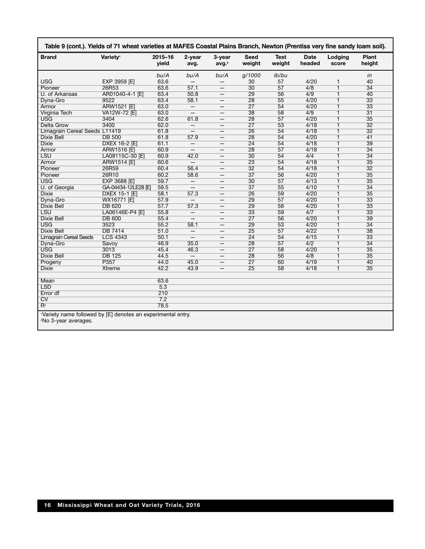| <b>Brand</b>                  | Variety <sup>1</sup> | 2015-16<br>vield | 2-year<br>avg.                                               | 3-year<br>avg. <sup>2</sup> | <b>Seed</b><br>weight | <b>Test</b><br>weight | <b>Date</b><br>headed | Lodging<br>score        | Plant<br>height |
|-------------------------------|----------------------|------------------|--------------------------------------------------------------|-----------------------------|-----------------------|-----------------------|-----------------------|-------------------------|-----------------|
|                               |                      | bu/A             | bu/A                                                         | bu/A                        | g/1000                | lb/bu                 |                       |                         | in              |
| <b>USG</b>                    | EXP 3959 [E]         | 63.6             |                                                              |                             | 30                    | 57                    | 4/20                  | 1                       | 40              |
| Pioneer                       | 26R53                | 63.6             | 57.1                                                         | $\qquad \qquad -$           | 30                    | 57                    | 4/8                   | $\overline{1}$          | $\overline{34}$ |
| U. of Arkansas                | AR01040-4-1 [E]      | 63.4             | 50.8                                                         | $\overline{\phantom{0}}$    | 29                    | 56                    | 4/9                   | $\overline{\mathbf{1}}$ | 40              |
| Dyna-Gro                      | 9522                 | 63.4             | 58.1                                                         |                             | 28                    | 55                    | 4/20                  | $\overline{1}$          | $\overline{33}$ |
| Armor                         | <b>ARW1521 [E]</b>   | 63.0             | $\overline{\phantom{m}}$                                     | $\qquad \qquad -$           | $\overline{27}$       | 54                    | 4/20                  | $\overline{1}$          | $\overline{33}$ |
| Virginia Tech                 | VA12W-72 [E]         | 63.0             | $\overline{\phantom{m}}$                                     | $\overline{\phantom{m}}$    | 38                    | 58                    | 4/9                   | $\overline{1}$          | $\overline{31}$ |
| <b>USG</b>                    | 3404                 | 62.6             | 61.8                                                         | $\qquad \qquad -$           | 28                    | 57                    | 4/20                  | $\overline{1}$          | $\overline{35}$ |
| <b>Delta Grow</b>             | 3400                 | 62.0             |                                                              |                             | $\overline{27}$       | 53                    | 4/18                  | $\overline{1}$          | 32              |
| Limagrain Cereal Seeds L11419 |                      | 61.8             | $\qquad \qquad -$                                            | $\overline{\phantom{0}}$    | 26                    | 54                    | 4/18                  | $\overline{1}$          | 32              |
| Dixie Bell                    | <b>DB 500</b>        | 61.8             | 57.9                                                         |                             | 28                    | 54                    | 4/20                  | $\mathbf{1}$            | 41              |
| <b>Dixie</b>                  | DXEX 16-2 [E]        | 61.1             | $\overline{\phantom{m}}$                                     |                             | $\overline{24}$       | 54                    | 4/18                  | $\overline{1}$          | 39              |
| Armor                         | <b>ARW1516 [E]</b>   | 60.9             | $\overline{\phantom{m}}$                                     | $\overline{\phantom{m}}$    | 28                    | 57                    | 4/18                  | $\overline{1}$          | $\overline{34}$ |
| <b>LSU</b>                    | LA08115C-30 [E]      | 60.9             | 42.0                                                         |                             | 30                    | 54                    | 4/4                   | $\mathbf{1}$            | 34              |
| Armor                         | <b>ARW1514 [E]</b>   | 60.6             | $\qquad \qquad -$                                            |                             | 23                    | 54                    | 4/18                  | $\overline{1}$          | 35              |
| Pioneer                       | 26R59                | 60.4             | 56.4                                                         | $\qquad \qquad -$           | $\overline{32}$       | 54                    | 4/18                  | $\overline{1}$          | $\overline{32}$ |
| Pioneer                       | 26R10                | 60.2             | 58.6                                                         |                             | $\overline{37}$       | 56                    | 4/20                  | $\overline{1}$          | $\overline{35}$ |
| <b>USG</b>                    | EXP 3688 [E]         | 59.7             | $\overline{\phantom{m}}$                                     | $\overline{\phantom{m}}$    | 30                    | 57                    | 4/13                  | $\overline{1}$          | 35              |
| U. of Georgia                 | GA-04434-12LE28 IEI  | 59.5             | $\qquad \qquad -$                                            |                             | $\overline{37}$       | 55                    | 4/10                  | $\overline{1}$          | $\overline{34}$ |
| <b>Dixie</b>                  | DXEX 15-1 [E]        | 58.1             | 57.3                                                         |                             | 26                    | 59                    | 4/20                  | $\overline{1}$          | 35              |
| Dyna-Gro                      | WX16771 [E]          | 57.9             | $\overline{\phantom{m}}$                                     | $\qquad \qquad -$           | 29                    | 57                    | 4/20                  | $\overline{1}$          | $\overline{33}$ |
| <b>Dixie Bell</b>             | <b>DB 620</b>        | 57.7             | 57.3                                                         | $\overline{\phantom{m}}$    | 29                    | 58                    | 4/20                  | $\overline{1}$          | $\overline{33}$ |
| <b>LSU</b>                    | LA06146E-P4 [E]      | 55.8             | $\overline{\phantom{m}}$                                     | $\overline{\phantom{0}}$    | 33                    | 59                    | 4/7                   | $\overline{1}$          | 33              |
| <b>Dixie Bell</b>             | <b>DB 600</b>        | 55.4             |                                                              |                             | $\overline{27}$       | 56                    | 4/20                  | $\overline{1}$          | 39              |
| <b>USG</b>                    | 3523                 | 55.2             | 58.1                                                         |                             | 29                    | $\overline{53}$       | 4/20                  | $\overline{1}$          | $\overline{34}$ |
| <b>Dixie Bell</b>             | <b>DB 7414</b>       | 51.0             | $\overline{\phantom{m}}$                                     | $\qquad \qquad -$           | $\overline{25}$       | 57                    | 4/22                  | $\overline{1}$          | 38              |
| <b>Limagrain Cereal Seeds</b> | <b>LCS 4343</b>      | 50.1             | $\overline{\phantom{m}}$                                     |                             | $\overline{24}$       | 54                    | 4/15                  | $\overline{1}$          | $\overline{33}$ |
| Dyna-Gro                      | Savoy                | 46.9             | 35.0                                                         |                             | 28                    | $\overline{57}$       | 4/2                   | $\overline{1}$          | $\overline{34}$ |
| <b>USG</b>                    | 3013                 | 45.4             | 46.3                                                         | $\qquad \qquad -$           | $\overline{27}$       | 58                    | 4/20                  | $\overline{1}$          | $\overline{35}$ |
| <b>Dixie Bell</b>             | <b>DB 125</b>        | 44.5             |                                                              |                             | 28                    | 56                    | 4/8                   | $\overline{1}$          | 35              |
| Progeny                       | P357                 | 44.0             | 45.0                                                         | $\qquad \qquad -$           | $\overline{27}$       | 60                    | 4/19                  | $\overline{1}$          | 40              |
| <b>Dixie</b>                  | <b>Xtreme</b>        | 42.2             | 43.9                                                         |                             | $\overline{25}$       | 58                    | 4/18                  | $\overline{1}$          | 35              |
|                               |                      |                  |                                                              |                             |                       |                       |                       |                         |                 |
| Mean                          |                      | 63.6             |                                                              |                             |                       |                       |                       |                         |                 |
| <b>LSD</b>                    |                      | 5.3              |                                                              |                             |                       |                       |                       |                         |                 |
| Error df                      |                      | 210              |                                                              |                             |                       |                       |                       |                         |                 |
| $\overline{\text{cv}}$        |                      | 7.2              |                                                              |                             |                       |                       |                       |                         |                 |
| $R^2$                         |                      | 78.5             |                                                              |                             |                       |                       |                       |                         |                 |
|                               |                      |                  | 'Variety name followed by [E] denotes an experimental entry. |                             |                       |                       |                       |                         |                 |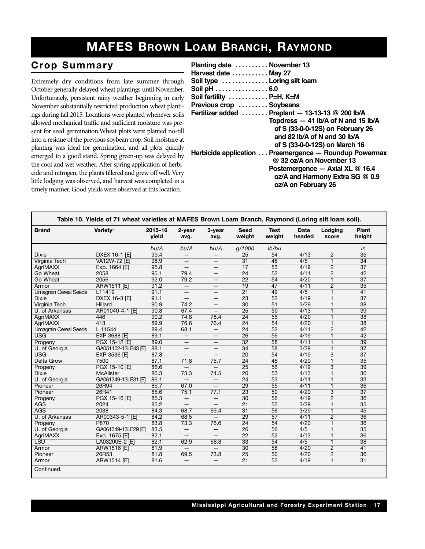## **MAFES BROWN LOAM BRANCH, RAYMOND**

#### $Crop$  Summary

Extremely dry conditions from late summer through October generally delayed wheat plantings until November. Unfortunately, persistent rainy weather beginning in early November substantially restricted production wheat plantings during fall 2015. Locations were planted whenever soils allowed mechanical traffic and sufficient moisture was present for seed germination.Wheat plots were planted no-till into a residue of the previous soybean crop. Soil moisture at planting was ideal for germination, and all plots quickly emerged to a good stand. Spring green-up was delayed by the cool and wet weather. After spring application of herbicide and nitrogen, the plants tillered and grew off well. Very little lodging was observed, and harvest was completed in a timely manner. Good yields were observed at this location.

| Planting date  November 13<br>Harvest date  May 27                   |
|----------------------------------------------------------------------|
| Soil type  Loring silt loam                                          |
| Soil pH 6.0                                                          |
| Soil fertility  P=H, K=M                                             |
| Previous crop  Soybeans                                              |
| Fertilizer added  Preplant - 13-13-13 @ 200 lb/A                     |
| Topdress $-41$ lb/A of N and 15 lb/A                                 |
| of S (33-0-0-12S) on February 26                                     |
| and 82 $\mathsf{lb}/\mathsf{A}$ of N and 30 $\mathsf{lb}/\mathsf{A}$ |
| of S (33-0-0-12S) on March 16                                        |
| Herbicide application  Preemergence - Roundup Powermax               |
| $@32$ oz/A on November 13                                            |
| Postemergence - Axial XL $@$ 16.4                                    |
| oz/A and Harmony Extra SG @ 0.9                                      |
| oz/A on February 26                                                  |
|                                                                      |

|                               | Table 10. Yields of 71 wheat varieties at MAFES Brown Loam Branch, Raymond (Loring silt loam soil). |                  |                          |                          |                       |                       |                       |                  |                 |
|-------------------------------|-----------------------------------------------------------------------------------------------------|------------------|--------------------------|--------------------------|-----------------------|-----------------------|-----------------------|------------------|-----------------|
| <b>Brand</b>                  | Variety <sup>1</sup>                                                                                | 2015-16<br>vield | 2-year<br>avg.           | 3-year<br>avg.           | <b>Seed</b><br>weight | <b>Test</b><br>weight | <b>Date</b><br>headed | Lodging<br>score | Plant<br>height |
|                               |                                                                                                     | bu/A             | bu/A                     | bu/A                     | g/1000                | lb/bu                 |                       |                  | in              |
| <b>Dixie</b>                  | DXEX 16-1 [E]                                                                                       | 99.4             |                          |                          | 25                    | 54                    | 4/13                  | $\overline{c}$   | 35              |
| Virginia Tech                 | <b>VA12W-72 [E]</b>                                                                                 | 98.9             | $\qquad \qquad -$        | $\qquad \qquad -$        | $\overline{31}$       | 48                    | 4/5                   | $\overline{1}$   | $\overline{34}$ |
| <b>AgriMAXX</b>               | Exp. 1664 [E]                                                                                       | 95.8             | —                        | $\overline{\phantom{m}}$ | 17                    | 53                    | 4/19                  | $\overline{2}$   | $\overline{37}$ |
| Go Wheat                      | 2058                                                                                                | 95.1             | 79.4                     | $\equiv$                 | $\overline{24}$       | $\overline{52}$       | 4/11                  | $\overline{2}$   | 42              |
| Go Wheat                      | 2056                                                                                                | 92.0             | 79.2                     |                          | $\overline{22}$       | 54                    | 4/20                  | $\overline{1}$   | $\overline{37}$ |
| Armor                         | <b>ARW1511 [E]</b>                                                                                  | 91.2             | $\overline{\phantom{0}}$ | $\qquad \qquad -$        | $\overline{19}$       | 47                    | 4/11                  | $\overline{2}$   | 35              |
| <b>Limagrain Cereal Seeds</b> | L11419                                                                                              | 91.1             | $\qquad \qquad -$        | $\overline{\phantom{m}}$ | $\overline{21}$       | 49                    | 4/5                   | $\mathbf{1}$     | 41              |
| <b>Dixie</b>                  | <b>DXEX 16-3 [E]</b>                                                                                | 91.1             | $\qquad \qquad -$        | $\overline{\phantom{m}}$ | 23                    | 52                    | 4/19                  | $\mathbf{1}$     | $\overline{37}$ |
| <b>Virginia Tech</b>          | <b>Hillard</b>                                                                                      | 90.9             | 74.2                     |                          | $\overline{30}$       | 51                    | 3/29                  | $\overline{1}$   | $\overline{38}$ |
| U. of Arkansas                | AR01040-4-1 [E]                                                                                     | 90.8             | 67.4                     | $-$                      | $\overline{25}$       | 50                    | 4/13                  | $\mathbf{1}$     | $\overline{39}$ |
| <b>AgriMAXX</b>               | 446                                                                                                 | 90.2             | 74.8                     | 78.4                     | $\overline{24}$       | 55                    | 4/20                  | $\mathbf{1}$     | 38              |
| <b>AariMAXX</b>               | 413                                                                                                 | 89.9             | 76.6                     | 76.4                     | $\overline{24}$       | 54                    | 4/20                  | $\mathbf{1}$     | 38              |
| <b>Limagrain Cereal Seeds</b> | $L$ 11544                                                                                           | 89.4             | 68.1                     | $\qquad \qquad -$        | $\overline{24}$       | 52                    | 4/11                  | $\overline{2}$   | 42              |
| <b>USG</b>                    | EXP 3688 [E]                                                                                        | 89.1             | $\overline{\phantom{0}}$ | $\overline{\phantom{0}}$ | $\overline{26}$       | 56                    | 4/19                  | $\overline{1}$   | $\overline{42}$ |
| Progeny                       | PGX 15-12 [E]                                                                                       | 89.0             | $\overline{\phantom{m}}$ | $\qquad \qquad -$        | $\overline{32}$       | 58                    | 4/11                  | $\mathbf{1}$     | 39              |
| U. of Georgia                 | GA051102-13LE43 [E]                                                                                 | 88.1             | —                        | $\overline{\phantom{m}}$ | $\overline{34}$       | 58                    | 3/29                  | $\mathbf{1}$     | $\overline{37}$ |
| <b>USG</b>                    | EXP 3536 [E]                                                                                        | 87.8             | $\overline{\phantom{m}}$ | $\qquad \qquad -$        | $\overline{20}$       | 54                    | 4/19                  | $\overline{3}$   | $\overline{37}$ |
| Delta Grow                    | 7500                                                                                                | 87.1             | 71.8                     | 75.7                     | $\overline{24}$       | 48                    | 4/20                  | $\overline{1}$   | $\overline{35}$ |
| Progeny                       | PGX 15-10 [E]                                                                                       | 86.6             | $-$                      | $\qquad \qquad -$        | 25                    | 56                    | 4/19                  | $\overline{3}$   | 39              |
| <b>Dixie</b>                  | <b>McAlister</b>                                                                                    | 86.3             | 73.3                     | 74.5                     | $\overline{20}$       | 53                    | 4/13                  | $\mathbf{1}$     | 36              |
| U. of Georgia                 | GA061349-13LE31 [E]                                                                                 | 86.1             | $\overline{\phantom{0}}$ | $\qquad \qquad -$        | $\overline{24}$       | 53                    | 4/11                  | $\mathbf{1}$     | 33              |
| Pioneer                       | 26R94                                                                                               | 85.7             | 67.0                     |                          | 29                    | 55                    | 4/11                  | $\overline{1}$   | 36              |
| Pioneer                       | 26R41                                                                                               | 85.6             | 75.1                     | 77.1                     | $\overline{23}$       | 50                    | 4/20                  | $\overline{3}$   | $\overline{37}$ |
| Progeny                       | PGX 15-16 [E]                                                                                       | 85.3             | $\overline{\phantom{m}}$ | $\qquad \qquad -$        | 30                    | 56                    | 4/19                  | $\overline{2}$   | $\overline{36}$ |
| <b>AGS</b>                    | 2024                                                                                                | 85.2             | $\qquad \qquad -$        | $-$                      | $\overline{21}$       | 55                    | 3/29                  | $\overline{1}$   | 35              |
| <b>AGS</b>                    | 2038                                                                                                | 84.3             | 68.7                     | 69.4                     | $\overline{31}$       | 56                    | 3/29                  | $\overline{1}$   | 45              |
| U. of Arkansas                | AR00343-5-1 [E]                                                                                     | 84.2             | 68.5                     | $-$                      | 29                    | 57                    | 4/11                  | $\overline{2}$   | $\overline{36}$ |
| Progeny                       | <b>P870</b>                                                                                         | 83.8             | 73.3                     | 76.6                     | $\overline{24}$       | 54                    | 4/20                  | $\mathbf{1}$     | 36              |
| U. of Georgia                 | GA061349-13LE29 [E]                                                                                 | 83.5             | $\qquad \qquad -$        | $\qquad \qquad -$        | 26                    | 56                    | 4/5                   | $\mathbf{1}$     | $\overline{35}$ |
| <b>AgriMAXX</b>               | Exp. 1675 [E]                                                                                       | 82.1             |                          |                          | $\overline{22}$       | $\overline{52}$       | 4/13                  | $\overline{1}$   | $\overline{36}$ |
| <b>LSU</b>                    | LA03200E-2 [E]                                                                                      | 82.1             | 62.9                     | 68.8                     | $\overline{33}$       | 54                    | $\overline{4/5}$      | $\overline{1}$   | $\overline{38}$ |
| Armor                         | <b>ARW1516 [E]</b>                                                                                  | 81.9             | $\overline{\phantom{m}}$ | $\qquad \qquad -$        | 30                    | 58                    | 4/20                  | $\overline{2}$   | 41              |
| Pioneer                       | 26R53                                                                                               | 81.8             | 69.5                     | 73.8                     | $\overline{25}$       | 50                    | 4/20                  | $\overline{2}$   | $\overline{36}$ |
| Armor                         | ARW1514 [E]                                                                                         | 81.6             | $\qquad \qquad -$        |                          | $\overline{21}$       | 52                    | 4/19                  | $\overline{1}$   | $\overline{31}$ |
| Continued.                    |                                                                                                     |                  |                          |                          |                       |                       |                       |                  |                 |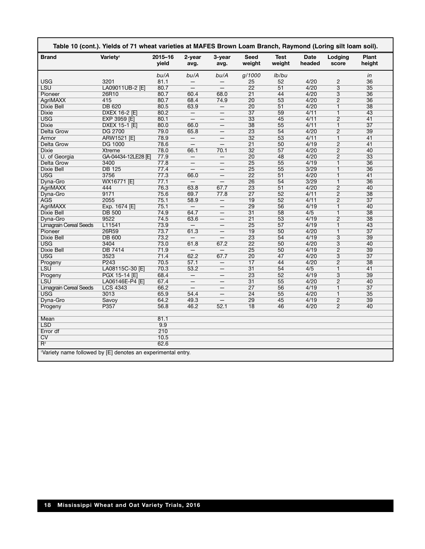| <b>Brand</b>                  | Varietv <sup>1</sup>     | 2015-16<br>vield | 2-year<br>avg.           | 3-year<br>avg.           | Seed<br>weight        | <b>Test</b><br>weight | Date<br>headed | Lodging<br>score                 | Plant<br>height |
|-------------------------------|--------------------------|------------------|--------------------------|--------------------------|-----------------------|-----------------------|----------------|----------------------------------|-----------------|
|                               |                          | bu/A             | bu/A                     | bu/A                     | g/1000                | lb/bu                 |                |                                  | in              |
| <b>USG</b>                    | 3201                     | 81.1             |                          |                          | 25                    | 52                    | 4/20           | $\overline{c}$                   | 36              |
| <b>LSU</b>                    | LA09011UB-2 [E]          | 80.7             | $\qquad \qquad -$        | $\qquad \qquad -$        | $\overline{22}$       | 51                    | 4/20           | 3                                | $\overline{35}$ |
| Pioneer                       | 26R10                    | 80.7             | 60.4                     | 68.0                     | $\overline{21}$       | 44                    | 4/20           | $\overline{3}$                   | 36              |
| <b>AgriMAXX</b>               | 415                      | 80.7             | 68.4                     | 74.9                     | $\overline{20}$       | 53                    | 4/20           | $\overline{2}$                   | 36              |
| Dixie Bell                    | <b>DB 620</b>            | 80.5             | 63.9                     | $-$                      | 20                    | 51                    | 4/20           | $\overline{1}$                   | 38              |
| <b>Dixie</b>                  | <b>DXEX 16-2 [E]</b>     | 80.2             | $\overline{\phantom{0}}$ |                          | $\overline{37}$       | 59                    | 4/11           | $\overline{1}$                   | 43              |
| <b>USG</b>                    | EXP 3959 [E]             | 80.1             | $\qquad \qquad -$        | $\overline{\phantom{0}}$ | $\overline{33}$       | 45                    | 4/11           | $\overline{2}$                   | 41              |
| <b>Dixie</b>                  | DXEX 15-1 [E]            | 80.0             | 66.0                     | $\overline{\phantom{0}}$ | 38                    | 55                    | 4/11           | $\mathbf{1}$                     | $\overline{37}$ |
| <b>Delta Grow</b>             | <b>DG 2700</b>           | 79.0             | 65.8                     | $\qquad \qquad -$        | 23                    | 54                    | 4/20           | $\overline{2}$                   | 39              |
| Armor                         | ARW1521 [E]              | 78.9             | $\overline{\phantom{m}}$ | $\overline{\phantom{0}}$ | $\overline{32}$       | 53                    | 4/11           | $\overline{1}$                   | 41              |
| <b>Delta Grow</b>             | <b>DG 1000</b>           | 78.6             | $\qquad \qquad -$        | $\overline{\phantom{0}}$ | $\overline{21}$       | 50                    | 4/19           | $\overline{2}$                   | 41              |
| <b>Dixie</b>                  | Xtreme                   | 78.0             | 66.1                     | 70.1                     | $\overline{32}$       | 57                    | 4/20           | $\overline{2}$                   | 40              |
| U. of Georgia                 | GA-04434-12LE28 旧        | 77.9             | $\qquad \qquad -$        |                          | 20                    | 48                    | 4/20           | $\overline{2}$                   | 33              |
| Delta Grow                    | 3400                     | 77.8             |                          |                          | $\overline{25}$       | $\overline{55}$       | 4/19           | $\overline{1}$                   | 36              |
| <b>Dixie Bell</b>             | <b>DB 125</b>            | 77.4             |                          |                          | $\overline{25}$       | 55                    | 3/29           | $\overline{1}$                   | 36              |
| <b>USG</b>                    | 3756                     | 77.3             | 66.0                     | $\overline{\phantom{0}}$ | $\overline{22}$       | 51                    | 4/20           | $\mathbf{1}$                     | 41              |
| Dyna-Gro                      | WX16771 [E]              | 77.1             | $\overline{\phantom{m}}$ | —                        | 26                    | 54                    | 3/29           | 1                                | 36              |
| <b>AgriMAXX</b>               | 444                      | 76.3             | 63.8                     | 67.7                     | $\overline{23}$       | $\overline{51}$       | 4/20           | $\overline{2}$                   | 40              |
| Dyna-Gro                      | 9171                     | 75.6             | 69.7                     | 77.8                     | $\overline{27}$       | 52                    | 4/11           | $\overline{2}$                   | 38              |
| <b>AGS</b>                    | 2055                     | 75.1             | 58.9                     | $\qquad \qquad -$        | 19                    | 52                    | 4/11           | $\overline{2}$                   | $\overline{37}$ |
| AgriMAXX                      | Exp. 1674 [E]            | 75.1             | $\overline{\phantom{m}}$ |                          | 29                    | 56                    | 4/19           | $\overline{1}$                   | 40              |
| Dixie Bell                    | <b>DB 500</b>            | 74.9             | 64.7                     | $\overline{\phantom{0}}$ | $\overline{31}$       | 58                    | 4/5            | 1                                | 38              |
| Dvna-Gro                      | 9522                     | 74.5             | 63.6                     |                          | $\overline{21}$       | $\overline{53}$       | 4/19           | $\overline{2}$                   | 38              |
| <b>Limagrain Cereal Seeds</b> | L11541                   | 73.9             | $\overline{\phantom{m}}$ |                          | $\overline{25}$       | 57                    | 4/19           | $\mathbf{1}$                     | 43              |
| Pioneer                       | 26R59                    | 73.7             | 61.3                     | —                        | $\overline{19}$       | 50                    | 4/20           | $\mathbf{1}$                     | $\overline{37}$ |
| <b>Dixie Bell</b>             | <b>DB 600</b>            | 73.2             | $\qquad \qquad -$        |                          | 23                    | 54                    | 4/19           | $\overline{3}$                   | 39              |
| <b>USG</b>                    | 3404                     | 73.0             | 61.8                     | 67.2                     | $\overline{22}$       | 50                    | 4/20           | $\overline{3}$                   | 40              |
| <b>Dixie Bell</b>             | <b>DB 7414</b>           | 71.9             | $\qquad \qquad -$        | $\overline{\phantom{0}}$ | $\overline{25}$       | 50                    | 4/19           | $\overline{2}$                   | 39              |
| <b>USG</b>                    |                          |                  | 62.2                     |                          | $\overline{20}$       | 47                    | 4/20           |                                  | $\overline{37}$ |
|                               | 3523<br>P <sub>243</sub> | 71.4             |                          | 67.7                     |                       | 44                    | 4/20           | $\overline{3}$<br>$\overline{2}$ | $\overline{38}$ |
| Progeny                       |                          | 70.5             | 57.1                     |                          | 17                    |                       |                |                                  |                 |
| LSU                           | LA08115C-30 [E]          | 70.3             | 53.2                     | $\overline{\phantom{0}}$ | 31<br>$\overline{23}$ | 54<br>$\overline{52}$ | 4/5<br>4/19    | 1                                | 41              |
| Progeny                       | PGX 15-14 [E]            | 68.4             | $\qquad \qquad -$        |                          |                       |                       |                | $\overline{3}$                   | 39              |
| LSU                           | LA06146E-P4 [E]          | 67.4             | $\overline{\phantom{0}}$ |                          | $\overline{31}$       | 55                    | 4/20           | $\overline{2}$                   | 40              |
| <b>Limagrain Cereal Seeds</b> | <b>LCS 4343</b>          | 66.2             |                          | $\overline{\phantom{0}}$ | $\overline{27}$       | 56                    | 4/19           | $\mathbf{1}$                     | $\overline{37}$ |
| <b>USG</b>                    | 3013                     | 65.9             | 54.4                     | $=$                      | $\overline{24}$       | 55                    | 4/20           | $\overline{1}$                   | 35              |
| Dyna-Gro                      | Savoy                    | 64.2             | 49.3                     | $\qquad \qquad -$        | 29                    | 45                    | 4/19           | $\overline{2}$                   | 39              |
| Progeny                       | P357                     | 56.8             | 46.2                     | 52.1                     | $\overline{18}$       | 46                    | 4/20           | $\overline{2}$                   | 40              |
| Mean                          |                          | 81.1             |                          |                          |                       |                       |                |                                  |                 |
| <b>LSD</b>                    |                          | 9.9              |                          |                          |                       |                       |                |                                  |                 |
| Error df                      |                          | 210              |                          |                          |                       |                       |                |                                  |                 |
| CV                            |                          | 10.5             |                          |                          |                       |                       |                |                                  |                 |
| $R^2$                         |                          | 62.6             |                          |                          |                       |                       |                |                                  |                 |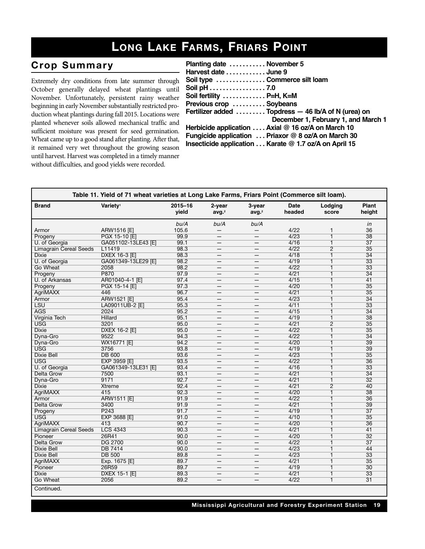## **LONG LAKE FARMS, FRIARS POINT**

#### $Crop$  Summary

Extremely dry conditions from late summer through October generally delayed wheat plantings until November. Unfortunately, persistent rainy weather beginning in early November substantially restricted production wheat plantings during fall 2015. Locations were planted whenever soils allowed mechanical traffic and sufficient moisture was present for seed germination. Wheat came up to a good stand after planting. After that, it remained very wet throughout the growing season until harvest. Harvest was completed in a timely manner without difficulties, and good yields were recorded.

| Planting date  November 5     |                                                       |
|-------------------------------|-------------------------------------------------------|
| Harvest date  June 9          |                                                       |
| Soil type  Commerce silt loam |                                                       |
| Soil pH 7.0                   |                                                       |
| Soil fertility  P=H, K=M      |                                                       |
| Previous crop  Soybeans       |                                                       |
|                               | Fertilizer added  Topdress - 46 lb/A of N (urea) on   |
|                               | December 1, February 1, and March 1                   |
|                               | Herbicide application  Axial @ 16 oz/A on March 10    |
|                               | Fungicide application  Priaxor @ 8 oz/A on March 30   |
|                               | Insecticide application Karate @ 1.7 oz/A on April 15 |
|                               |                                                       |

| Table 11. Yield of 71 wheat varieties at Long Lake Farms, Friars Point (Commerce silt loam). |                      |                      |                             |                             |                       |                         |                        |
|----------------------------------------------------------------------------------------------|----------------------|----------------------|-----------------------------|-----------------------------|-----------------------|-------------------------|------------------------|
| <b>Brand</b>                                                                                 | Variety <sup>1</sup> | $2015 - 16$<br>vield | 2-year<br>avg. <sup>2</sup> | 3-year<br>avg. <sup>2</sup> | <b>Date</b><br>headed | Lodging<br>score        | <b>Plant</b><br>height |
|                                                                                              |                      | bu/A                 | bu/A                        | bu/A                        |                       |                         | in                     |
| Armor                                                                                        | ARW1516 [E]          | 105.6                |                             |                             | 4/22                  | 1                       | 36                     |
| Progeny                                                                                      | PGX 15-10 [E]        | 99.9                 | $\qquad \qquad -$           | $\overline{\phantom{m}}$    | 4/23                  | $\overline{1}$          | $\overline{38}$        |
| U. of Georgia                                                                                | GA051102-13LE43 [E]  | 99.1                 | —                           | —                           | 4/16                  | $\overline{1}$          | $\overline{37}$        |
| <b>Limagrain Cereal Seeds</b>                                                                | L11419               | 98.3                 | $\qquad \qquad -$           | $\qquad \qquad -$           | 4/22                  | $\overline{2}$          | $\overline{35}$        |
| <b>Dixie</b>                                                                                 | DXEX 16-3 [E]        | 98.3                 | —                           | —                           | 4/18                  | $\overline{1}$          | $\overline{34}$        |
| U. of Georgia                                                                                | GA061349-13LE29 [E]  | 98.2                 | $\qquad \qquad$             | $\overline{\phantom{m}}$    | 4/19                  | $\overline{1}$          | $\overline{33}$        |
| Go Wheat                                                                                     | 2058                 | 98.2                 | $\overline{\phantom{0}}$    | $\overline{\phantom{0}}$    | 4/22                  | $\overline{1}$          | $\overline{33}$        |
| Progeny                                                                                      | <b>P870</b>          | 97.9                 | —                           | —                           | 4/21                  | $\overline{1}$          | $\overline{34}$        |
| U. of Arkansas                                                                               | AR01040-4-1 [E]      | 97.4                 | —                           | —                           | 4/15                  | $\overline{1}$          | 41                     |
| Progeny                                                                                      | PGX 15-14 [E]        | 97.3                 |                             |                             | 4/20                  | $\overline{1}$          | $\overline{35}$        |
| <b>AgriMAXX</b>                                                                              | 446                  | 96.7                 |                             |                             | 4/21                  | $\overline{1}$          | $\overline{35}$        |
| Armor                                                                                        | ARW1521 [E]          | 95.4                 | $\overline{\phantom{0}}$    | $\overline{\phantom{0}}$    | 4/23                  | $\overline{\mathbf{1}}$ | $\overline{34}$        |
| <b>LSU</b>                                                                                   | LA09011UB-2 [E]      | 95.3                 | —                           | —                           | 4/11                  | $\overline{\mathbf{1}}$ | $\overline{33}$        |
| <b>AGS</b>                                                                                   | 2024                 | 95.2                 | —                           |                             | 4/15                  | $\overline{1}$          | $\overline{34}$        |
| Virginia Tech                                                                                | <b>Hillard</b>       | 95.1                 | $\qquad \qquad -$           | $\qquad \qquad -$           | 4/19                  | $\overline{1}$          | $\overline{38}$        |
| USG                                                                                          | 3201                 | 95.0                 | $\qquad \qquad -$           | —                           | 4/21                  | $\overline{2}$          | $\overline{35}$        |
| <b>Dixie</b>                                                                                 | <b>DXEX 16-2 [E]</b> | 95.0                 | $\qquad \qquad -$           | $\overline{\phantom{m}}$    | 4/22                  | $\overline{1}$          | $\overline{35}$        |
| Dyna-Gro                                                                                     | 9522                 | 94.3                 | —                           | —                           | 4/22                  | $\overline{1}$          | $\overline{34}$        |
| Dyna-Gro                                                                                     | WX16771 [E]          | 94.2                 | $\qquad \qquad$             | $\overline{\phantom{m}}$    | 4/20                  | $\overline{\mathbf{1}}$ | 39                     |
| <b>USG</b>                                                                                   | 3756                 | 93.8                 | —                           | —                           | 4/19                  | $\overline{1}$          | 39                     |
| <b>Dixie Bell</b>                                                                            | <b>DB 600</b>        | 93.6                 | —                           | —                           | 4/23                  | $\overline{1}$          | $\overline{35}$        |
| <b>USG</b>                                                                                   | <b>EXP 3959 [E]</b>  | 93.5                 | —                           | —                           | 4/22                  | $\overline{1}$          | $\overline{36}$        |
| U. of Georgia                                                                                | GA061349-13LE31 [E]  | 93.4                 |                             |                             | 4/16                  | $\overline{1}$          | $\overline{33}$        |
| Delta Grow                                                                                   | 7500                 | 93.1                 |                             |                             | 4/21                  | $\overline{1}$          | $\overline{34}$        |
| Dyna-Gro                                                                                     | 9171                 | 92.7                 | $\overline{\phantom{0}}$    | $\overline{\phantom{0}}$    | 4/21                  | $\overline{1}$          | $\overline{32}$        |
| <b>Dixie</b>                                                                                 | <b>Xtreme</b>        | 92.4                 | —                           | —                           | 4/21                  | $\overline{2}$          | 40                     |
| <b>AgriMAXX</b>                                                                              | 415                  | 92.3                 | —                           |                             | 4/20                  | $\overline{1}$          | $\overline{38}$        |
| Armor                                                                                        | <b>ARW1511 [E]</b>   | 91.9                 | $\qquad \qquad -$           | $\qquad \qquad -$           | 4/22                  | $\overline{1}$          | $\overline{36}$        |
| Delta Grow                                                                                   | 3400                 | 91.9                 | $\qquad \qquad -$           | -                           | 4/21                  | $\overline{1}$          | 39                     |
| Progeny                                                                                      | P243                 | 91.7                 | $\qquad \qquad -$           | $\qquad \qquad -$           | 4/19                  | $\overline{\mathbb{1}}$ | $\overline{37}$        |
| <b>USG</b>                                                                                   | EXP 3688 [E]         | 91.0                 | —                           | —                           | 4/10                  | $\overline{1}$          | $\overline{35}$        |
| <b>AariMAXX</b>                                                                              | 413                  | 90.7                 | $\qquad \qquad$             | $\overline{\phantom{m}}$    | 4/20                  | $\overline{1}$          | $\overline{36}$        |
| <b>Limagrain Cereal Seeds</b>                                                                | <b>LCS 4343</b>      | 90.3                 | $\overline{\phantom{0}}$    | $\overline{\phantom{0}}$    | 4/21                  | $\overline{1}$          | 41                     |
| Pioneer                                                                                      | 26R41                | 90.0                 | —                           | —                           | 4/20                  | $\overline{1}$          | $\overline{32}$        |
| <b>Delta Grow</b>                                                                            | <b>DG 2700</b>       | 90.0                 | —                           | —                           | 4/22                  | $\overline{1}$          | $\overline{37}$        |
| <b>Dixie Bell</b>                                                                            | <b>DB 7414</b>       | 90.0                 |                             |                             | 4/23                  | $\overline{1}$          | 44                     |
| Dixie Bell                                                                                   | <b>DB 500</b>        | 89.8                 |                             |                             | 4/23                  | $\overline{1}$          | $\overline{33}$        |
| AgriMAXX                                                                                     | Exp. 1675 [E]        | 89.7                 | $\overline{\phantom{0}}$    | $\overline{\phantom{0}}$    | 4/21                  | $\overline{\mathbf{1}}$ | $\overline{35}$        |
| Pioneer                                                                                      | 26R59                | 89.7                 | —                           | —                           | 4/19                  | $\overline{\mathbf{1}}$ | 30                     |
| <b>Dixie</b>                                                                                 | <b>DXEX 15-1 [E]</b> | 89.3                 |                             |                             | 4/21                  | $\overline{1}$          | $\overline{33}$        |
| Go Wheat                                                                                     | 2056                 | 89.2                 | —                           | —                           | 4/22                  | $\overline{1}$          | $\overline{31}$        |
|                                                                                              |                      |                      |                             |                             |                       |                         |                        |
| Continued.                                                                                   |                      |                      |                             |                             |                       |                         |                        |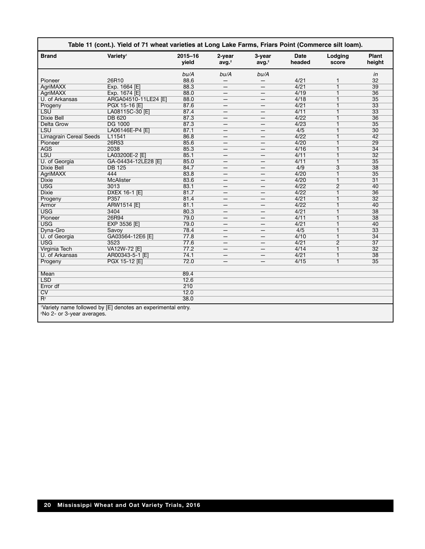| <b>Brand</b>                           | Variety <sup>1</sup>                                         | $2015 - 16$<br>vield | 2-year<br>avg. <sup>2</sup> | 3-year<br>avg. <sup>2</sup> | <b>Date</b><br>headed | Lodging<br>score        | <b>Plant</b><br>height |
|----------------------------------------|--------------------------------------------------------------|----------------------|-----------------------------|-----------------------------|-----------------------|-------------------------|------------------------|
|                                        |                                                              | bu/A                 | bu/A                        | bu/A                        |                       |                         | in                     |
| Pioneer                                | 26R10                                                        | 88.6                 |                             |                             | 4/21                  | 1                       | 32                     |
| <b>AgriMAXX</b>                        | Exp. 1664 [E]                                                | 88.3                 | —                           | $\overline{\phantom{m}}$    | 4/21                  | $\overline{\mathbf{1}}$ | 39                     |
| <b>AgriMAXX</b>                        | Exp. 1674 [E]                                                | 88.0                 | —                           | $\overline{\phantom{m}}$    | 4/19                  | 1                       | 36                     |
| U. of Arkansas                         | ARGA04510-11LE24 [E]                                         | 88.0                 | –                           | -                           | 4/18                  | $\overline{1}$          | $\overline{35}$        |
| Progeny                                | PGX 15-16 [E]                                                | 87.6                 | $\qquad \qquad -$           | $\overline{\phantom{m}}$    | 4/21                  | $\overline{1}$          | $\overline{33}$        |
| <b>LSU</b>                             | LA08115C-30 [E]                                              | 87.4                 | $\overline{\phantom{0}}$    |                             | 4/11                  | $\overline{1}$          | 33                     |
| <b>Dixie Bell</b>                      | <b>DB 620</b>                                                | 87.3                 |                             |                             | 4/22                  | $\overline{\mathbf{1}}$ | 36                     |
| <b>Delta Grow</b>                      | <b>DG 1000</b>                                               | 87.3                 | $\qquad \qquad$             | $\overline{\phantom{m}}$    | 4/23                  | $\overline{1}$          | $\overline{35}$        |
| <b>LSU</b>                             | LA06146E-P4 [E]                                              | 87.1                 | —                           |                             | 4/5                   | 1                       | $\overline{30}$        |
| <b>Limagrain Cereal Seeds</b>          | L11541                                                       | 86.8                 | $\overline{\phantom{0}}$    | $\overline{\phantom{0}}$    | 4/22                  | $\overline{\mathbf{1}}$ | 42                     |
| Pioneer                                | 26R53                                                        | 85.6                 | $\qquad \qquad$             | $\qquad \qquad -$           | 4/20                  | $\overline{1}$          | 29                     |
| <b>AGS</b>                             | 2038                                                         | 85.3                 | —                           | —                           | 4/16                  | 1                       | $\overline{34}$        |
| <b>LSU</b>                             | LA03200E-2 [E]                                               | 85.1                 | —                           |                             | 4/11                  | 1                       | $\overline{32}$        |
| U. of Georgia                          | GA-04434-12LE28 [E]                                          | 85.0                 | $\qquad \qquad -$           | $\overline{\phantom{m}}$    | 4/11                  | 1                       | $\overline{35}$        |
| <b>Dixie Bell</b>                      | <b>DB 125</b>                                                | 84.7                 | $\overline{\phantom{0}}$    | $\overline{\phantom{0}}$    | 4/9                   | 3                       | 38                     |
| <b>AgriMAXX</b>                        | 444                                                          | 83.8                 | $\overline{\phantom{0}}$    | $\equiv$                    | 4/20                  | $\overline{1}$          | $\overline{35}$        |
| <b>Dixie</b>                           | <b>McAlister</b>                                             | 83.6                 | —                           | —                           | 4/20                  | $\overline{1}$          | $\overline{31}$        |
| <b>USG</b>                             | 3013                                                         | 83.1                 | $\overline{\phantom{0}}$    | $\overline{\phantom{0}}$    | 4/22                  | $\overline{2}$          | 40                     |
| <b>Dixie</b>                           | DXEX 16-1 [E]                                                | 81.7                 |                             | $\overline{\phantom{0}}$    | 4/22                  | 1                       | 36                     |
| Progeny                                | P357                                                         | 81.4                 | —                           | $\qquad \qquad -$           | 4/21                  | $\overline{\mathbf{1}}$ | $\overline{32}$        |
| Armor                                  | ARW1514 [E]                                                  | 81.1                 | $\overline{\phantom{0}}$    | $\overline{\phantom{0}}$    | 4/22                  | $\overline{1}$          | 40                     |
| <b>USG</b>                             | 3404                                                         | 80.3                 | —                           |                             | 4/21                  | 1                       | $\overline{38}$        |
| Pioneer                                | 26R94                                                        | 79.0                 | $\overline{\phantom{0}}$    | $\overline{\phantom{0}}$    | 4/11                  | 1                       | 38                     |
| <b>USG</b>                             | <b>EXP 3536 [E]</b>                                          | 79.0                 | —                           |                             | 4/21                  | $\overline{1}$          | 40                     |
| Dyna-Gro                               | Savoy                                                        | 78.4                 | $\overline{\phantom{0}}$    | $\qquad \qquad -$           | 4/5                   | $\overline{1}$          | $\overline{33}$        |
| U. of Georgia                          | GA03564-12E6 [E]                                             | 77.8                 | $\overline{\phantom{0}}$    | $\overline{\phantom{a}}$    | 4/10                  | $\overline{1}$          | $\overline{34}$        |
| <b>USG</b>                             | 3523                                                         | 77.6                 |                             |                             | 4/21                  | $\overline{2}$          | $\overline{37}$        |
| <b>Virginia Tech</b>                   | VA12W-72 [E]                                                 | 77.2                 | $\qquad \qquad$             | $\overline{\phantom{m}}$    | 4/14                  | $\overline{1}$          | $\overline{32}$        |
| U. of Arkansas                         | AR00343-5-1 [E]                                              | 74.1                 | —                           |                             | 4/21                  | 1                       | 38                     |
| Progeny                                | PGX 15-12 [E]                                                | 72.0                 | $\overline{\phantom{0}}$    |                             | 4/15                  | $\overline{\mathbf{1}}$ | $\overline{35}$        |
| Mean                                   |                                                              | 89.4                 |                             |                             |                       |                         |                        |
| <b>LSD</b>                             |                                                              | 12.6                 |                             |                             |                       |                         |                        |
| Error df                               |                                                              | 210                  |                             |                             |                       |                         |                        |
| $\overline{\text{CV}}$                 |                                                              | 12.0                 |                             |                             |                       |                         |                        |
| $R^2$                                  |                                                              | 38.0                 |                             |                             |                       |                         |                        |
| <sup>2</sup> No 2- or 3-year averages. | 'Variety name followed by [E] denotes an experimental entry. |                      |                             |                             |                       |                         |                        |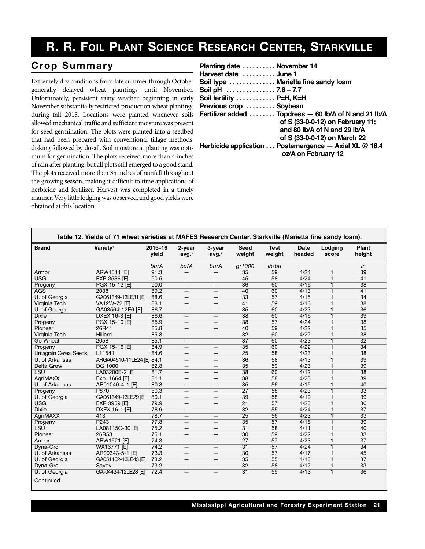## **R. R. FOIL PLANT SCIENCE RESEARCH CENTER, STARKVILLE**

#### $Crop$  Summary

Extremely dry conditions from late summer through October generally delayed wheat plantings until November. Unfortunately, persistent rainy weather beginning in early November substantially restricted production wheat plantings during fall 2015. Locations were planted whenever soils allowed mechanical traffic and sufficient moisture was present for seed germination. The plots were planted into a seedbed that had been prepared with conventional tillage methods, disking followed by do-all. Soil moisture at planting was optimum for germination. The plots received more than 4 inches of rain after planting, but all plots still emerged to a good stand. The plots received more than 35 inches of rainfall throughout the growing season, making it difficult to time applications of herbicide and fertilizer. Harvest was completed in a timely manner. Very little lodging was observed, and good yields were obtained at this location

| Planting date  November 14 |                                                        |
|----------------------------|--------------------------------------------------------|
| Harvest date  June 1       |                                                        |
|                            | Soil type  Marietta fine sandy loam                    |
| Soil pH $\ldots$ 7.6 – 7.7 |                                                        |
| Soil fertility  P=H, K=H   |                                                        |
| Previous crop  Soybean     |                                                        |
|                            | Fertilizer added  Topdress - 60 lb/A of N and 21 lb/A  |
|                            | of S (33-0-0-12) on February 11;                       |
|                            | and 80 lb/A of N and 29 lb/A                           |
|                            | of S (33-0-0-12) on March 22                           |
|                            | Herbicide application  Postemergence - Axial XL @ 16.4 |
|                            | oz/A on February 12                                    |
|                            |                                                        |

|                               | Table 12. Yields of 71 wheat varieties at MAFES Research Center, Starkville (Marietta fine sandy loam). |                  |                             |                             |                 |                |                |                         |                 |  |
|-------------------------------|---------------------------------------------------------------------------------------------------------|------------------|-----------------------------|-----------------------------|-----------------|----------------|----------------|-------------------------|-----------------|--|
| <b>Brand</b>                  | Variety <sup>1</sup>                                                                                    | 2015-16<br>vield | 2-year<br>avg. <sup>2</sup> | 3-year<br>avg. <sup>2</sup> | Seed<br>weight  | Test<br>weight | Date<br>headed | Lodging<br>score        | Plant<br>height |  |
|                               |                                                                                                         | bu/A             | bu/A                        | bu/A                        | g/1000          | lb/bu          |                |                         | in              |  |
| Armor                         | ARW1511 [E]                                                                                             | 91.3             |                             | $\qquad \qquad -$           | 35              | 59             | 4/24           | 1                       | 39              |  |
| <b>USG</b>                    | <b>EXP 3536 [E]</b>                                                                                     | 90.5             | $\overline{\phantom{0}}$    | $\overline{\phantom{m}}$    | 45              | 58             | 4/24           | 1                       | 41              |  |
| Progeny                       | PGX 15-12 [E]                                                                                           | 90.0             | —                           | $\overline{\phantom{m}}$    | 36              | 60             | 4/16           | 1                       | 38              |  |
| <b>AGS</b>                    | 2038                                                                                                    | 89.2             |                             |                             | 40              | 60             | 4/13           | $\overline{1}$          | 41              |  |
| U. of Georgia                 | GA061349-13LE31 [E]                                                                                     | 88.6             | —                           | $\overline{\phantom{0}}$    | 33              | 57             | 4/15           | $\overline{1}$          | $\overline{34}$ |  |
| Virginia Tech                 | VA12W-72 [E]                                                                                            | 88.1             | —                           | $\qquad \qquad -$           | 41              | 59             | 4/16           | $\overline{1}$          | 38              |  |
| U. of Georgia                 | GA03564-12E6 [E]                                                                                        | 86.7             | $\overline{\phantom{m}}$    | $\overline{\phantom{m}}$    | 35              | 60             | 4/23           | $\overline{\mathbf{1}}$ | 36              |  |
| <b>Dixie</b>                  | DXEX 16-3 [E]                                                                                           | 86.6             | —                           | $\overline{\phantom{m}}$    | 38              | 60             | 4/16           | 1                       | 39              |  |
| Progeny                       | PGX 15-10 [E]                                                                                           | 85.9             |                             |                             | $\overline{38}$ | 57             | 4/24           | 1                       | 38              |  |
| Pioneer                       | 26R41                                                                                                   | 85.8             | —                           | $\overline{\phantom{0}}$    | 40              | 59             | 4/22           | 1                       | 35              |  |
| Virginia Tech                 | Hillard                                                                                                 | 85.3             | —                           | $\overline{\phantom{0}}$    | $\overline{32}$ | 60             | 4/22           | 1                       | $\overline{38}$ |  |
| Go Wheat                      | 2058                                                                                                    | 85.1             | —                           | $\overline{\phantom{m}}$    | $\overline{37}$ | 60             | 4/23           | 1                       | $\overline{32}$ |  |
| Progeny                       | PGX 15-16 [E]                                                                                           | 84.9             | —                           | $\overline{\phantom{m}}$    | 35              | 60             | 4/22           | 1                       | 34              |  |
| <b>Limagrain Cereal Seeds</b> | L11541                                                                                                  | 84.6             | $\overline{\phantom{0}}$    | $\overline{\phantom{0}}$    | 25              | 58             | 4/23           | 1                       | $\overline{38}$ |  |
| U. of Arkansas                | ARGA04510-11LE24 [E] 84.1                                                                               |                  |                             |                             | $\overline{36}$ | 58             | 4/13           | 1                       | 39              |  |
| Delta Grow                    | <b>DG 1000</b>                                                                                          | 82.8             | —                           | $\overline{\phantom{0}}$    | $\overline{35}$ | 59             | 4/23           | $\overline{1}$          | 39              |  |
| LSU                           | LA03200E-2 [E]                                                                                          | 81.7             | —                           | $\qquad \qquad -$           | $\overline{38}$ | 60             | 4/12           | $\overline{1}$          | $\overline{38}$ |  |
| <b>AgriMAXX</b>               | Exp. 1664 [E]                                                                                           | 81.1             | —                           | $\overline{\phantom{m}}$    | 38              | 58             | 4/23           | 1                       | 39              |  |
| U. of Arkansas                | AR01040-4-1 [E]                                                                                         | 80.8             | –                           | $\overline{\phantom{m}}$    | $\overline{35}$ | 56             | 4/15           | 1                       | 40              |  |
| Progeny                       | <b>P870</b>                                                                                             | 80.3             | –                           |                             | $\overline{27}$ | 58             | 4/23           | $\overline{\mathbf{1}}$ | 33              |  |
| U. of Georgia                 | GA061349-13LE29 IEI                                                                                     | 80.1             | —                           | $\overline{\phantom{0}}$    | 39              | 58             | 4/19           | $\overline{1}$          | 39              |  |
| <b>USG</b>                    | EXP 3959 [E]                                                                                            | 79.9             | —                           | $\qquad \qquad -$           | $\overline{21}$ | 57             | 4/23           | 1                       | $\overline{36}$ |  |
| <b>Dixie</b>                  | <b>DXEX 16-1 [E]</b>                                                                                    | 78.9             | $\overline{\phantom{m}}$    | $\overline{\phantom{m}}$    | 32              | 55             | 4/24           | 1                       | $\overline{37}$ |  |
| <b>AgriMAXX</b>               | 413                                                                                                     | 78.7             | —                           | $\overline{\phantom{m}}$    | 25              | 56             | 4/23           | 1                       | 33              |  |
| Progeny                       | P <sub>243</sub>                                                                                        | 77.8             | —                           | $\qquad \qquad -$           | 35              | 57             | 4/18           | $\overline{1}$          | 39              |  |
| <b>LSU</b>                    | LA08115C-30 [E]                                                                                         | 75.2             |                             |                             | $\overline{31}$ | 58             | 4/11           | $\overline{1}$          | 40              |  |
| Pioneer                       | 26R53                                                                                                   | 75.1             |                             | $\overline{\phantom{0}}$    | 30              | 59             | 4/22           | 1                       | $\overline{33}$ |  |
| Armor                         | ARW1521 [E]                                                                                             | 74.3             | $\overline{\phantom{m}}$    | $\overline{\phantom{m}}$    | $\overline{27}$ | 57             | 4/23           | $\overline{\mathbf{1}}$ | $\overline{37}$ |  |
| Dyna-Gro                      | WX16771 [E]                                                                                             | 74.2             | —                           | $\overline{\phantom{m}}$    | $\overline{31}$ | 57             | 4/24           | 1                       | 34              |  |
| U. of Arkansas                | AR00343-5-1 [E]                                                                                         | 73.3             |                             |                             | 30              | 57             | 4/17           | 1                       | 45              |  |
| U. of Georgia                 | GA051102-13LE43 [E]                                                                                     | 73.2             | -                           |                             | 35              | 55             | 4/13           | 1                       | $\overline{37}$ |  |
| Dyna-Gro                      | Savoy                                                                                                   | 73.2             |                             |                             | 32              | 58             | 4/12           | $\overline{1}$          | 33              |  |
| U. of Georgia                 | GA-04434-12LE28 IEI                                                                                     | 72.4             | —                           | $\overline{\phantom{m}}$    | $\overline{31}$ | 59             | 4/13           | $\overline{\mathbf{1}}$ | 36              |  |
| Continued.                    |                                                                                                         |                  |                             |                             |                 |                |                |                         |                 |  |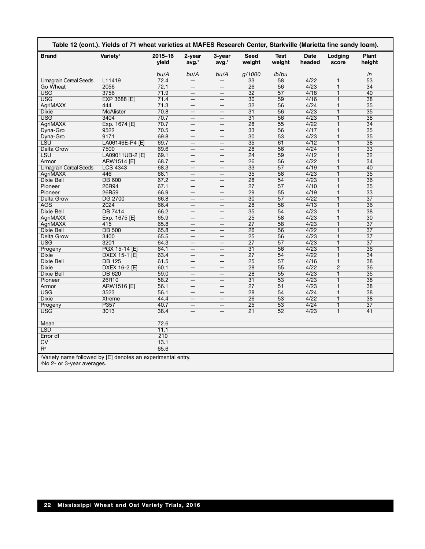| <b>Brand</b>                  | Variety <sup>1</sup> | 2015-16<br>vield | 2-year<br>avg. <sup>2</sup> | 3-year<br>avg. <sup>2</sup> | Seed<br>weight  | <b>Test</b><br>weight | Date<br>headed | Lodging<br>score                 | Plant<br>height |
|-------------------------------|----------------------|------------------|-----------------------------|-----------------------------|-----------------|-----------------------|----------------|----------------------------------|-----------------|
|                               |                      | bu/A             | bu/A                        | bu/A                        | g/1000          | lb/bu                 |                |                                  | in              |
| Limagrain Cereal Seeds        | L11419               | 72.4             |                             |                             | 33              | 58                    | 4/22           | 1                                | 53              |
| Go Wheat                      | 2056                 | 72.1             |                             |                             | 26              | 56                    | 4/23           | $\overline{1}$                   | 34              |
| <b>USG</b>                    | 3756                 | 71.9             |                             |                             | $\overline{32}$ | 57                    | 4/18           | $\overline{1}$                   | 40              |
| <b>USG</b>                    | <b>EXP 3688 [E]</b>  | 71.4             |                             |                             | $\overline{30}$ | 59                    | 4/16           | $\overline{1}$                   | 38              |
| <b>AgriMAXX</b>               | 444                  | 71.3             |                             | —                           | $\overline{32}$ | 56                    | 4/24           | $\overline{1}$                   | $\overline{35}$ |
| Dixie                         | <b>McAlister</b>     | 70.8             |                             |                             | $\overline{31}$ | 56                    | 4/23           | $\overline{1}$                   | $\overline{35}$ |
| <b>USG</b>                    | 3404                 | 70.7             |                             |                             | $\overline{31}$ | 56                    | 4/23           | $\overline{1}$                   | 38              |
| <b>AgriMAXX</b>               | Exp. 1674 [E]        | 70.7             |                             |                             | 28              | 55                    | 4/22           | $\overline{1}$                   | 34              |
| Dyna-Gro                      | 9522                 | 70.5             |                             |                             | $\overline{33}$ | 56                    | 4/17           | $\overline{1}$                   | $\overline{35}$ |
| Dyna-Gro                      | 9171                 | 69.8             |                             | —                           | $\overline{30}$ | 53                    | 4/23           | $\overline{1}$                   | $\overline{35}$ |
| LSU                           | LA06146E-P4 [E]      | 69.7             |                             | $\overline{\phantom{0}}$    | $\overline{35}$ | 61                    | 4/12           | $\overline{1}$                   | 38              |
| Delta Grow                    | 7500                 | 69.6             |                             |                             | 28              | 56                    | 4/24           | $\overline{1}$                   | $\overline{33}$ |
| LSU                           | LA09011UB-2 [E]      | 69.1             |                             |                             | $\overline{24}$ | 59                    | 4/12           | $\overline{1}$                   | $\overline{32}$ |
| Armor                         | ARW1514 [E]          | 68.7             | $\overline{\phantom{0}}$    |                             | 26              | 56                    | 4/22           | $\overline{1}$                   | 34              |
| <b>Limagrain Cereal Seeds</b> | <b>LCS 4343</b>      | 68.3             |                             | —                           | $\overline{33}$ | 57                    | 4/19           | $\overline{1}$                   | 40              |
| <b>AgriMAXX</b>               | 446                  | 68.1             |                             |                             | $\overline{35}$ | 58                    | 4/23           | $\overline{1}$                   | $\overline{35}$ |
| Dixie Bell                    | <b>DB 600</b>        | 67.2             |                             |                             | 28              | 54                    | 4/23           | $\overline{1}$                   | 36              |
| Pioneer                       | 26R94                | 67.1             |                             |                             | $\overline{27}$ | 57                    | 4/10           | $\overline{1}$                   | $\overline{35}$ |
| Pioneer                       | 26R59                | 66.9             |                             |                             | 29              | 55                    | 4/19           | $\overline{1}$                   | $\overline{33}$ |
| Delta Grow                    | <b>DG 2700</b>       | 66.8             |                             | —                           | $\overline{30}$ | 57                    | 4/22           | $\overline{1}$                   | $\overline{37}$ |
| <b>AGS</b>                    | 2024                 | 66.4             |                             |                             | 28              | 58                    | 4/13           | $\overline{1}$                   | 36              |
| Dixie Bell                    | DB 7414              | 66.2             |                             |                             | 35              | 54                    | 4/23           | $\overline{1}$                   | 38              |
| AgriMAXX                      | Exp. 1675 [E]        | 65.9             |                             |                             | 25              | 58                    | 4/23           | $\overline{1}$                   | 30              |
| AgriMAXX                      | 415                  | 65.8             |                             |                             | $\overline{27}$ | 58                    | 4/23           | $\overline{1}$                   | $\overline{37}$ |
| <b>Dixie Bell</b>             | <b>DB 500</b>        | 65.8             |                             |                             | 26              | 56                    | 4/22           | $\overline{1}$                   | $\overline{37}$ |
|                               |                      |                  |                             | —                           | 25              | 56                    | 4/23           | $\overline{1}$                   | $\overline{37}$ |
| Delta Grow                    | 3400                 | 65.5             |                             |                             |                 |                       |                |                                  |                 |
| USG                           | 3201                 | 64.3             |                             |                             | 27              | 57                    | 4/23           | $\overline{1}$<br>$\overline{1}$ | $\overline{37}$ |
| Progeny                       | PGX 15-14 [E]        | 64.1             |                             |                             | $\overline{31}$ | 56                    | 4/23           |                                  | 36              |
| <b>Dixie</b>                  | DXEX 15-1 [E]        | 63.4             | $\overline{\phantom{0}}$    |                             | $\overline{27}$ | 54                    | 4/22           | $\overline{1}$                   | 34              |
| <b>Dixie Bell</b>             | <b>DB 125</b>        | 61.5             |                             | $\overline{\phantom{0}}$    | 25              | 57                    | 4/16           | $\overline{1}$                   | 38              |
| <b>Dixie</b>                  | DXEX 16-2 [E]        | 60.1             |                             |                             | 28              | 55                    | 4/22           | $\overline{2}$                   | 36              |
| Dixie Bell                    | <b>DB 620</b>        | 59.0             |                             |                             | 28              | 55                    | 4/23           | $\overline{1}$                   | 35              |
| Pioneer                       | 26R10                | 58.2             |                             |                             | $\overline{31}$ | 53                    | 4/23           | $\overline{1}$                   | 38              |
| Armor                         | <b>ARW1516 [E]</b>   | 56.1             |                             |                             | $\overline{27}$ | 51                    | 4/23           | $\overline{1}$                   | 38              |
| <b>USG</b>                    | 3523                 | 56.1             |                             |                             | 28              | 54                    | 4/24           | $\overline{1}$                   | 38              |
| <b>Dixie</b>                  | Xtreme               | 44.4             |                             |                             | 26              | 53                    | 4/22           | $\overline{1}$                   | 38              |
| Progeny                       | P357                 | 40.7             |                             |                             | 25              | 53                    | 4/24           | 1                                | $\overline{37}$ |
| <b>USG</b>                    | 3013                 | 38.4             |                             |                             | $\overline{21}$ | 52                    | 4/23           | $\overline{1}$                   | 41              |
| Mean                          |                      | 72.6             |                             |                             |                 |                       |                |                                  |                 |
| <b>LSD</b>                    |                      | 11.1             |                             |                             |                 |                       |                |                                  |                 |
| Error df                      |                      | 210              |                             |                             |                 |                       |                |                                  |                 |
| CV                            |                      | 13.1             |                             |                             |                 |                       |                |                                  |                 |
| $R^2$                         |                      | 65.6             |                             |                             |                 |                       |                |                                  |                 |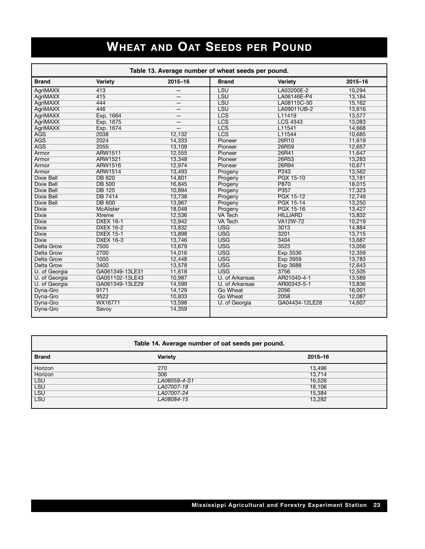# **WHEAT AND OAT SEEDS PER POUND**

|                   |                  |         | Table 13. Average number of wheat seeds per pound. |                  |             |
|-------------------|------------------|---------|----------------------------------------------------|------------------|-------------|
| <b>Brand</b>      | Variety          | 2015-16 | <b>Brand</b>                                       | Variety          | $2015 - 16$ |
| AgriMAXX          | 413              |         | LSU                                                | LA03200E-2       | 10.294      |
| AgriMAXX          | 415              |         | LSU                                                | LA06146E-P4      | 13,184      |
| AgriMAXX          | 444              |         | LSU                                                | LA08115C-30      | 15,162      |
| AgriMAXX          | 446              |         | LSU                                                | LA09011UB-2      | 13,616      |
| AgriMAXX          | Exp. 1664        | —       | <b>LCS</b>                                         | L11419           | 13,577      |
| AgriMAXX          | Exp. 1675        |         | LCS                                                | <b>LCS 4343</b>  | 13,083      |
| AgriMAXX          | Exp. 1674        |         | LCS                                                | L11541           | 14,668      |
| <b>AGS</b>        | 2038             | 12,132  | <b>LCS</b>                                         | L11544           | 10,685      |
| <b>AGS</b>        | 2024             | 14,333  | Pioneer                                            | 26R10            | 11,619      |
| <b>AGS</b>        | 2055             | 13,109  | Pioneer                                            | 26R59            | 12,657      |
| Armor             | <b>ARW1511</b>   | 12.555  | Pioneer                                            | 26R41            | 11,647      |
| Armor             | ARW1521          | 13,348  | Pioneer                                            | 26R53            | 13,283      |
| Armor             | <b>ARW1516</b>   | 12,974  | Pioneer                                            | 26R94            | 10,671      |
| Armor             | ARW1514          | 13,493  | Progeny                                            | P <sub>243</sub> | 13,562      |
| <b>Dixie Bell</b> | <b>DB 620</b>    | 14,801  | Progeny                                            | <b>PGX 15-10</b> | 13,181      |
| <b>Dixie Bell</b> | <b>DB 500</b>    | 16,845  | Progeny                                            | <b>P870</b>      | 18,015      |
| <b>Dixie Bell</b> | <b>DB 125</b>    | 10,894  | Progeny                                            | P357             | 17,323      |
| <b>Dixie Bell</b> | <b>DB 7414</b>   | 13,738  | Progeny                                            | <b>PGX 15-12</b> | 12,749      |
| <b>Dixie Bell</b> | <b>DB 600</b>    | 13,967  | Progeny                                            | <b>PGX 15-14</b> | 13,250      |
| <b>Dixie</b>      | <b>McAlister</b> | 18,048  | Progeny                                            | PGX 15-16        | 13,427      |
| <b>Dixie</b>      | <b>Xtreme</b>    | 12,536  | <b>VA Tech</b>                                     | <b>HILLIARD</b>  | 13,832      |
| <b>Dixie</b>      | <b>DXEX 16-1</b> | 12,942  | <b>VA Tech</b>                                     | <b>VA12W-72</b>  | 10,219      |
| <b>Dixie</b>      | <b>DXEX 16-2</b> | 13,832  | <b>USG</b>                                         | 3013             | 14,884      |
| <b>Dixie</b>      | <b>DXEX 15-1</b> | 13,898  | <b>USG</b>                                         | 3201             | 13.715      |
| <b>Dixie</b>      | <b>DXEX 16-3</b> | 13,746  | <b>USG</b>                                         | 3404             | 13,687      |
| <b>Delta Grow</b> | 7500             | 13,679  | <b>USG</b>                                         | 3523             | 13,056      |
| <b>Delta Grow</b> | 2700             | 14,016  | <b>USG</b>                                         | Exp 3536         | 12,359      |
| <b>Delta Grow</b> | 1000             | 12,448  | <b>USG</b>                                         | Exp 3959         | 13,783      |
| <b>Delta Grow</b> | 3400             | 13,578  | <b>USG</b>                                         | <b>Exp 3688</b>  | 12,643      |
| U. of Georgia     | GA061349-13LE31  | 11,618  | <b>USG</b>                                         | 3756             | 12,505      |
| U. of Georgia     | GA051102-13LE43  | 10.987  | U. of Arkansas                                     | AR01040-4-1      | 13,589      |
| U. of Georgia     | GA061349-13LE29  | 14,599  | U. of Arkansas                                     | AR00343-5-1      | 13,836      |
| Dyna-Gro          | 9171             | 14,129  | <b>Go Wheat</b>                                    | 2056             | 16,001      |
| Dyna-Gro          | 9522             | 10,833  | Go Wheat                                           | 2058             | 12,087      |
| Dyna-Gro          | WX16771          | 13,598  | U. of Georgia                                      | GA04434-12LE28   | 14,607      |
| Dyna-Gro          | Savoy            | 14,359  |                                                    |                  |             |

| Table 14. Average number of oat seeds per pound. |                |         |  |  |  |
|--------------------------------------------------|----------------|---------|--|--|--|
| <b>Brand</b>                                     | <b>Variety</b> | 2015-16 |  |  |  |
| Horizon                                          | 270            | 13,496  |  |  |  |
| Horizon                                          | 306            | 13.714  |  |  |  |
| <b>LSU</b>                                       | LA06059-4-S1   | 16,526  |  |  |  |
| <b>LSU</b>                                       | LA07007-18     | 18.106  |  |  |  |
| <b>LSU</b>                                       | LA07007-24     | 15,384  |  |  |  |
| <b>LSU</b>                                       | LA08084-15     | 13,282  |  |  |  |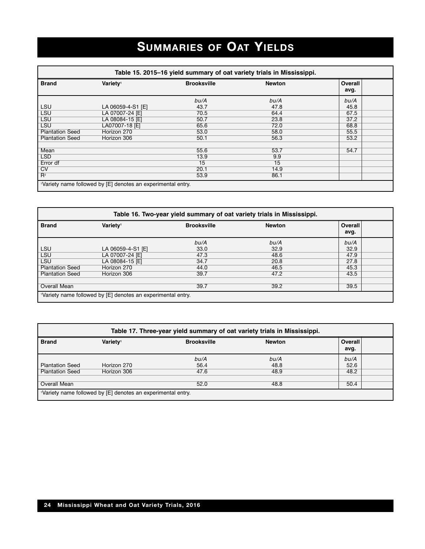# **SUMMARIES OF OAT YIELDS**

| Table 15. 2015–16 yield summary of oat variety trials in Mississippi. |                                                                          |                    |               |                 |  |  |
|-----------------------------------------------------------------------|--------------------------------------------------------------------------|--------------------|---------------|-----------------|--|--|
| <b>Brand</b>                                                          | Variety <sup>1</sup>                                                     | <b>Brooksville</b> | <b>Newton</b> | Overall<br>avg. |  |  |
|                                                                       |                                                                          | bu/A               | bu/A          | bu/A            |  |  |
| <b>LSU</b>                                                            | LA 06059-4-S1 [E]                                                        | 43.7               | 47.8          | 45.8            |  |  |
| <b>LSU</b>                                                            | LA 07007-24 [E]                                                          | 70.5               | 64.4          | 67.5            |  |  |
| <b>LSU</b>                                                            | LA 08084-15 [E]                                                          | 50.7               | 23.8          | 37.2            |  |  |
| <b>LSU</b>                                                            | LA07007-18 [E]                                                           | 65.6               | 72.0          | 68.8            |  |  |
| <b>Plantation Seed</b>                                                | Horizon 270                                                              | 53.0               | 58.0          | 55.5            |  |  |
| <b>Plantation Seed</b>                                                | Horizon 306                                                              | 50.1               | 56.3          | 53.2            |  |  |
| Mean                                                                  |                                                                          | 55.6               | 53.7          | 54.7            |  |  |
| <b>LSD</b>                                                            |                                                                          | 13.9               | 9.9           |                 |  |  |
| Error df                                                              |                                                                          | 15                 | 15            |                 |  |  |
| CV                                                                    |                                                                          | 20.1               | 14.9          |                 |  |  |
| $R^2$                                                                 |                                                                          | 53.9               | 86.1          |                 |  |  |
|                                                                       | <sup>1</sup> Variety name followed by [E] denotes an experimental entry. |                    |               |                 |  |  |

| Table 16. Two-year yield summary of oat variety trials in Mississippi. |                                                             |                    |               |                 |  |
|------------------------------------------------------------------------|-------------------------------------------------------------|--------------------|---------------|-----------------|--|
| <b>Brand</b>                                                           | Variety <sup>1</sup>                                        | <b>Brooksville</b> | <b>Newton</b> | Overall<br>avg. |  |
|                                                                        |                                                             | bu/A               | bu/A          | bu/A            |  |
| <b>LSU</b>                                                             | LA 06059-4-S1 [E]                                           | 33.0               | 32.9          | 32.9            |  |
| <b>LSU</b>                                                             | LA 07007-24 [E]                                             | 47.3               | 48.6          | 47.9            |  |
| <b>LSU</b>                                                             | LA 08084-15 [E]                                             | 34.7               | 20.8          | 27.8            |  |
| <b>Plantation Seed</b>                                                 | Horizon 270                                                 | 44.0               | 46.5          | 45.3            |  |
| <b>Plantation Seed</b>                                                 | Horizon 306                                                 | 39.7               | 47.2          | 43.5            |  |
| Overall Mean                                                           |                                                             | 39.7               | 39.2          | 39.5            |  |
|                                                                        | Variety name followed by [E] denotes an experimental entry. |                    |               |                 |  |

| Table 17. Three-year yield summary of oat variety trials in Mississippi. |                                                              |                    |               |                 |  |
|--------------------------------------------------------------------------|--------------------------------------------------------------|--------------------|---------------|-----------------|--|
| <b>Brand</b>                                                             | Variety <sup>1</sup>                                         | <b>Brooksville</b> | <b>Newton</b> | Overall<br>avg. |  |
|                                                                          |                                                              | bu/A               | bu/A          | bu/A            |  |
| <b>Plantation Seed</b>                                                   | Horizon 270                                                  | 56.4               | 48.8          | 52.6            |  |
| <b>Plantation Seed</b>                                                   | Horizon 306                                                  | 47.6               | 48.9          | 48.2            |  |
|                                                                          |                                                              |                    |               |                 |  |
| Overall Mean                                                             |                                                              | 52.0               | 48.8          | 50.4            |  |
|                                                                          | 'Variety name followed by [E] denotes an experimental entry. |                    |               |                 |  |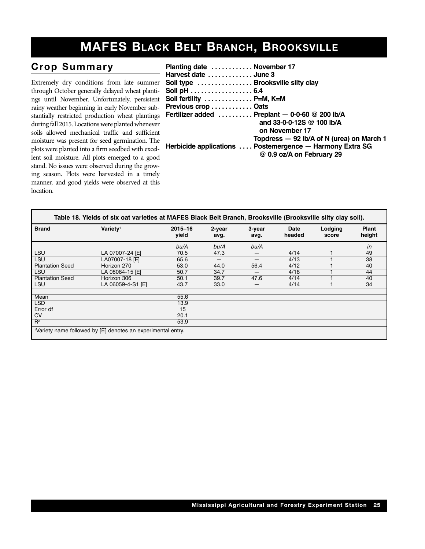## **MAFES BLACK BELT BRANCH, BROOKSVILLE**

#### **Crop Summary**

Extremely dry conditions from late summer through October generally delayed wheat plantings until November. Unfortunately, persistent rainy weather beginning in early November substantially restricted production wheat plantings during fall 2015. Locations were planted whenever soils allowed mechanical traffic and sufficient moisture was present for seed germination. The plots were planted into a firm seedbed with excellent soil moisture. All plots emerged to a good stand. No issues were observed during the growing season. Plots were harvested in a timely manner, and good yields were observed at this location.

| Planting date  November 17        |                                                                                       |
|-----------------------------------|---------------------------------------------------------------------------------------|
| Harvest date  June 3              |                                                                                       |
| Soil type  Brooksville silty clay |                                                                                       |
| Soil pH 6.4                       |                                                                                       |
| Soil fertility  P=M, K=M          |                                                                                       |
| Previous crop  Oats               |                                                                                       |
|                                   | Fertilizer added $\ldots \ldots \ldots$ Preplant - 0-0-60 @ 200 lb/A                  |
|                                   | and 33-0-0-12S @ 100 lb/A                                                             |
|                                   | on November 17                                                                        |
|                                   | Topdress - 92 lb/A of N (urea) on March 1                                             |
|                                   | Herbicide applications  Postemergence - Harmony Extra SG<br>@ 0.9 oz/A on February 29 |
|                                   |                                                                                       |

| <b>Brand</b>           | Variety <sup>1</sup> | $2015 - 16$<br>vield | 2-year<br>avg. | 3-year<br>avg.           | <b>Date</b><br>headed | Lodging<br>score | <b>Plant</b><br>height |
|------------------------|----------------------|----------------------|----------------|--------------------------|-----------------------|------------------|------------------------|
|                        |                      | bu/A                 | bu/A           | bu/A                     |                       |                  | in                     |
| LSU                    | LA 07007-24 [E]      | 70.5                 | 47.3           |                          | 4/14                  |                  | 49                     |
| <b>LSU</b>             | LA07007-18 [E]       | 65.6                 | –              | $\overline{\phantom{m}}$ | 4/13                  |                  | 38                     |
| <b>Plantation Seed</b> | Horizon 270          | 53.0                 | 44.0           | 56.4                     | 4/12                  |                  | 40                     |
| <b>LSU</b>             | LA 08084-15 [E]      | 50.7                 | 34.7           | –                        | 4/18                  |                  | 44                     |
| <b>Plantation Seed</b> | Horizon 306          | 50.1                 | 39.7           | 47.6                     | 4/14                  |                  | 40                     |
| <b>LSU</b>             | LA 06059-4-S1 [E]    | 43.7                 | 33.0           |                          | 4/14                  |                  | 34                     |
| Mean                   |                      | 55.6                 |                |                          |                       |                  |                        |
| <b>LSD</b>             |                      | 13.9                 |                |                          |                       |                  |                        |
| Error df               |                      | $\overline{15}$      |                |                          |                       |                  |                        |
| CV                     |                      | 20.1                 |                |                          |                       |                  |                        |
| $R^2$                  |                      | 53.9                 |                |                          |                       |                  |                        |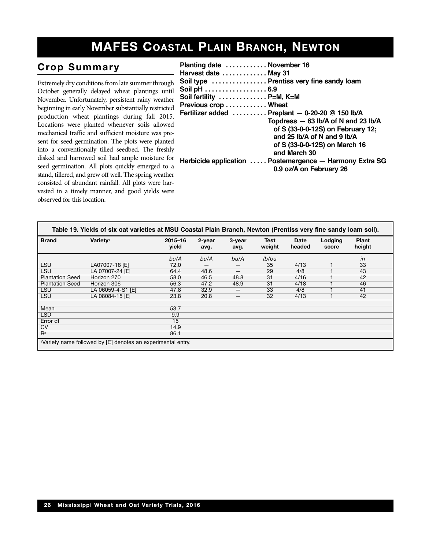## **MAFES COASTAL PLAIN BRANCH, NEWTON**

## $Crop$  Summary

Extremely dry conditions from late summer through October generally delayed wheat plantings until November. Unfortunately, persistent rainy weather beginning in early November substantially restricted production wheat plantings during fall 2015. Locations were planted whenever soils allowed mechanical traffic and sufficient moisture was present for seed germination. The plots were planted into a conventionally tilled seedbed. The freshly disked and harrowed soil had ample moisture for seed germination. All plots quickly emerged to a stand, tillered, and grew off well. The spring weather consisted of abundant rainfall. All plots were harvested in a timely manner, and good yields were observed for this location.

| Planting date  November 16 |                                                         |
|----------------------------|---------------------------------------------------------|
| Harvest date  May 31       |                                                         |
|                            | Soil type  Prentiss very fine sandy loam                |
| Soil pH 6.9                |                                                         |
| Soil fertility  P=M, K=M   |                                                         |
| Previous crop  Wheat       |                                                         |
|                            | Fertilizer added  Preplant - 0-20-20 @ 150 lb/A         |
|                            | Topdress - 63 lb/A of N and 23 lb/A                     |
|                            | of S (33-0-0-12S) on February 12;                       |
|                            | and 25 lb/A of N and 9 lb/A                             |
|                            | of S (33-0-0-12S) on March 16                           |
|                            | and March 30                                            |
|                            | Herbicide application  Postemergence - Harmony Extra SG |
|                            | 0.9 oz/A on February 26                                 |
|                            |                                                         |

| Table 19. Yields of six oat varieties at MSU Coastal Plain Branch, Newton (Prentiss very fine sandy loam soil). |                      |                  |                |                |                |                       |                  |                 |  |
|-----------------------------------------------------------------------------------------------------------------|----------------------|------------------|----------------|----------------|----------------|-----------------------|------------------|-----------------|--|
| <b>Brand</b>                                                                                                    | Varietv <sup>1</sup> | 2015-16<br>yield | 2-year<br>avg. | 3-year<br>avg. | Test<br>weight | <b>Date</b><br>headed | Lodging<br>score | Plant<br>height |  |
|                                                                                                                 |                      | bu/A             | bu/A           | bu/A           | lb/bu          |                       |                  | in              |  |
| <b>LSU</b>                                                                                                      | LA07007-18 [E]       | 72.0             |                |                | 35             | 4/13                  |                  | 33              |  |
| <b>LSU</b>                                                                                                      | LA 07007-24 [E]      | 64.4             | 48.6           | —              | 29             | 4/8                   |                  | 43              |  |
| <b>Plantation Seed</b>                                                                                          | Horizon 270          | 58.0             | 46.5           | 48.8           | 31             | 4/16                  |                  | 42              |  |
| <b>Plantation Seed</b>                                                                                          | Horizon 306          | 56.3             | 47.2           | 48.9           | 31             | 4/18                  |                  | 46              |  |
| <b>LSU</b>                                                                                                      | LA 06059-4-S1 [E]    | 47.8             | 32.9           | —              | 33             | 4/8                   |                  | 41              |  |
| <b>LSU</b>                                                                                                      | LA 08084-15 [E]      | 23.8             | 20.8           | –              | 32             | 4/13                  |                  | 42              |  |
| Mean                                                                                                            |                      | 53.7             |                |                |                |                       |                  |                 |  |
| <b>LSD</b>                                                                                                      |                      | 9.9              |                |                |                |                       |                  |                 |  |
| Error df                                                                                                        |                      | 15               |                |                |                |                       |                  |                 |  |
| CV                                                                                                              |                      | 14.9             |                |                |                |                       |                  |                 |  |
| $R^2$                                                                                                           |                      | 86.1             |                |                |                |                       |                  |                 |  |
| 'Variety name followed by [E] denotes an experimental entry.                                                    |                      |                  |                |                |                |                       |                  |                 |  |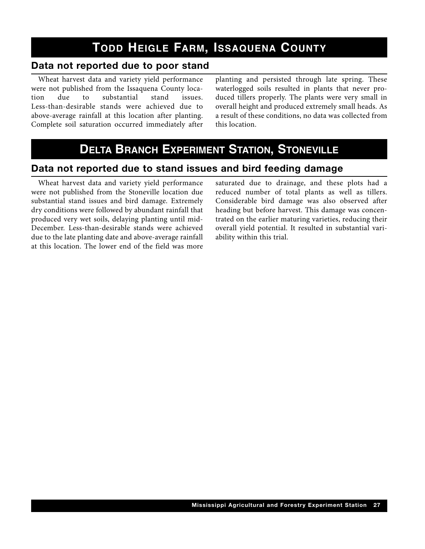## **TODD HEIGLE FARM, ISSAQUENA COUNTY**

#### **Data not reported due to poor stand**

Wheat harvest data and variety yield performance were not published from the Issaquena County loca-<br>tion due to substantial stand issues. tion due to substantial stand issues. Less-than-desirable stands were achieved due to above-average rainfall at this location after planting. Complete soil saturation occurred immediately after planting and persisted through late spring. These waterlogged soils resulted in plants that never produced tillers properly. The plants were very small in overall height and produced extremely small heads. As a result of these conditions, no data was collected from this location.

## **DELTA BRANCH EXPERIMENT STATION, STONEVILLE**

#### **Data not reported due to stand issues and bird feeding damage**

Wheat harvest data and variety yield performance were not published from the Stoneville location due substantial stand issues and bird damage. Extremely dry conditions were followed by abundant rainfall that produced very wet soils, delaying planting until mid-December. Less-than-desirable stands were achieved due to the late planting date and above-average rainfall at this location. The lower end of the field was more

saturated due to drainage, and these plots had a reduced number of total plants as well as tillers. Considerable bird damage was also observed after heading but before harvest. This damage was concentrated on the earlier maturing varieties, reducing their overall yield potential. It resulted in substantial variability within this trial.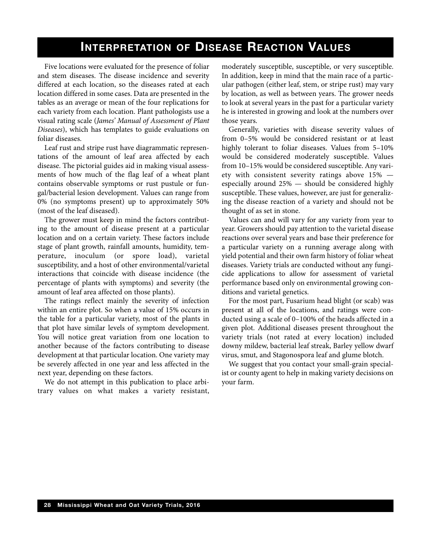### **INTERPRETATION OF DISEASE REACTION VALUES**

Five locations were evaluated for the presence of foliar and stem diseases. The disease incidence and severity differed at each location, so the diseases rated at each location differed in some cases. Data are presented in the tables as an average or mean of the four replications for each variety from each location. Plant pathologists use a visual rating scale (*James' Manual of Assessment of Plant Diseases*), which has templates to guide evaluations on foliar diseases.

Leaf rust and stripe rust have diagrammatic representations of the amount of leaf area affected by each disease. The pictorial guides aid in making visual assessments of how much of the flag leaf of a wheat plant contains observable symptoms or rust pustule or fungal/bacterial lesion development. Values can range from 0% (no symptoms present) up to approximately 50% (most of the leaf diseased).

The grower must keep in mind the factors contributing to the amount of disease present at a particular location and on a certain variety. These factors include stage of plant growth, rainfall amounts, humidity, temperature, inoculum (or spore load), varietal susceptibility, and a host of other environmental/varietal interactions that coincide with disease incidence (the percentage of plants with symptoms) and severity (the amount of leaf area affected on those plants).

The ratings reflect mainly the severity of infection within an entire plot. So when a value of 15% occurs in the table for a particular variety, most of the plants in that plot have similar levels of symptom development. You will notice great variation from one location to another because of the factors contributing to disease development at that particular location. One variety may be severely affected in one year and less affected in the next year, depending on these factors.

We do not attempt in this publication to place arbitrary values on what makes a variety resistant, moderately susceptible, susceptible, or very susceptible. In addition, keep in mind that the main race of a particular pathogen (either leaf, stem, or stripe rust) may vary by location, as well as between years. The grower needs to look at several years in the past for a particular variety he is interested in growing and look at the numbers over those years.

Generally, varieties with disease severity values of from 0–5% would be considered resistant or at least highly tolerant to foliar diseases. Values from  $5-10\%$ would be considered moderately susceptible. Values from 10–15% would be considered susceptible. Any variety with consistent severity ratings above 15% especially around 25% — should be considered highly susceptible. These values, however, are just for generalizing the disease reaction of a variety and should not be thought of as set in stone.

Values can and will vary for any variety from year to year. Growers should pay attention to the varietal disease reactions over several years and base their preference for a particular variety on a running average along with yield potential and their own farm history of foliar wheat diseases. Variety trials are conducted without any fungicide applications to allow for assessment of varietal performance based only on environmental growing conditions and varietal genetics.

For the most part, Fusarium head blight (or scab) was present at all of the locations, and ratings were conducted using a scale of 0–100% of the heads affected in a given plot. Additional diseases present throughout the variety trials (not rated at every location) included downy mildew, bacterial leaf streak, Barley yellow dwarf virus, smut, and Stagonospora leaf and glume blotch.

We suggest that you contact your small-grain specialist or county agent to help in making variety decisions on your farm.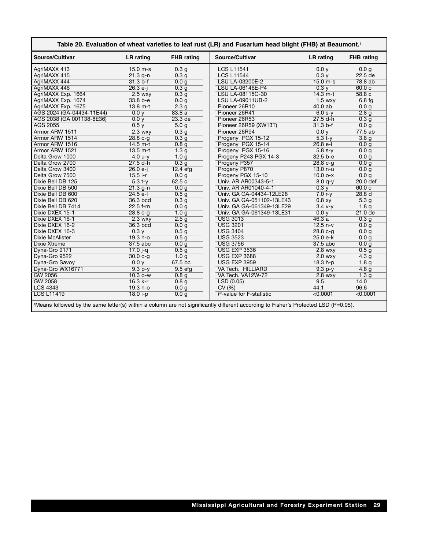| Table 20. Evaluation of wheat varieties to leaf rust (LR) and Fusarium head blight (FHB) at Beaumont. <sup>1</sup> |                  |                    |                                                                                                                                     |            |                   |  |  |  |  |
|--------------------------------------------------------------------------------------------------------------------|------------------|--------------------|-------------------------------------------------------------------------------------------------------------------------------------|------------|-------------------|--|--|--|--|
| Source/Cultivar                                                                                                    | LR rating        | <b>FHB</b> rating  | Source/Cultivar                                                                                                                     | LR rating  | <b>FHB</b> rating |  |  |  |  |
| AgriMAXX 413                                                                                                       | 15.0 m-s         | 0.3 <sub>g</sub>   | <b>LCS L11541</b>                                                                                                                   | 0.0 y      | 0.0 <sub>g</sub>  |  |  |  |  |
| AgriMAXX 415                                                                                                       | $21.3 g-n$       | 0.3 <sub>q</sub>   | <b>LCS L11544</b>                                                                                                                   | 0.3v       | 22.5 de           |  |  |  |  |
| AgriMAXX 444                                                                                                       | $31.3 b-f$       | 0.0 <sub>q</sub>   | LSU LA-03200E-2                                                                                                                     | $15.0 m-s$ | 78.8 ab           |  |  |  |  |
| AgriMAXX 446                                                                                                       | $26.3 e-i$       | 0.3 <sub>g</sub>   | LSU LA-06146E-P4                                                                                                                    | 0.3v       | 60.0c             |  |  |  |  |
| AgriMAXX Exp. 1664                                                                                                 | $2.5$ wxy        | 0.3 <sub>q</sub>   | LSU LA-08115C-30                                                                                                                    | $14.3 m-t$ | 58.8c             |  |  |  |  |
| AgriMAXX Exp. 1674                                                                                                 | 33.8 b-e         | 0.0 <sub>g</sub>   | <b>LSU LA-09011UB-2</b>                                                                                                             | $1.5$ wxy  | $6.8 \text{fg}$   |  |  |  |  |
| AgriMAXX Exp. 1675                                                                                                 | $13.8 m-t$       | 2.3 <sub>g</sub>   | Pioneer 26R10                                                                                                                       | $40.0$ ab  | 0.0 <sub>g</sub>  |  |  |  |  |
| AGS 2024 (GA-04434-11E44)                                                                                          | 0.0v             | 83.8a              | Pioneer 26R41                                                                                                                       | $6.0 s-v$  | 2.8q              |  |  |  |  |
| AGS 2038 (GA 001138-8E36)                                                                                          | 0.0 <sub>V</sub> | 23.3 de            | Pioneer 26R53                                                                                                                       | $27.5 d-h$ | 0.3 <sub>g</sub>  |  |  |  |  |
| <b>AGS 2055</b>                                                                                                    | 0.5y             | 5.0 <sub>g</sub>   | Pioneer 26R59 (XW13T)                                                                                                               | $31.3 b-f$ | 0.0 g             |  |  |  |  |
| Armor ARW 1511                                                                                                     | $2.3$ wxy        | 0.3 <sub>g</sub>   | Pioneer 26R94                                                                                                                       | 0.0 v      | 77.5ab            |  |  |  |  |
| Armor ARW 1514                                                                                                     | $28.8c-a$        | 0.3 <sub>g</sub>   | Progeny PGX 15-12                                                                                                                   | $5.3 + v$  | 3.8q              |  |  |  |  |
| Armor ARW 1516                                                                                                     | $14.5 m-t$       | 0.8 <sub>g</sub>   | Progeny PGX 15-14                                                                                                                   | $26.8 e-i$ | 0.0 q             |  |  |  |  |
| Armor ARW 1521                                                                                                     | $13.5 m-t$       | 1.3 <sub>g</sub>   | Progeny PGX 15-16                                                                                                                   | $5.8 s-v$  | 0.0 q             |  |  |  |  |
| Delta Grow 1000                                                                                                    | $4.0 u-y$        | 1.0 <sub>g</sub>   | Progeny P243 PGX 14-3                                                                                                               | 32.5 b-e   | 0.0 g             |  |  |  |  |
| Delta Grow 2700                                                                                                    | $27.5$ d-h       | 0.3 <sub>g</sub>   | Progeny P357                                                                                                                        | $28.8c-a$  | 0.0 <sub>q</sub>  |  |  |  |  |
| Delta Grow 3400                                                                                                    | $26.0 e-i$       | $12.4$ efg         | Progeny P870                                                                                                                        | $13.0 n-u$ | 0.0 q             |  |  |  |  |
| Delta Grow 7500                                                                                                    | $15.5$ I-r       | 0.0 <sub>q</sub>   | Progeny PGX 15-10                                                                                                                   | $10.0 - x$ | 0.0 q             |  |  |  |  |
| Dixie Bell DB 125                                                                                                  | $5.3 t-y$        | 62.5c              | Univ. AR AR00343-5-1                                                                                                                | $8.0 q-y$  | 20.0 def          |  |  |  |  |
| Dixie Bell DB 500                                                                                                  | $21.3$ g-n       | 0.0 <sub>g</sub>   | Univ. AR AR01040-4-1                                                                                                                | 0.3v       | 60.0c             |  |  |  |  |
| Dixie Bell DB 600                                                                                                  | $24.5$ e-I       | 0.5 <sub>g</sub>   | Univ. GA GA-04434-12LE28                                                                                                            | $7.0 r-v$  | 28.8 <sub>d</sub> |  |  |  |  |
| Dixie Bell DB 620                                                                                                  | 36.3 bcd         | 0.3 <sub>q</sub>   | Univ. GA GA-051102-13LE43                                                                                                           | 0.8 xy     | 5.3q              |  |  |  |  |
| Dixie Bell DB 7414                                                                                                 | $22.5 f-m$       | 0.0 g              | Univ. GA GA-061349-13LE29                                                                                                           | $3.4 v-y$  | 1.8 <sub>g</sub>  |  |  |  |  |
| Dixie DXEX 15-1                                                                                                    | $28.8c-g$        | 1.0 <sub>g</sub>   | Univ. GA GA-061349-13LE31                                                                                                           | 0.0 y      | $21.0$ de         |  |  |  |  |
| Dixie DXEX 16-1                                                                                                    | $2.3$ wxy        | 2.5 <sub>g</sub>   | <b>USG 3013</b>                                                                                                                     | 46.3a      | 0.3q              |  |  |  |  |
| Dixie DXEX 16-2                                                                                                    | 36.3 bcd         | 0.0 <sub>g</sub>   | <b>USG 3201</b>                                                                                                                     | $12.5 n-v$ | 0.0 q             |  |  |  |  |
| Dixie DXEX 16-3                                                                                                    | 0.3 y            | 0.5 <sub>q</sub>   | <b>USG 3404</b>                                                                                                                     | $28.8 c-g$ | 0.0 q             |  |  |  |  |
| Dixie McAlister                                                                                                    | 19.3 h-o         | 0.5 <sub>g</sub>   | <b>USG 3523</b>                                                                                                                     | 25.0 e-k   | 0.0 <sub>g</sub>  |  |  |  |  |
| <b>Dixie Xtreme</b>                                                                                                | 37.5 abc         | 0.0 <sub>g</sub>   | <b>USG 3756</b>                                                                                                                     | 37.5 abc   | 0.0 g             |  |  |  |  |
| Dyna-Gro 9171                                                                                                      | $17.0 - q$       | 0.5 <sub>g</sub>   | <b>USG EXP 3536</b>                                                                                                                 | $2.8$ wxy  | 0.5 <sub>g</sub>  |  |  |  |  |
| Dyna-Gro 9522                                                                                                      | $30.0 c-g$       | 1.0 g              | <b>USG EXP 3688</b>                                                                                                                 | $2.0$ wxy  | 4.3q              |  |  |  |  |
| Dyna-Gro Savoy                                                                                                     | 0.0 y            | 67.5 bc            | <b>USG EXP 3959</b>                                                                                                                 | 18.3 h-p   | 1.8 <sub>g</sub>  |  |  |  |  |
| Dyna-Gro WX16771                                                                                                   | $9.3 p-y$        | 9.5 <sub>efq</sub> | VA Tech. HILLIARD                                                                                                                   | $9.3 p-y$  | 4.8 <sub>g</sub>  |  |  |  |  |
| <b>GW 2056</b>                                                                                                     | $10.3 o-w$       | 0.8 <sub>g</sub>   | VA Tech. VA12W-72                                                                                                                   | $2.8$ wxy  | 1.3 <sub>g</sub>  |  |  |  |  |
| <b>GW 2058</b>                                                                                                     | $16.3 k-r$       | 0.8 <sub>q</sub>   | LSD(0.05)                                                                                                                           | 9.5        | 14.0              |  |  |  |  |
| <b>LCS 4343</b>                                                                                                    | $19.3 h - o$     | 0.0 <sub>g</sub>   | CV(%)                                                                                                                               | 44.1       | 96.6              |  |  |  |  |
| <b>LCS L11419</b>                                                                                                  | 18.0 i-p         | 0.0 <sub>g</sub>   | P-value for F-statistic                                                                                                             | < 0.0001   | < 0.0001          |  |  |  |  |
|                                                                                                                    |                  |                    | 1Means followed by the same letter(s) within a column are not significantly different according to Fisher's Protected LSD (P=0.05). |            |                   |  |  |  |  |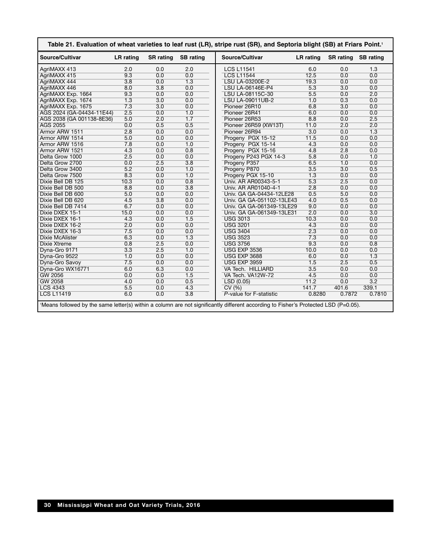| Source/Cultivar           | <b>LR</b> rating | <b>SR</b> rating | <b>SB</b> rating | Source/Cultivar           | <b>LR</b> rating | <b>SR</b> rating | <b>SB</b> rating |
|---------------------------|------------------|------------------|------------------|---------------------------|------------------|------------------|------------------|
| AgriMAXX 413              | 2.0              | 0.0              | 2.0              | <b>LCS L11541</b>         | 6.0              | 0.0              | 1.3              |
| AgriMAXX 415              | 9.3              | 0.0              | 0.0              | <b>LCS L11544</b>         | 12.5             | 0.0              | 0.0              |
| AgriMAXX 444              | $\overline{3.8}$ | 0.0              | 1.3              | LSU LA-03200E-2           | 19.3             | 0.0              | 0.0              |
| AgriMAXX 446              | 8.0              | $\overline{3.8}$ | 0.0              | LSU LA-06146E-P4          | 5.3              | 3.0              | 0.0              |
| AgriMAXX Exp. 1664        | 9.3              | 0.0              | 0.0              | LSU LA-08115C-30          | 5.5              | 0.0              | 2.0              |
| AgriMAXX Exp. 1674        | $\overline{1.3}$ | $\overline{3.0}$ | 0.0              | <b>LSU LA-09011UB-2</b>   | 1.0              | 0.3              | 0.0              |
| AgriMAXX Exp. 1675        | 7.3              | $\overline{3.0}$ | 0.0              | Pioneer 26R10             | 6.8              | $\overline{3.0}$ | 0.0              |
| AGS 2024 (GA-04434-11E44) | 2.5              | 0.0              | 1.0              | Pioneer 26R41             | 6.0              | 0.0              | 0.0              |
| AGS 2038 (GA 001138-8E36) | 5.0              | 2.0              | 1.7              | Pioneer 26R53             | 8.8              | 0.0              | 2.5              |
| <b>AGS 2055</b>           | 0.0              | 0.5              | 0.5              | Pioneer 26R59 (XW13T)     | 11.0             | 2.0              | 2.0              |
| Armor ARW 1511            | 2.8              | 0.0              | 0.0              | Pioneer 26R94             | 3.0              | 0.0              | 1.3              |
| Armor ARW 1514            | 5.0              | 0.0              | 0.0              | Progeny PGX 15-12         | 11.5             | 0.0              | 0.0              |
| Armor ARW 1516            | 7.8              | 0.0              | 1.0              | Progeny PGX 15-14         | 4.3              | 0.0              | 0.0              |
| Armor ARW 1521            | 4.3              | 0.0              | 0.8              | Progeny PGX 15-16         | 4.8              | 2.8              | 0.0              |
| Delta Grow 1000           | 2.5              | 0.0              | 0.0              | Progeny P243 PGX 14-3     | 5.8              | 0.0              | 1.0              |
| Delta Grow 2700           | 0.0              | 2.5              | $\overline{3.8}$ | Progeny P357              | 6.5              | 1.0              | 0.0              |
| Delta Grow 3400           | 5.2              | 0.0              | 1.0              | Progeny P870              | 3.5              | $\overline{3.0}$ | 0.5              |
| Delta Grow 7500           | 8.3              | 0.0              | 1.0              | Progeny PGX 15-10         | $\overline{1.3}$ | 0.0              | 0.0              |
| Dixie Bell DB 125         | 10.3             | 0.0              | 0.8              | Univ. AR AR00343-5-1      | 5.3              | 2.5              | 0.0              |
| Dixie Bell DB 500         | 8.8              | 0.0              | $\overline{3.8}$ | Univ. AR AR01040-4-1      | 2.8              | 0.0              | 0.0              |
| Dixie Bell DB 600         | 5.0              | 0.0              | 0.0              | Univ. GA GA-04434-12LE28  | 0.5              | 5.0              | 0.0              |
| Dixie Bell DB 620         | 4.5              | $\overline{3.8}$ | 0.0              | Univ. GA GA-051102-13LE43 | 4.0              | 0.5              | 0.0              |
| Dixie Bell DB 7414        | 6.7              | 0.0              | 0.0              | Univ. GA GA-061349-13LE29 | 9.0              | 0.0              | 0.0              |
| Dixie DXEX 15-1           | 15.0             | 0.0              | 0.0              | Univ. GA GA-061349-13LE31 | 2.0              | 0.0              | $\overline{3.0}$ |
| Dixie DXEX 16-1           | 4.3              | 0.0              | 1.5              | <b>USG 3013</b>           | 10.3             | 0.0              | 0.0              |
| Dixie DXEX 16-2           | 2.0              | 0.0              | 0.0              | <b>USG 3201</b>           | 4.3              | 0.0              | 0.0              |
| Dixie DXEX 16-3           | 7.5              | 0.0              | 0.0              | <b>USG 3404</b>           | 2.3              | 0.0              | 0.0              |
| <b>Dixie McAlister</b>    | 6.3              | 0.0              | 1.3              | <b>USG 3523</b>           | 7.3              | 0.0              | 0.0              |
| <b>Dixie Xtreme</b>       | 0.8              | 2.5              | 0.0              | <b>USG 3756</b>           | 9.3              | 0.0              | 0.8              |
| Dyna-Gro 9171             | $\overline{3.3}$ | 2.5              | 1.0              | <b>USG EXP 3536</b>       | 10.0             | 0.0              | 0.0              |
| Dyna-Gro 9522             | 1.0              | 0.0              | 0.0              | <b>USG EXP 3688</b>       | 6.0              | 0.0              | $\overline{1.3}$ |
| Dyna-Gro Savoy            | $\overline{7.5}$ | 0.0              | 0.0              | <b>USG EXP 3959</b>       | 1.5              | 2.5              | 0.5              |
| Dyna-Gro WX16771          | 6.0              | 6.3              | 0.0              | VA Tech. HILLIARD         | 3.5              | 0.0              | 0.0              |
| <b>GW 2056</b>            | 0.0              | 0.0              | 1.5              | VA Tech. VA12W-72         | 4.5              | 0.0              | 0.0              |
| <b>GW 2058</b>            | 4.0              | 0.0              | 0.5              | LSD(0.05)                 | 11.2             | 0.0              | 3.2              |
| <b>LCS 4343</b>           | 5.5              | 0.0              | 4.3              | CV(%)                     | 141.7            | 401.6            | 339.1            |
| <b>LCS L11419</b>         | 6.0              | 0.0              | $\overline{3.8}$ | P-value for F-statistic   | 0.8280           | 0.7872           | 0.7810           |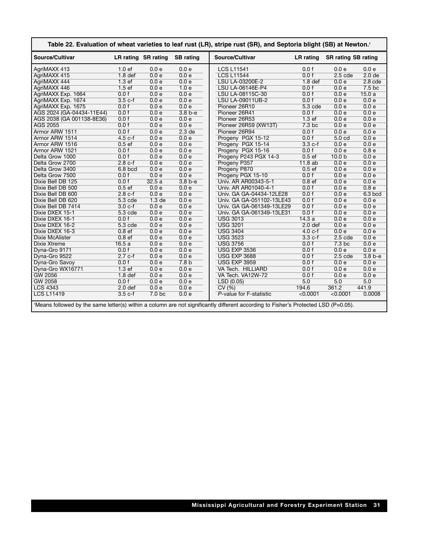| Source/Cultivar           |                    | LR rating SR rating | <b>SB</b> rating  | Source/Cultivar           | LR rating          | <b>SR rating SB rating</b> |                   |
|---------------------------|--------------------|---------------------|-------------------|---------------------------|--------------------|----------------------------|-------------------|
| AgriMAXX 413              | 1.0 <sub>ef</sub>  | 0.0 e               | 0.0 e             | <b>LCS L11541</b>         | 0.0 f              | 0.0 e                      | 0.0 e             |
| AgriMAXX 415              | 1.8 <sub>def</sub> | 0.0 e               | 0.0 e             | <b>LCS L11544</b>         | 0.0 f              | $2.5$ cde                  | 2.0 <sub>de</sub> |
| AgriMAXX 444              | 1.3ef              | 0.0 e               | 0.0 e             | LSU LA-03200E-2           | 1.8 <sub>def</sub> | 0.0 e                      | $2.8$ cde         |
| AgriMAXX 446              | 1.5ef              | 0.0 e               | 1.0e              | LSU LA-06146E-P4          | 0.0 f              | 0.0 e                      | 7.5 <sub>bc</sub> |
| AgriMAXX Exp. 1664        | 0.0 f              | 0.0 e               | 0.0 e             | LSU LA-08115C-30          | 0.0 f              | 0.0 e                      | 15.0a             |
| AgriMAXX Exp. 1674        | $3.5c-f$           | 0.0 e               | 0.0 e             | <b>LSU LA-09011UB-2</b>   | 0.0 f              | 0.0 e                      | 0.0 e             |
| AgriMAXX Exp. 1675        | 0.0 f              | 0.0 e               | 0.0 e             | Pioneer 26R10             | $5.3$ cde          | 0.0 e                      | 0.0 e             |
| AGS 2024 (GA-04434-11E44) | 0.0 f              | 0.0 e               | $3.8b-e$          | Pioneer 26R41             | 0.0 f              | 0.0 e                      | 0.0 e             |
| AGS 2038 (GA 001138-8E36) | 0.0 f              | 0.0 e               | 0.0 e             | Pioneer 26R53             | 1.3 <sub>ef</sub>  | 0.0 e                      | 0.0 e             |
| <b>AGS 2055</b>           | 0.0 f              | 0.0 e               | 0.0 e             | Pioneer 26R59 (XW13T)     | 7.3 <sub>bc</sub>  | 0.0 e                      | 0.0 e             |
| Armor ARW 1511            | 0.0 f              | 0.0 e               | 2.3 <sub>de</sub> | Pioneer 26R94             | 0.0 f              | 0.0 e                      | 0.0 e             |
| Armor ARW 1514            | $4.5c-f$           | 0.0 e               | 0.0 e             | Progeny PGX 15-12         | 0.0 f              | 5.0 <sub>cd</sub>          | 0.0 e             |
| Armor ARW 1516            | 0.5ef              | 0.0 e               | 0.0 e             | Progeny PGX 15-14         | $3.3c-f$           | 0.0 e                      | 0.0 e             |
| Armor ARW 1521            | 0.0 f              | 0.0 e               | 0.0 e             | Progeny PGX 15-16         | 0.0 f              | 0.0 e                      | 0.8 <sub>e</sub>  |
| Delta Grow 1000           | 0.0 f              | 0.0 e               | 0.0 e             | Progeny P243 PGX 14-3     | 0.5ef              | 10.0 <sub>b</sub>          | 0.0 e             |
| Delta Grow 2700           | $2.8c-f$           | 0.0 e               | 0.0 e             | Progeny P357              | 11.8ab             | 0.0 e                      | 0.0 e             |
| Delta Grow 3400           | $6.8$ bcd          | 0.0 e               | 0.0 e             | Progeny P870              | 0.5ef              | 0.0 e                      | 0.0 e             |
| Delta Grow 7500           | 0.0 f              | 0.0 e               | 0.0 e             | Progeny PGX 15-10         | 0.0 f              | 0.0 e                      | 0.0 e             |
| Dixie Bell DB 125         | 0.0 f              | 32.5a               | $3.8b-e$          | Univ. AR AR00343-5-1      | 0.8 <sub>ef</sub>  | 0.0 e                      | 0.0 e             |
| Dixie Bell DB 500         | 0.5ef              | 0.0 e               | 0.0 e             | Univ. AR AR01040-4-1      | 0.0 f              | 0.0 e                      | 0.8 <sub>e</sub>  |
| Dixie Bell DB 600         | $2.8c-f$           | 0.0 e               | 0.0 e             | Univ. GA GA-04434-12LE28  | 0.0 f              | 0.0 e                      | $6.3$ bcd         |
| Dixie Bell DB 620         | $5.3$ cde          | 1.3 <sub>de</sub>   | 0.0 e             | Univ. GA GA-051102-13LE43 | 0.0 f              | 0.0 e                      | 0.0 e             |
| Dixie Bell DB 7414        | $3.0 c-f$          | 0.0 e               | 0.0 e             | Univ. GA GA-061349-13LE29 | 0.0 f              | 0.0 e                      | 0.0 e             |
| Dixie DXEX 15-1           | $5.3$ cde          | 0.0 e               | 0.0 e             | Univ. GA GA-061349-13LE31 | 0.0 f              | 0.0 e                      | 0.0 e             |
| Dixie DXEX 16-1           | 0.0 f              | 0.0 e               | 0.0 e             | <b>USG 3013</b>           | 14.3a              | 0.0 e                      | 0.0 e             |
| Dixie DXEX 16-2           | $5.3$ cde          | 0.0 e               | 0.0 e             | <b>USG 3201</b>           | 2.0 <sub>def</sub> | 0.0 e                      | 0.0 e             |
| Dixie DXEX 16-3           | 0.8 <sub>ef</sub>  | 0.0 e               | 0.0 e             | <b>USG 3404</b>           | $4.0 c-f$          | 0.0 e                      | 0.0 e             |
| <b>Dixie McAlister</b>    | 0.8 <sub>ef</sub>  | 0.0 e               | 0.0 e             | <b>USG 3523</b>           | $3.3 c-f$          | $2.5$ cde                  | 0.0 e             |
| <b>Dixie Xtreme</b>       | 16.5a              | 0.0 e               | 0.0 e             | <b>USG 3756</b>           | 0.0 f              | 7.3 bc                     | 0.0 e             |
| Dyna-Gro 9171             | 0.0 f              | 0.0 e               | 0.0 e             | <b>USG EXP 3536</b>       | 0.0 f              | 0.0 e                      | 0.0 e             |
| Dyna-Gro 9522             | $2.7c-f$           | 0.0 e               | 0.0 e             | <b>USG EXP 3688</b>       | 0.0 f              | $2.5$ cde                  | $3.8b-e$          |
| Dyna-Gro Savoy            | 0.0 f              | 0.0 e               | 7.8 <sub>b</sub>  | <b>USG EXP 3959</b>       | 0.0 f              | 0.0 e                      | 0.0 e             |
| Dyna-Gro WX16771          | 1.3ef              | 0.0 e               | 0.0 e             | VA Tech. HILLIARD         | 0.0 f              | 0.0 e                      | 0.0 e             |
| <b>GW 2056</b>            | 1.8 <sub>def</sub> | 0.0 e               | 0.0 e             | VA Tech. VA12W-72         | 0.0 f              | 0.0 e                      | 0.0 e             |
| <b>GW 2058</b>            | 0.0 f              | 0.0 e               | 0.0 e             | LSD(0.05)                 | 5.0                | 5.0                        | 5.0               |
| <b>LCS 4343</b>           | 2.0 <sub>def</sub> | 0.0 e               | 0.0 e             | CV(%)                     | 194.6              | 361.2                      | 441.9             |
| <b>LCS L11419</b>         | $3.5c-f$           | 7.0 <sub>bc</sub>   | 0.0 e             | P-value for F-statistic   | < 0.0001           | < 0.0001                   | 0.0008            |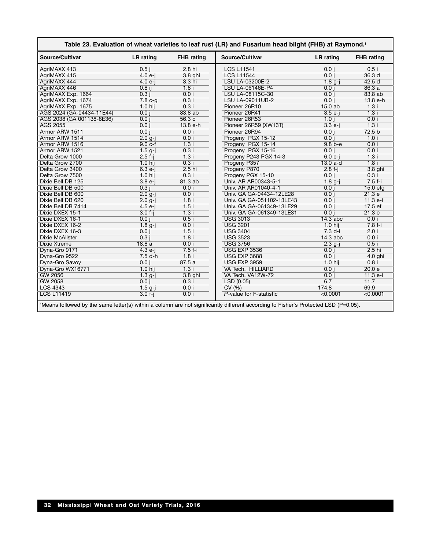| Table 23. Evaluation of wheat varieties to leaf rust (LR) and Fusarium head blight (FHB) at Raymond. <sup>1</sup>                   |                  |                   |                           |                     |                   |  |  |  |  |
|-------------------------------------------------------------------------------------------------------------------------------------|------------------|-------------------|---------------------------|---------------------|-------------------|--|--|--|--|
| Source/Cultivar                                                                                                                     | <b>LR</b> rating | <b>FHB</b> rating | Source/Cultivar           | LR rating           | <b>FHB</b> rating |  |  |  |  |
| AgriMAXX 413                                                                                                                        | $0.5$ j          | 2.8 hi            | <b>LCS L11541</b>         | 0.0 i               | 0.5i              |  |  |  |  |
| AgriMAXX 415                                                                                                                        | $4.0e-i$         | 3.8 ghi           | <b>LCS L11544</b>         | 0.0 i               | 36.3 <sub>d</sub> |  |  |  |  |
| AgriMAXX 444                                                                                                                        | $4.0e-i$         | $3.3$ hi          | LSU LA-03200E-2           | $1.8 g-j$           | 42.5d             |  |  |  |  |
| AgriMAXX 446                                                                                                                        | $0.8$ ij         | 1.8i              | LSU LA-06146E-P4          | 0.0 i               | 86.3a             |  |  |  |  |
| AgriMAXX Exp. 1664                                                                                                                  | 0.3i             | 0.0 i             | LSU LA-08115C-30          | 0.0 i               | 83.8 ab           |  |  |  |  |
| AgriMAXX Exp. 1674                                                                                                                  | $7.8c-g$         | 0.3i              | <b>LSU LA-09011UB-2</b>   | 0.0 i               | $13.8 e-h$        |  |  |  |  |
| AgriMAXX Exp. 1675                                                                                                                  | $1.0$ hij        | 0.3i              | Pioneer 26R10             | $15.0$ ab           | 1.3i              |  |  |  |  |
| AGS 2024 (GA-04434-11E44)                                                                                                           | 0.0 i            | 83.8 ab           | Pioneer 26R41             | $3.5 e-i$           | 1.3i              |  |  |  |  |
| AGS 2038 (GA 001138-8E36)                                                                                                           | 0.0 i            | 56.3c             | Pioneer 26R53             | 1.0 i               | 0.0 i             |  |  |  |  |
| AGS 2055                                                                                                                            | 0.0 i            | $13.8 e-h$        | Pioneer 26R59 (XW13T)     | $3.3 e-j$           | 1.3i              |  |  |  |  |
| Armor ARW 1511                                                                                                                      | 0.0 i            | 0.0 i             | Pioneer 26R94             | 0.0 i               | 72.5 <sub>b</sub> |  |  |  |  |
| Armor ARW 1514                                                                                                                      | $2.0$ g-i        | 0.0 i             | Progeny PGX 15-12         | 0.0 i               | 1.0i              |  |  |  |  |
| Armor ARW 1516                                                                                                                      | $9.0 c-f$        | 1.3i              | Progeny PGX 15-14         | $9.8 b - e$         | 0.0 i             |  |  |  |  |
| Armor ARW 1521                                                                                                                      | $1.5$ g-i        | 0.3i              | Progeny PGX 15-16         | 0.0 i               | 0.0 i             |  |  |  |  |
| Delta Grow 1000                                                                                                                     | $2.5f-i$         | 1.3i              | Progeny P243 PGX 14-3     | $6.0 e-i$           | 1.3i              |  |  |  |  |
| Delta Grow 2700                                                                                                                     | $1.0$ hij        | 0.3i              | Progeny P357              | $13.0a-d$           | 1.8i              |  |  |  |  |
| Delta Grow 3400                                                                                                                     | $6.3 e-j$        | $2.5$ hi          | Progeny P870              | $2.8 f-i$           | 3.8 ghi           |  |  |  |  |
| Delta Grow 7500                                                                                                                     | $1.0$ hij        | 0.3i              | Progeny PGX 15-10         | 0.0 i               | 0.3i              |  |  |  |  |
| Dixie Bell DB 125                                                                                                                   | $3.8e-j$         | 81.3ab            | Univ. AR AR00343-5-1      | $1.8g-j$            | $7.5f-i$          |  |  |  |  |
| Dixie Bell DB 500                                                                                                                   | 0.3i             | 0.0 i             | Univ. AR AR01040-4-1      | 0.0 i               | $15.0$ efg        |  |  |  |  |
| Dixie Bell DB 600                                                                                                                   | $2.0$ g-i        | 0.0 i             | Univ. GA GA-04434-12LE28  | 0.0 i               | 21.3 e            |  |  |  |  |
| Dixie Bell DB 620                                                                                                                   | $2.0$ g-i        | 1.8i              | Univ. GA GA-051102-13LE43 | 0.0 i               | $11.3 e-i$        |  |  |  |  |
| Dixie Bell DB 7414                                                                                                                  | $4.5 e-i$        | 1.5i              | Univ. GA GA-061349-13LE29 | 0.0 i               | 17.5ef            |  |  |  |  |
| Dixie DXEX 15-1                                                                                                                     | $3.0 f-j$        | 1.3i              | Univ. GA GA-061349-13LE31 | 0.0 i               | 21.3 e            |  |  |  |  |
| Dixie DXEX 16-1                                                                                                                     | 0.0 i            | 0.5i              | <b>USG 3013</b>           | $14.3$ abc          | 0.0 i             |  |  |  |  |
| Dixie DXEX 16-2                                                                                                                     | $1.8 g-j$        | 0.0 i             | <b>USG 3201</b>           | $1.0$ hij           | $7.8f-i$          |  |  |  |  |
| Dixie DXEX 16-3                                                                                                                     | 0.0 i            | 1.5i              | <b>USG 3404</b>           | $7.3$ d-i           | 2.0 i             |  |  |  |  |
| <b>Dixie McAlister</b>                                                                                                              | 0.3i             | 1.8i              | <b>USG 3523</b>           | $14.3$ abc          | 0.0 i             |  |  |  |  |
| <b>Dixie Xtreme</b>                                                                                                                 | 18.8a            | 0.0 i             | <b>USG 3756</b>           | $2.3$ g-j           | 0.5i              |  |  |  |  |
| Dyna-Gro 9171                                                                                                                       | $4.3 e-i$        | $7.5f-i$          | <b>USG EXP 3536</b>       | 0.0 i               | $2.5$ hi          |  |  |  |  |
| Dyna-Gro 9522                                                                                                                       | $7.5 d-h$        | 1.8i              | <b>USG EXP 3688</b>       | 0.0 i               | $4.0$ ghi         |  |  |  |  |
| Dyna-Gro Savoy                                                                                                                      | 0.0 i            | 87.5a             | <b>USG EXP 3959</b>       | $1.0$ hii           | 0.8i              |  |  |  |  |
| Dyna-Gro WX16771                                                                                                                    | $1.0$ hij        | 1.3i              | VA Tech. HILLIARD         | 0.0 i               | 20.0 e            |  |  |  |  |
| <b>GW 2056</b>                                                                                                                      | $1.3$ g-i        | 3.8 ghi           | VA Tech. VA12W-72         | 0.0 i               | $11.3 e-i$        |  |  |  |  |
| <b>GW 2058</b>                                                                                                                      | 0.0 i            | 0.3i              | LSD(0.05)                 | 6.7                 | 11.7              |  |  |  |  |
| <b>LCS 4343</b>                                                                                                                     | $1.5g-j$         | 0.0 i             | CV(%)                     | 174.8               | 69.9              |  |  |  |  |
| <b>LCS L11419</b>                                                                                                                   | $3.0 f-j$        | 0.0 i             | P-value for F-statistic   | $\overline{0.0001}$ | < 0.0001          |  |  |  |  |
| 1Means followed by the same letter(s) within a column are not significantly different according to Fisher's Protected LSD (P=0.05). |                  |                   |                           |                     |                   |  |  |  |  |